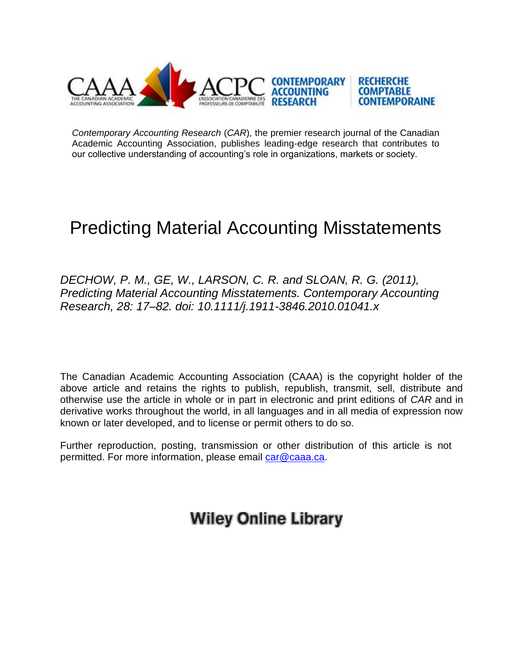

*Contemporary Accounting Research* (*CAR*), the premier research journal of the Canadian Academic Accounting Association, publishes leading-edge research that contributes to our collective understanding of accounting's role in organizations, markets or society.

# Predicting Material Accounting Misstatements

*DECHOW, P. M., GE, W., LARSON, C. R. and SLOAN, R. G. (2011), Predicting Material Accounting Misstatements. Contemporary Accounting Research, 28: 17–82. doi: 10.1111/j.1911-3846.2010.01041.x*

The Canadian Academic Accounting Association (CAAA) is the copyright holder of the above article and retains the rights to publish, republish, transmit, sell, distribute and otherwise use the article in whole or in part in electronic and print editions of *CAR* and in derivative works throughout the world, in all languages and in all media of expression now known or later developed, and to license or permit others to do so.

Further reproduction, posting, transmission or other distribution of this article is not permitted. For more information, please email [car@caaa.ca.](mailto:car@caaa.ca)

# **Wiley Online Library**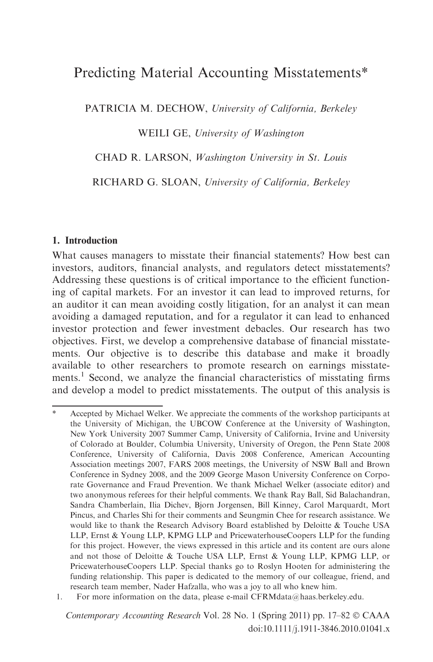# Predicting Material Accounting Misstatements\*

PATRICIA M. DECHOW, University of California, Berkeley

WEILI GE, University of Washington

CHAD R. LARSON, Washington University in St. Louis

RICHARD G. SLOAN, University of California, Berkeley

## 1. Introduction

What causes managers to misstate their financial statements? How best can investors, auditors, financial analysts, and regulators detect misstatements? Addressing these questions is of critical importance to the efficient functioning of capital markets. For an investor it can lead to improved returns, for an auditor it can mean avoiding costly litigation, for an analyst it can mean avoiding a damaged reputation, and for a regulator it can lead to enhanced investor protection and fewer investment debacles. Our research has two objectives. First, we develop a comprehensive database of financial misstatements. Our objective is to describe this database and make it broadly available to other researchers to promote research on earnings misstatements.<sup>1</sup> Second, we analyze the financial characteristics of misstating firms and develop a model to predict misstatements. The output of this analysis is

Contemporary Accounting Research Vol. 28 No. 1 (Spring 2011) pp. 17-82 © CAAA doi:10.1111/j.1911-3846.2010.01041.x

<sup>\*</sup> Accepted by Michael Welker. We appreciate the comments of the workshop participants at the University of Michigan, the UBCOW Conference at the University of Washington, New York University 2007 Summer Camp, University of California, Irvine and University of Colorado at Boulder, Columbia University, University of Oregon, the Penn State 2008 Conference, University of California, Davis 2008 Conference, American Accounting Association meetings 2007, FARS 2008 meetings, the University of NSW Ball and Brown Conference in Sydney 2008, and the 2009 George Mason University Conference on Corporate Governance and Fraud Prevention. We thank Michael Welker (associate editor) and two anonymous referees for their helpful comments. We thank Ray Ball, Sid Balachandran, Sandra Chamberlain, Ilia Dichev, Bjorn Jorgensen, Bill Kinney, Carol Marquardt, Mort Pincus, and Charles Shi for their comments and Seungmin Chee for research assistance. We would like to thank the Research Advisory Board established by Deloitte & Touche USA LLP, Ernst & Young LLP, KPMG LLP and PricewaterhouseCoopers LLP for the funding for this project. However, the views expressed in this article and its content are ours alone and not those of Deloitte & Touche USA LLP, Ernst & Young LLP, KPMG LLP, or PricewaterhouseCoopers LLP. Special thanks go to Roslyn Hooten for administering the funding relationship. This paper is dedicated to the memory of our colleague, friend, and research team member, Nader Hafzalla, who was a joy to all who knew him.

<sup>1.</sup> For more information on the data, please e-mail CFRMdata@haas.berkeley.edu.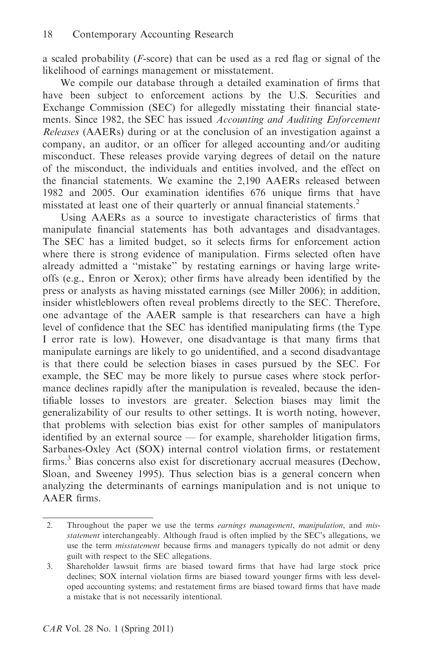a scaled probability (F-score) that can be used as a red flag or signal of the likelihood of earnings management or misstatement.

We compile our database through a detailed examination of firms that have been subject to enforcement actions by the U.S. Securities and Exchange Commission (SEC) for allegedly misstating their financial statements. Since 1982, the SEC has issued Accounting and Auditing Enforcement Releases (AAERs) during or at the conclusion of an investigation against a company, an auditor, or an officer for alleged accounting and/or auditing misconduct. These releases provide varying degrees of detail on the nature of the misconduct, the individuals and entities involved, and the effect on the financial statements. We examine the 2,190 AAERs released between 1982 and 2005. Our examination identifies 676 unique firms that have misstated at least one of their quarterly or annual financial statements.<sup>2</sup>

Using AAERs as a source to investigate characteristics of firms that manipulate financial statements has both advantages and disadvantages. The SEC has a limited budget, so it selects firms for enforcement action where there is strong evidence of manipulation. Firms selected often have already admitted a ''mistake'' by restating earnings or having large writeoffs (e.g., Enron or Xerox); other firms have already been identified by the press or analysts as having misstated earnings (see Miller 2006); in addition, insider whistleblowers often reveal problems directly to the SEC. Therefore, one advantage of the AAER sample is that researchers can have a high level of confidence that the SEC has identified manipulating firms (the Type I error rate is low). However, one disadvantage is that many firms that manipulate earnings are likely to go unidentified, and a second disadvantage is that there could be selection biases in cases pursued by the SEC. For example, the SEC may be more likely to pursue cases where stock performance declines rapidly after the manipulation is revealed, because the identifiable losses to investors are greater. Selection biases may limit the generalizability of our results to other settings. It is worth noting, however, that problems with selection bias exist for other samples of manipulators identified by an external source — for example, shareholder litigation firms, Sarbanes-Oxley Act (SOX) internal control violation firms, or restatement firms.<sup>3</sup> Bias concerns also exist for discretionary accrual measures (Dechow, Sloan, and Sweeney 1995). Thus selection bias is a general concern when analyzing the determinants of earnings manipulation and is not unique to AAER firms.

<sup>2.</sup> Throughout the paper we use the terms *earnings management*, *manipulation*, and *mis*statement interchangeably. Although fraud is often implied by the SEC's allegations, we use the term *misstatement* because firms and managers typically do not admit or deny guilt with respect to the SEC allegations.

<sup>3.</sup> Shareholder lawsuit firms are biased toward firms that have had large stock price declines; SOX internal violation firms are biased toward younger firms with less developed accounting systems; and restatement firms are biased toward firms that have made a mistake that is not necessarily intentional.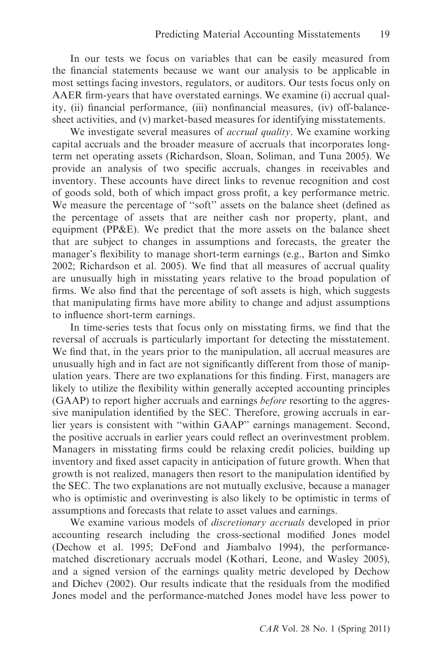In our tests we focus on variables that can be easily measured from the financial statements because we want our analysis to be applicable in most settings facing investors, regulators, or auditors. Our tests focus only on AAER firm-years that have overstated earnings. We examine (i) accrual quality, (ii) financial performance, (iii) nonfinancial measures, (iv) off-balancesheet activities, and (v) market-based measures for identifying misstatements.

We investigate several measures of *accrual quality*. We examine working capital accruals and the broader measure of accruals that incorporates longterm net operating assets (Richardson, Sloan, Soliman, and Tuna 2005). We provide an analysis of two specific accruals, changes in receivables and inventory. These accounts have direct links to revenue recognition and cost of goods sold, both of which impact gross profit, a key performance metric. We measure the percentage of ''soft'' assets on the balance sheet (defined as the percentage of assets that are neither cash nor property, plant, and equipment (PP&E). We predict that the more assets on the balance sheet that are subject to changes in assumptions and forecasts, the greater the manager's flexibility to manage short-term earnings (e.g., Barton and Simko 2002; Richardson et al. 2005). We find that all measures of accrual quality are unusually high in misstating years relative to the broad population of firms. We also find that the percentage of soft assets is high, which suggests that manipulating firms have more ability to change and adjust assumptions to influence short-term earnings.

In time-series tests that focus only on misstating firms, we find that the reversal of accruals is particularly important for detecting the misstatement. We find that, in the years prior to the manipulation, all accrual measures are unusually high and in fact are not significantly different from those of manipulation years. There are two explanations for this finding. First, managers are likely to utilize the flexibility within generally accepted accounting principles (GAAP) to report higher accruals and earnings before resorting to the aggressive manipulation identified by the SEC. Therefore, growing accruals in earlier years is consistent with ''within GAAP'' earnings management. Second, the positive accruals in earlier years could reflect an overinvestment problem. Managers in misstating firms could be relaxing credit policies, building up inventory and fixed asset capacity in anticipation of future growth. When that growth is not realized, managers then resort to the manipulation identified by the SEC. The two explanations are not mutually exclusive, because a manager who is optimistic and overinvesting is also likely to be optimistic in terms of assumptions and forecasts that relate to asset values and earnings.

We examine various models of *discretionary accruals* developed in prior accounting research including the cross-sectional modified Jones model (Dechow et al. 1995; DeFond and Jiambalvo 1994), the performancematched discretionary accruals model (Kothari, Leone, and Wasley 2005), and a signed version of the earnings quality metric developed by Dechow and Dichev (2002). Our results indicate that the residuals from the modified Jones model and the performance-matched Jones model have less power to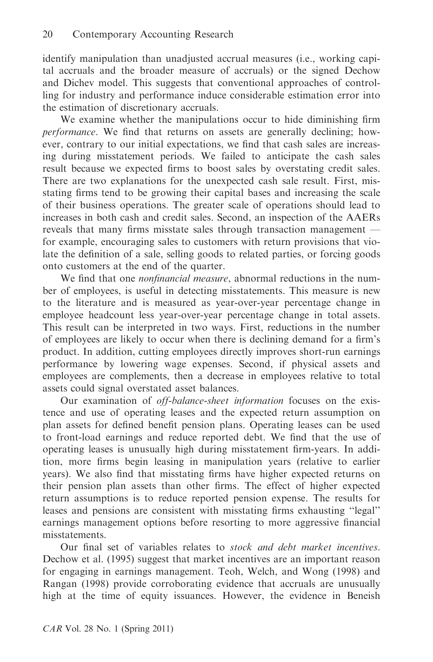identify manipulation than unadjusted accrual measures (i.e., working capital accruals and the broader measure of accruals) or the signed Dechow and Dichev model. This suggests that conventional approaches of controlling for industry and performance induce considerable estimation error into the estimation of discretionary accruals.

We examine whether the manipulations occur to hide diminishing firm performance. We find that returns on assets are generally declining; however, contrary to our initial expectations, we find that cash sales are increasing during misstatement periods. We failed to anticipate the cash sales result because we expected firms to boost sales by overstating credit sales. There are two explanations for the unexpected cash sale result. First, misstating firms tend to be growing their capital bases and increasing the scale of their business operations. The greater scale of operations should lead to increases in both cash and credit sales. Second, an inspection of the AAERs reveals that many firms misstate sales through transaction management for example, encouraging sales to customers with return provisions that violate the definition of a sale, selling goods to related parties, or forcing goods onto customers at the end of the quarter.

We find that one nonfinancial measure, abnormal reductions in the number of employees, is useful in detecting misstatements. This measure is new to the literature and is measured as year-over-year percentage change in employee headcount less year-over-year percentage change in total assets. This result can be interpreted in two ways. First, reductions in the number of employees are likely to occur when there is declining demand for a firm's product. In addition, cutting employees directly improves short-run earnings performance by lowering wage expenses. Second, if physical assets and employees are complements, then a decrease in employees relative to total assets could signal overstated asset balances.

Our examination of off-balance-sheet information focuses on the existence and use of operating leases and the expected return assumption on plan assets for defined benefit pension plans. Operating leases can be used to front-load earnings and reduce reported debt. We find that the use of operating leases is unusually high during misstatement firm-years. In addition, more firms begin leasing in manipulation years (relative to earlier years). We also find that misstating firms have higher expected returns on their pension plan assets than other firms. The effect of higher expected return assumptions is to reduce reported pension expense. The results for leases and pensions are consistent with misstating firms exhausting ''legal'' earnings management options before resorting to more aggressive financial misstatements.

Our final set of variables relates to stock and debt market incentives. Dechow et al. (1995) suggest that market incentives are an important reason for engaging in earnings management. Teoh, Welch, and Wong (1998) and Rangan (1998) provide corroborating evidence that accruals are unusually high at the time of equity issuances. However, the evidence in Beneish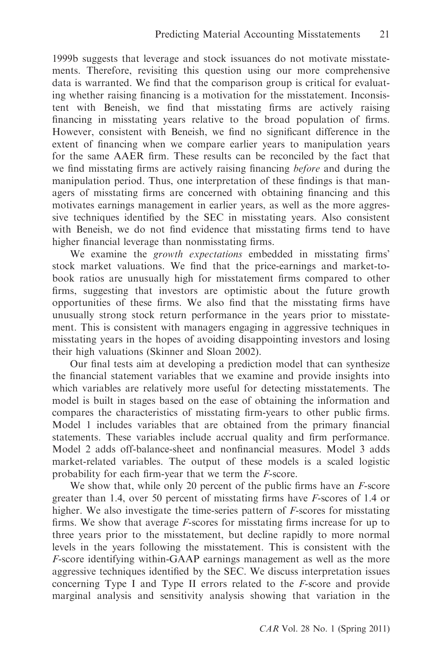1999b suggests that leverage and stock issuances do not motivate misstatements. Therefore, revisiting this question using our more comprehensive data is warranted. We find that the comparison group is critical for evaluating whether raising financing is a motivation for the misstatement. Inconsistent with Beneish, we find that misstating firms are actively raising financing in misstating years relative to the broad population of firms. However, consistent with Beneish, we find no significant difference in the extent of financing when we compare earlier years to manipulation years for the same AAER firm. These results can be reconciled by the fact that we find misstating firms are actively raising financing before and during the manipulation period. Thus, one interpretation of these findings is that managers of misstating firms are concerned with obtaining financing and this motivates earnings management in earlier years, as well as the more aggressive techniques identified by the SEC in misstating years. Also consistent with Beneish, we do not find evidence that misstating firms tend to have higher financial leverage than nonmisstating firms.

We examine the *growth expectations* embedded in misstating firms' stock market valuations. We find that the price-earnings and market-tobook ratios are unusually high for misstatement firms compared to other firms, suggesting that investors are optimistic about the future growth opportunities of these firms. We also find that the misstating firms have unusually strong stock return performance in the years prior to misstatement. This is consistent with managers engaging in aggressive techniques in misstating years in the hopes of avoiding disappointing investors and losing their high valuations (Skinner and Sloan 2002).

Our final tests aim at developing a prediction model that can synthesize the financial statement variables that we examine and provide insights into which variables are relatively more useful for detecting misstatements. The model is built in stages based on the ease of obtaining the information and compares the characteristics of misstating firm-years to other public firms. Model 1 includes variables that are obtained from the primary financial statements. These variables include accrual quality and firm performance. Model 2 adds off-balance-sheet and nonfinancial measures. Model 3 adds market-related variables. The output of these models is a scaled logistic probability for each firm-year that we term the F-score.

We show that, while only 20 percent of the public firms have an *F*-score greater than 1.4, over 50 percent of misstating firms have F-scores of 1.4 or higher. We also investigate the time-series pattern of F-scores for misstating firms. We show that average F-scores for misstating firms increase for up to three years prior to the misstatement, but decline rapidly to more normal levels in the years following the misstatement. This is consistent with the F-score identifying within-GAAP earnings management as well as the more aggressive techniques identified by the SEC. We discuss interpretation issues concerning Type I and Type II errors related to the F-score and provide marginal analysis and sensitivity analysis showing that variation in the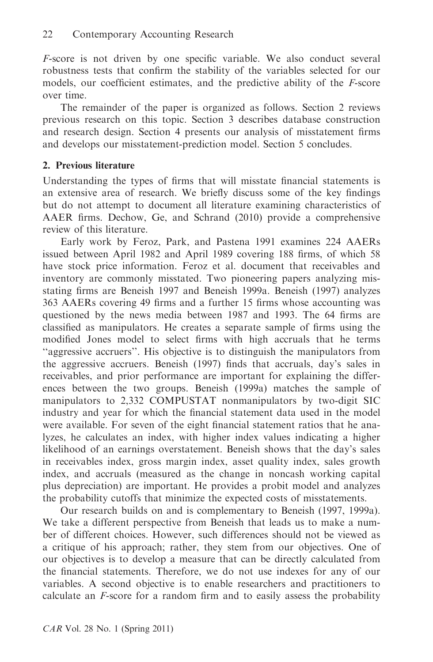F-score is not driven by one specific variable. We also conduct several robustness tests that confirm the stability of the variables selected for our models, our coefficient estimates, and the predictive ability of the F-score over time.

The remainder of the paper is organized as follows. Section 2 reviews previous research on this topic. Section 3 describes database construction and research design. Section 4 presents our analysis of misstatement firms and develops our misstatement-prediction model. Section 5 concludes.

# 2. Previous literature

Understanding the types of firms that will misstate financial statements is an extensive area of research. We briefly discuss some of the key findings but do not attempt to document all literature examining characteristics of AAER firms. Dechow, Ge, and Schrand (2010) provide a comprehensive review of this literature.

Early work by Feroz, Park, and Pastena 1991 examines 224 AAERs issued between April 1982 and April 1989 covering 188 firms, of which 58 have stock price information. Feroz et al. document that receivables and inventory are commonly misstated. Two pioneering papers analyzing misstating firms are Beneish 1997 and Beneish 1999a. Beneish (1997) analyzes 363 AAERs covering 49 firms and a further 15 firms whose accounting was questioned by the news media between 1987 and 1993. The 64 firms are classified as manipulators. He creates a separate sample of firms using the modified Jones model to select firms with high accruals that he terms "aggressive accruers". His objective is to distinguish the manipulators from the aggressive accruers. Beneish (1997) finds that accruals, day's sales in receivables, and prior performance are important for explaining the differences between the two groups. Beneish (1999a) matches the sample of manipulators to 2,332 COMPUSTAT nonmanipulators by two-digit SIC industry and year for which the financial statement data used in the model were available. For seven of the eight financial statement ratios that he analyzes, he calculates an index, with higher index values indicating a higher likelihood of an earnings overstatement. Beneish shows that the day's sales in receivables index, gross margin index, asset quality index, sales growth index, and accruals (measured as the change in noncash working capital plus depreciation) are important. He provides a probit model and analyzes the probability cutoffs that minimize the expected costs of misstatements.

Our research builds on and is complementary to Beneish (1997, 1999a). We take a different perspective from Beneish that leads us to make a number of different choices. However, such differences should not be viewed as a critique of his approach; rather, they stem from our objectives. One of our objectives is to develop a measure that can be directly calculated from the financial statements. Therefore, we do not use indexes for any of our variables. A second objective is to enable researchers and practitioners to calculate an F-score for a random firm and to easily assess the probability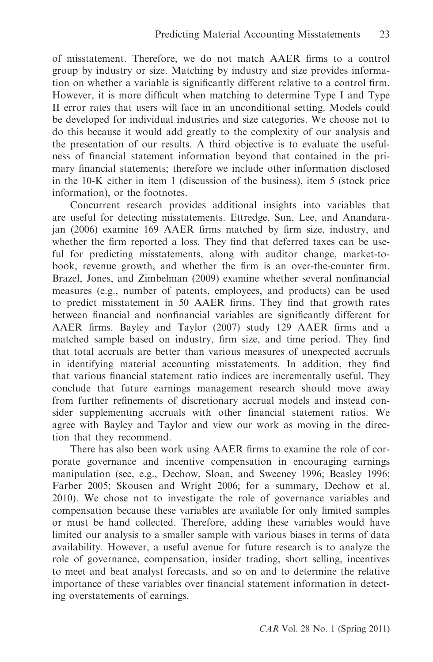of misstatement. Therefore, we do not match AAER firms to a control group by industry or size. Matching by industry and size provides information on whether a variable is significantly different relative to a control firm. However, it is more difficult when matching to determine Type I and Type II error rates that users will face in an unconditional setting. Models could be developed for individual industries and size categories. We choose not to do this because it would add greatly to the complexity of our analysis and the presentation of our results. A third objective is to evaluate the usefulness of financial statement information beyond that contained in the primary financial statements; therefore we include other information disclosed in the 10-K either in item 1 (discussion of the business), item 5 (stock price information), or the footnotes.

Concurrent research provides additional insights into variables that are useful for detecting misstatements. Ettredge, Sun, Lee, and Anandarajan (2006) examine 169 AAER firms matched by firm size, industry, and whether the firm reported a loss. They find that deferred taxes can be useful for predicting misstatements, along with auditor change, market-tobook, revenue growth, and whether the firm is an over-the-counter firm. Brazel, Jones, and Zimbelman (2009) examine whether several nonfinancial measures (e.g., number of patents, employees, and products) can be used to predict misstatement in 50 AAER firms. They find that growth rates between financial and nonfinancial variables are significantly different for AAER firms. Bayley and Taylor (2007) study 129 AAER firms and a matched sample based on industry, firm size, and time period. They find that total accruals are better than various measures of unexpected accruals in identifying material accounting misstatements. In addition, they find that various financial statement ratio indices are incrementally useful. They conclude that future earnings management research should move away from further refinements of discretionary accrual models and instead consider supplementing accruals with other financial statement ratios. We agree with Bayley and Taylor and view our work as moving in the direction that they recommend.

There has also been work using AAER firms to examine the role of corporate governance and incentive compensation in encouraging earnings manipulation (see, e.g., Dechow, Sloan, and Sweeney 1996; Beasley 1996; Farber 2005; Skousen and Wright 2006; for a summary, Dechow et al. 2010). We chose not to investigate the role of governance variables and compensation because these variables are available for only limited samples or must be hand collected. Therefore, adding these variables would have limited our analysis to a smaller sample with various biases in terms of data availability. However, a useful avenue for future research is to analyze the role of governance, compensation, insider trading, short selling, incentives to meet and beat analyst forecasts, and so on and to determine the relative importance of these variables over financial statement information in detecting overstatements of earnings.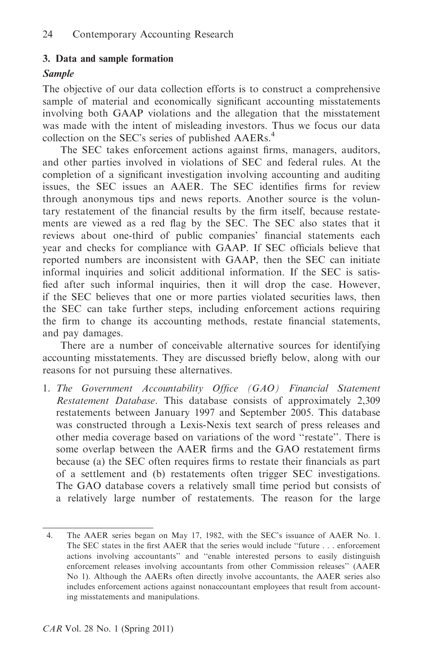# 3. Data and sample formation

## Sample

The objective of our data collection efforts is to construct a comprehensive sample of material and economically significant accounting misstatements involving both GAAP violations and the allegation that the misstatement was made with the intent of misleading investors. Thus we focus our data collection on the SEC's series of published AAERs.<sup>4</sup>

The SEC takes enforcement actions against firms, managers, auditors, and other parties involved in violations of SEC and federal rules. At the completion of a significant investigation involving accounting and auditing issues, the SEC issues an AAER. The SEC identifies firms for review through anonymous tips and news reports. Another source is the voluntary restatement of the financial results by the firm itself, because restatements are viewed as a red flag by the SEC. The SEC also states that it reviews about one-third of public companies' financial statements each year and checks for compliance with GAAP. If SEC officials believe that reported numbers are inconsistent with GAAP, then the SEC can initiate informal inquiries and solicit additional information. If the SEC is satisfied after such informal inquiries, then it will drop the case. However, if the SEC believes that one or more parties violated securities laws, then the SEC can take further steps, including enforcement actions requiring the firm to change its accounting methods, restate financial statements, and pay damages.

There are a number of conceivable alternative sources for identifying accounting misstatements. They are discussed briefly below, along with our reasons for not pursuing these alternatives.

1. The Government Accountability Office (GAO) Financial Statement Restatement Database. This database consists of approximately 2,309 restatements between January 1997 and September 2005. This database was constructed through a Lexis-Nexis text search of press releases and other media coverage based on variations of the word ''restate''. There is some overlap between the AAER firms and the GAO restatement firms because (a) the SEC often requires firms to restate their financials as part of a settlement and (b) restatements often trigger SEC investigations. The GAO database covers a relatively small time period but consists of a relatively large number of restatements. The reason for the large

<sup>4.</sup> The AAER series began on May 17, 1982, with the SEC's issuance of AAER No. 1. The SEC states in the first AAER that the series would include ''future . . . enforcement actions involving accountants'' and ''enable interested persons to easily distinguish enforcement releases involving accountants from other Commission releases'' (AAER No 1). Although the AAERs often directly involve accountants, the AAER series also includes enforcement actions against nonaccountant employees that result from accounting misstatements and manipulations.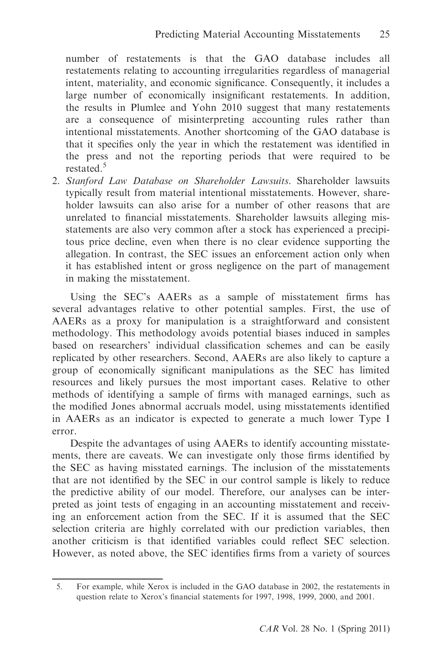number of restatements is that the GAO database includes all restatements relating to accounting irregularities regardless of managerial intent, materiality, and economic significance. Consequently, it includes a large number of economically insignificant restatements. In addition, the results in Plumlee and Yohn 2010 suggest that many restatements are a consequence of misinterpreting accounting rules rather than intentional misstatements. Another shortcoming of the GAO database is that it specifies only the year in which the restatement was identified in the press and not the reporting periods that were required to be restated<sup>5</sup>

2. Stanford Law Database on Shareholder Lawsuits. Shareholder lawsuits typically result from material intentional misstatements. However, shareholder lawsuits can also arise for a number of other reasons that are unrelated to financial misstatements. Shareholder lawsuits alleging misstatements are also very common after a stock has experienced a precipitous price decline, even when there is no clear evidence supporting the allegation. In contrast, the SEC issues an enforcement action only when it has established intent or gross negligence on the part of management in making the misstatement.

Using the SEC's AAERs as a sample of misstatement firms has several advantages relative to other potential samples. First, the use of AAERs as a proxy for manipulation is a straightforward and consistent methodology. This methodology avoids potential biases induced in samples based on researchers' individual classification schemes and can be easily replicated by other researchers. Second, AAERs are also likely to capture a group of economically significant manipulations as the SEC has limited resources and likely pursues the most important cases. Relative to other methods of identifying a sample of firms with managed earnings, such as the modified Jones abnormal accruals model, using misstatements identified in AAERs as an indicator is expected to generate a much lower Type I error.

Despite the advantages of using AAERs to identify accounting misstatements, there are caveats. We can investigate only those firms identified by the SEC as having misstated earnings. The inclusion of the misstatements that are not identified by the SEC in our control sample is likely to reduce the predictive ability of our model. Therefore, our analyses can be interpreted as joint tests of engaging in an accounting misstatement and receiving an enforcement action from the SEC. If it is assumed that the SEC selection criteria are highly correlated with our prediction variables, then another criticism is that identified variables could reflect SEC selection. However, as noted above, the SEC identifies firms from a variety of sources

<sup>5.</sup> For example, while Xerox is included in the GAO database in 2002, the restatements in question relate to Xerox's financial statements for 1997, 1998, 1999, 2000, and 2001.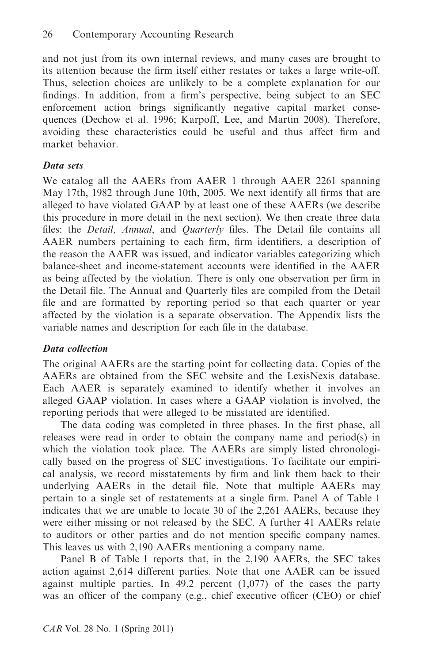and not just from its own internal reviews, and many cases are brought to its attention because the firm itself either restates or takes a large write-off. Thus, selection choices are unlikely to be a complete explanation for our findings. In addition, from a firm's perspective, being subject to an SEC enforcement action brings significantly negative capital market consequences (Dechow et al. 1996; Karpoff, Lee, and Martin 2008). Therefore, avoiding these characteristics could be useful and thus affect firm and market behavior.

# Data sets

We catalog all the AAERs from AAER 1 through AAER 2261 spanning May 17th, 1982 through June 10th, 2005. We next identify all firms that are alleged to have violated GAAP by at least one of these AAERs (we describe this procedure in more detail in the next section). We then create three data files: the Detail, Annual, and Quarterly files. The Detail file contains all AAER numbers pertaining to each firm, firm identifiers, a description of the reason the AAER was issued, and indicator variables categorizing which balance-sheet and income-statement accounts were identified in the AAER as being affected by the violation. There is only one observation per firm in the Detail file. The Annual and Quarterly files are compiled from the Detail file and are formatted by reporting period so that each quarter or year affected by the violation is a separate observation. The Appendix lists the variable names and description for each file in the database.

# Data collection

The original AAERs are the starting point for collecting data. Copies of the AAERs are obtained from the SEC website and the LexisNexis database. Each AAER is separately examined to identify whether it involves an alleged GAAP violation. In cases where a GAAP violation is involved, the reporting periods that were alleged to be misstated are identified.

The data coding was completed in three phases. In the first phase, all releases were read in order to obtain the company name and period(s) in which the violation took place. The AAERs are simply listed chronologically based on the progress of SEC investigations. To facilitate our empirical analysis, we record misstatements by firm and link them back to their underlying AAERs in the detail file. Note that multiple AAERs may pertain to a single set of restatements at a single firm. Panel A of Table 1 indicates that we are unable to locate 30 of the 2,261 AAERs, because they were either missing or not released by the SEC. A further 41 AAERs relate to auditors or other parties and do not mention specific company names. This leaves us with 2,190 AAERs mentioning a company name.

Panel B of Table 1 reports that, in the 2,190 AAERs, the SEC takes action against 2,614 different parties. Note that one AAER can be issued against multiple parties. In  $\overline{49.2}$  percent (1,077) of the cases the party was an officer of the company (e.g., chief executive officer (CEO) or chief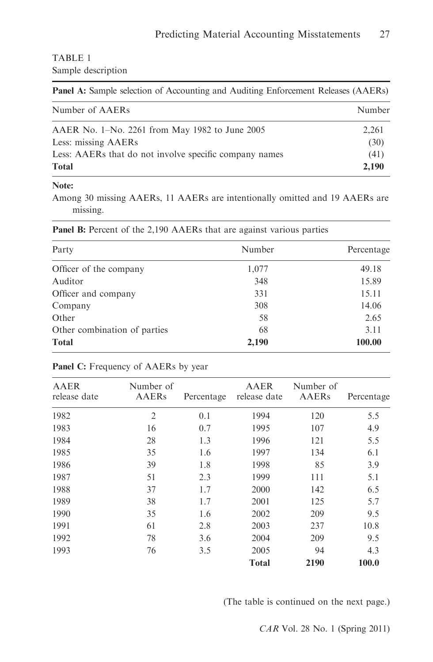| TABLE 1 |                    |
|---------|--------------------|
|         | Sample description |

| <b>Panel A:</b> Sample selection of Accounting and Auditing Enforcement Releases (AAERs) |        |  |
|------------------------------------------------------------------------------------------|--------|--|
| Number of AAERs                                                                          | Number |  |
| AAER No. $1-No.$ 2261 from May 1982 to June 2005                                         | 2,261  |  |
| Less: missing AAERs                                                                      | (30)   |  |
| Less: AAERs that do not involve specific company names                                   | (41)   |  |
| <b>Total</b>                                                                             | 2,190  |  |

#### Note:

Among 30 missing AAERs, 11 AAERs are intentionally omitted and 19 AAERs are missing.

Panel B: Percent of the 2,190 AAERs that are against various parties

| Party                        | Number | Percentage |
|------------------------------|--------|------------|
| Officer of the company       | 1,077  | 49.18      |
| Auditor                      | 348    | 15.89      |
| Officer and company          | 331    | 15.11      |
| Company                      | 308    | 14.06      |
| Other                        | 58     | 2.65       |
| Other combination of parties | 68     | 3.11       |
| <b>Total</b>                 | 2,190  | 100.00     |

#### Panel C: Frequency of AAERs by year

| AAER<br>release date | Number of<br><b>AAERs</b> | Percentage | AAER<br>release date | Number of<br>AAERs | Percentage |
|----------------------|---------------------------|------------|----------------------|--------------------|------------|
| 1982                 | $\overline{2}$            | 0.1        | 1994                 | 120                | 5.5        |
| 1983                 | 16                        | 0.7        | 1995                 | 107                | 4.9        |
| 1984                 | 28                        | 1.3        | 1996                 | 121                | 5.5        |
| 1985                 | 35                        | 1.6        | 1997                 | 134                | 6.1        |
| 1986                 | 39                        | 1.8        | 1998                 | 85                 | 3.9        |
| 1987                 | 51                        | 2.3        | 1999                 | 111                | 5.1        |
| 1988                 | 37                        | 1.7        | 2000                 | 142                | 6.5        |
| 1989                 | 38                        | 1.7        | 2001                 | 125                | 5.7        |
| 1990                 | 35                        | 1.6        | 2002                 | 209                | 9.5        |
| 1991                 | 61                        | 2.8        | 2003                 | 237                | 10.8       |
| 1992                 | 78                        | 3.6        | 2004                 | 209                | 9.5        |
| 1993                 | 76                        | 3.5        | 2005                 | 94                 | 4.3        |
|                      |                           |            | <b>Total</b>         | 2190               | 100.0      |

(The table is continued on the next page.)

CAR Vol. 28 No. 1 (Spring 2011)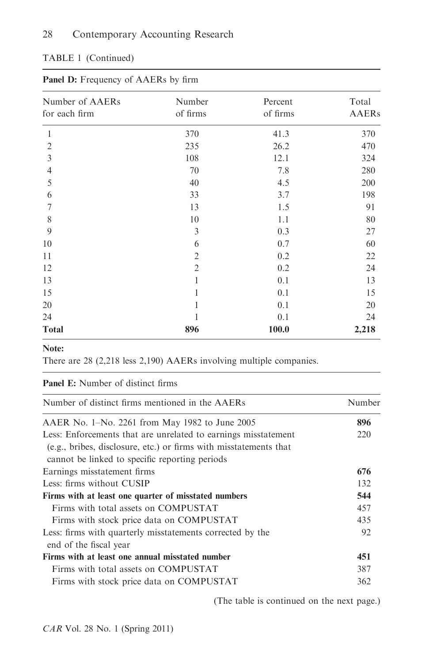| Panel D: Frequency of AAERs by firm |                    |                     |                       |  |
|-------------------------------------|--------------------|---------------------|-----------------------|--|
| Number of AAERs<br>for each firm    | Number<br>of firms | Percent<br>of firms | Total<br><b>AAERs</b> |  |
| 1                                   | 370                | 41.3                | 370                   |  |
| $\overline{2}$                      | 235                | 26.2                | 470                   |  |
| 3                                   | 108                | 12.1                | 324                   |  |
| $\overline{4}$                      | 70                 | 7.8                 | 280                   |  |
| 5                                   | 40                 | 4.5                 | 200                   |  |
| 6                                   | 33                 | 3.7                 | 198                   |  |
| 7                                   | 13                 | 1.5                 | 91                    |  |
| 8                                   | 10                 | 1.1                 | 80                    |  |
| 9                                   | 3                  | 0.3                 | 27                    |  |
| 10                                  | 6                  | 0.7                 | 60                    |  |
| 11                                  | $\overline{2}$     | 0.2                 | 22                    |  |
| 12                                  | $\overline{2}$     | 0.2                 | 24                    |  |
| 13                                  | 1                  | 0.1                 | 13                    |  |
| 15                                  | 1                  | 0.1                 | 15                    |  |
| 20                                  | 1                  | 0.1                 | 20                    |  |
| 24                                  |                    | 0.1                 | 24                    |  |
| <b>Total</b>                        | 896                | 100.0               | 2,218                 |  |

# TABLE 1 (Continued)

#### Note:

There are 28 (2,218 less 2,190) AAERs involving multiple companies.

# Panel E: Number of distinct firms

| Number of distinct firms mentioned in the AAERs                                                                                     | Number |
|-------------------------------------------------------------------------------------------------------------------------------------|--------|
| AAER No. 1–No. 2261 from May 1982 to June 2005                                                                                      | 896    |
| Less: Enforcements that are unrelated to earnings misstatement<br>(e.g., bribes, disclosure, etc.) or firms with misstatements that | 220    |
| cannot be linked to specific reporting periods                                                                                      |        |
| Earnings misstatement firms                                                                                                         | 676    |
| Less: firms without CUSIP                                                                                                           | 132    |
| Firms with at least one quarter of misstated numbers                                                                                | 544    |
| Firms with total assets on COMPUSTAT                                                                                                | 457    |
| Firms with stock price data on COMPUSTAT                                                                                            | 435    |
| Less: firms with quarterly misstatements corrected by the                                                                           | 92     |
| end of the fiscal year                                                                                                              |        |
| Firms with at least one annual misstated number                                                                                     | 451    |
| Firms with total assets on COMPUSTAT                                                                                                | 387    |
| Firms with stock price data on COMPUSTAT                                                                                            | 362    |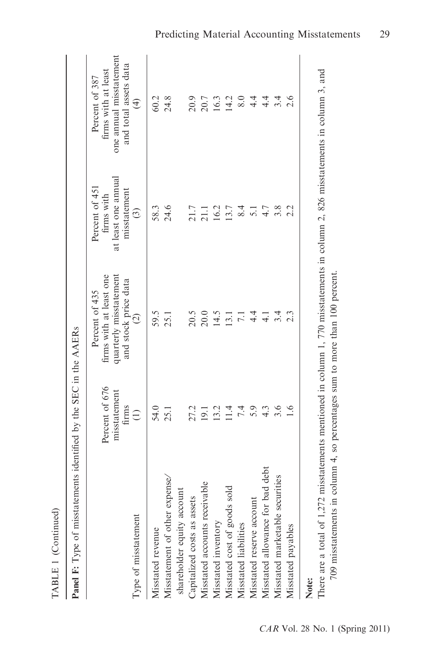| Panel F: Type of misstatements identified by the SEC in the AAERs |                                              |                                                                                                              |                                                                                |                                                                                                          |
|-------------------------------------------------------------------|----------------------------------------------|--------------------------------------------------------------------------------------------------------------|--------------------------------------------------------------------------------|----------------------------------------------------------------------------------------------------------|
| Type of misstatement                                              | Percent of 676<br>misstatement<br>firms<br>€ | firms with at least one<br>quarterly misstatement<br>and stock price data<br>Percent of 435<br>$\odot$       | at least one annual<br>Percent of 451<br>misstatement<br>firms with<br>$\odot$ | one annual misstatement<br>and total assets data<br>firms with at least<br>Percent of 387<br>$\bigoplus$ |
| Misstated revenue                                                 | 54.0                                         | 59.5                                                                                                         | 58.3                                                                           | 60.2                                                                                                     |
| Misstatement of other expense/                                    | 25.1                                         | 25.1                                                                                                         | 24.6                                                                           | 24.8                                                                                                     |
| shareholder equity account                                        |                                              |                                                                                                              |                                                                                |                                                                                                          |
| Capitalized costs as assets                                       | 27.2                                         | 20.5                                                                                                         | 21.7                                                                           | 20.9                                                                                                     |
| Misstated accounts receivable                                     | 19.1                                         | 20.0<br>14.5                                                                                                 | $\overline{21}$                                                                |                                                                                                          |
| Misstated inventory                                               | 13.2                                         |                                                                                                              | 16.2                                                                           | 20.7<br>16.3                                                                                             |
| Misstated cost of goods sold                                      | $\frac{4}{1}$                                | 13.1                                                                                                         | 13.7                                                                           | 14.2                                                                                                     |
| Misstated liabilities                                             | 7.4                                          | $\overline{z}$                                                                                               | 8.4                                                                            | 8.0                                                                                                      |
| Misstated reserve account                                         | 5.9                                          | 4.4                                                                                                          | $\overline{51}$                                                                | 4.4                                                                                                      |
| Misstated allowance for bad debt                                  | 4.3                                          | $\overline{4}$ .                                                                                             | 4.7                                                                            | 4.4                                                                                                      |
| securities<br>Misstated marketable                                | 3.6                                          | 3.4                                                                                                          | 3.8                                                                            | 3.4                                                                                                      |
| Misstated payables                                                |                                              |                                                                                                              |                                                                                |                                                                                                          |
| Note:                                                             |                                              |                                                                                                              |                                                                                |                                                                                                          |
| There are a total of 1                                            |                                              | $272$ misstatements mentioned in column 1, 770 misstatements in column 2, 826 misstatements in column 3, and |                                                                                |                                                                                                          |

TABLE 1 (Continued)

TABLE 1 (Continued)

Predicting Material Accounting Misstatements 29

709 misstatements in column 4, so percentages sum to more than 100 percent.

709 misstatements in column 4, so percentages sum to more than 100 percent.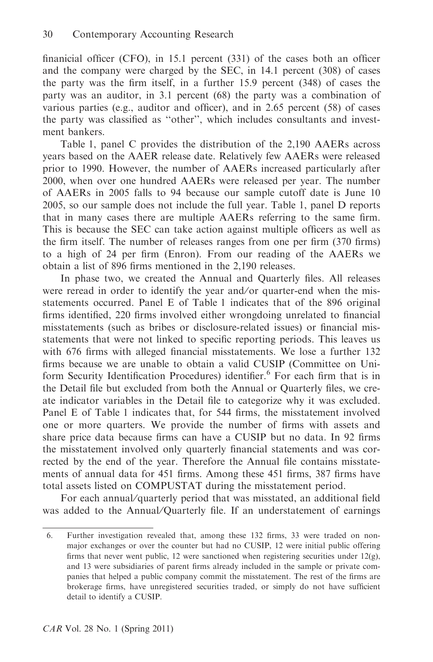finanicial officer (CFO), in 15.1 percent (331) of the cases both an officer and the company were charged by the SEC, in 14.1 percent (308) of cases the party was the firm itself, in a further 15.9 percent (348) of cases the party was an auditor, in 3.1 percent (68) the party was a combination of various parties (e.g., auditor and officer), and in 2.65 percent (58) of cases the party was classified as ''other'', which includes consultants and investment bankers.

Table 1, panel C provides the distribution of the 2,190 AAERs across years based on the AAER release date. Relatively few AAERs were released prior to 1990. However, the number of AAERs increased particularly after 2000, when over one hundred AAERs were released per year. The number of AAERs in 2005 falls to 94 because our sample cutoff date is June 10 2005, so our sample does not include the full year. Table 1, panel D reports that in many cases there are multiple AAERs referring to the same firm. This is because the SEC can take action against multiple officers as well as the firm itself. The number of releases ranges from one per firm (370 firms) to a high of 24 per firm (Enron). From our reading of the AAERs we obtain a list of 896 firms mentioned in the 2,190 releases.

In phase two, we created the Annual and Quarterly files. All releases were reread in order to identify the year and/or quarter-end when the misstatements occurred. Panel E of Table 1 indicates that of the 896 original firms identified, 220 firms involved either wrongdoing unrelated to financial misstatements (such as bribes or disclosure-related issues) or financial misstatements that were not linked to specific reporting periods. This leaves us with 676 firms with alleged financial misstatements. We lose a further 132 firms because we are unable to obtain a valid CUSIP (Committee on Uniform Security Identification Procedures) identifier.<sup>6</sup> For each firm that is in the Detail file but excluded from both the Annual or Quarterly files, we create indicator variables in the Detail file to categorize why it was excluded. Panel E of Table 1 indicates that, for 544 firms, the misstatement involved one or more quarters. We provide the number of firms with assets and share price data because firms can have a CUSIP but no data. In 92 firms the misstatement involved only quarterly financial statements and was corrected by the end of the year. Therefore the Annual file contains misstatements of annual data for 451 firms. Among these 451 firms, 387 firms have total assets listed on COMPUSTAT during the misstatement period.

For each annual/quarterly period that was misstated, an additional field was added to the Annual/Quarterly file. If an understatement of earnings

<sup>6.</sup> Further investigation revealed that, among these 132 firms, 33 were traded on nonmajor exchanges or over the counter but had no CUSIP, 12 were initial public offering firms that never went public, 12 were sanctioned when registering securities under  $12(g)$ , and 13 were subsidiaries of parent firms already included in the sample or private companies that helped a public company commit the misstatement. The rest of the firms are brokerage firms, have unregistered securities traded, or simply do not have sufficient detail to identify a CUSIP.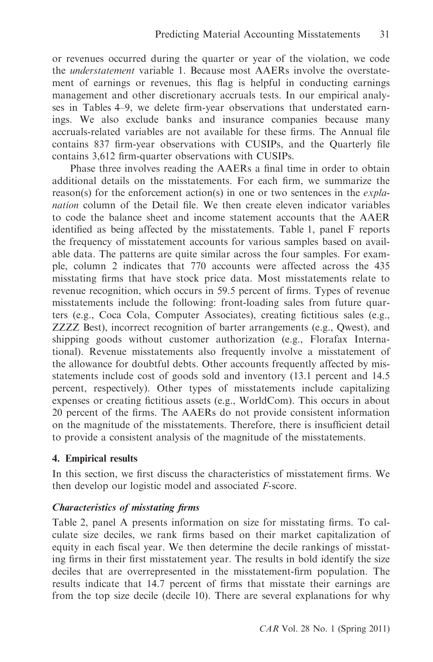or revenues occurred during the quarter or year of the violation, we code the understatement variable 1. Because most AAERs involve the overstatement of earnings or revenues, this flag is helpful in conducting earnings management and other discretionary accruals tests. In our empirical analyses in Tables 4–9, we delete firm-year observations that understated earnings. We also exclude banks and insurance companies because many accruals-related variables are not available for these firms. The Annual file contains 837 firm-year observations with CUSIPs, and the Quarterly file contains 3,612 firm-quarter observations with CUSIPs.

Phase three involves reading the AAERs a final time in order to obtain additional details on the misstatements. For each firm, we summarize the reason(s) for the enforcement action(s) in one or two sentences in the *expla*nation column of the Detail file. We then create eleven indicator variables to code the balance sheet and income statement accounts that the AAER identified as being affected by the misstatements. Table 1, panel F reports the frequency of misstatement accounts for various samples based on available data. The patterns are quite similar across the four samples. For example, column 2 indicates that 770 accounts were affected across the 435 misstating firms that have stock price data. Most misstatements relate to revenue recognition, which occurs in 59.5 percent of firms. Types of revenue misstatements include the following: front-loading sales from future quarters (e.g., Coca Cola, Computer Associates), creating fictitious sales (e.g., ZZZZ Best), incorrect recognition of barter arrangements (e.g., Qwest), and shipping goods without customer authorization (e.g., Florafax International). Revenue misstatements also frequently involve a misstatement of the allowance for doubtful debts. Other accounts frequently affected by misstatements include cost of goods sold and inventory (13.1 percent and 14.5 percent, respectively). Other types of misstatements include capitalizing expenses or creating fictitious assets (e.g., WorldCom). This occurs in about 20 percent of the firms. The AAERs do not provide consistent information on the magnitude of the misstatements. Therefore, there is insufficient detail to provide a consistent analysis of the magnitude of the misstatements.

# 4. Empirical results

In this section, we first discuss the characteristics of misstatement firms. We then develop our logistic model and associated F-score.

# Characteristics of misstating firms

Table 2, panel A presents information on size for misstating firms. To calculate size deciles, we rank firms based on their market capitalization of equity in each fiscal year. We then determine the decile rankings of misstating firms in their first misstatement year. The results in bold identify the size deciles that are overrepresented in the misstatement-firm population. The results indicate that 14.7 percent of firms that misstate their earnings are from the top size decile (decile 10). There are several explanations for why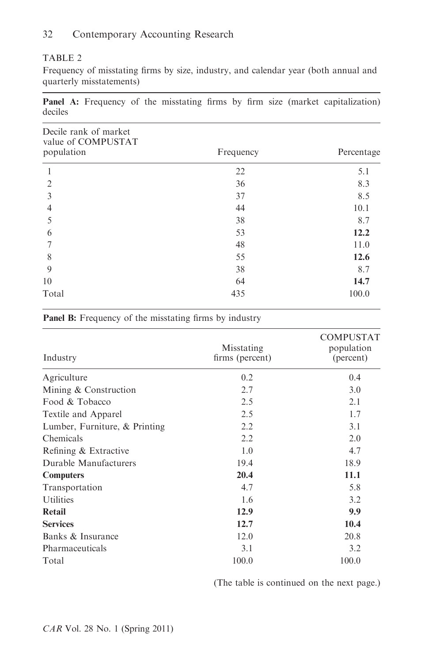# 32 Contemporary Accounting Research

## TABLE 2

Frequency of misstating firms by size, industry, and calendar year (both annual and quarterly misstatements)

Panel A: Frequency of the misstating firms by firm size (market capitalization) deciles

| Decile rank of market<br>value of COMPUSTAT<br>population | Frequency | Percentage |
|-----------------------------------------------------------|-----------|------------|
|                                                           | 22        | 5.1        |
| $\overline{2}$                                            | 36        | 8.3        |
| 3                                                         | 37        | 8.5        |
| $\overline{4}$                                            | 44        | 10.1       |
| 5                                                         | 38        | 8.7        |
| 6                                                         | 53        | 12.2       |
|                                                           | 48        | 11.0       |
| 8                                                         | 55        | 12.6       |
| 9                                                         | 38        | 8.7        |
| 10                                                        | 64        | 14.7       |
| Total                                                     | 435       | 100.0      |

## Panel B: Frequency of the misstating firms by industry

| Industry                      | Misstating<br>firms (percent) | <b>COMPUSTAT</b><br>population<br>(percent) |
|-------------------------------|-------------------------------|---------------------------------------------|
| Agriculture                   | 0.2                           | 0.4                                         |
| Mining & Construction         | 2.7                           | 3.0                                         |
| Food & Tobacco                | 2.5                           | 2.1                                         |
| Textile and Apparel           | 2.5                           | 1.7                                         |
| Lumber, Furniture, & Printing | 2.2                           | 3.1                                         |
| Chemicals                     | 2.2                           | 2.0                                         |
| Refining & Extractive         | 1.0                           | 4.7                                         |
| Durable Manufacturers         | 19.4                          | 18.9                                        |
| <b>Computers</b>              | 20.4                          | 11.1                                        |
| Transportation                | 4.7                           | 5.8                                         |
| Utilities                     | 1.6                           | 3.2                                         |
| Retail                        | 12.9                          | 9.9                                         |
| <b>Services</b>               | 12.7                          | 10.4                                        |
| Banks & Insurance             | 12.0                          | 20.8                                        |
| Pharmaceuticals               | 3.1                           | 3.2                                         |
| Total                         | 100.0                         | 100.0                                       |
|                               |                               |                                             |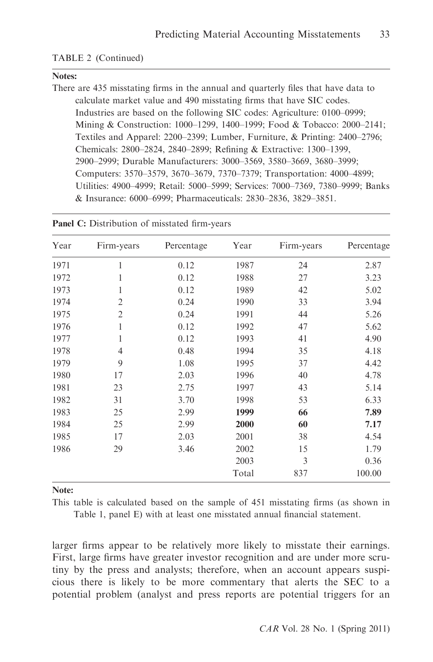## TABLE 2 (Continued)

### Notes:

There are 435 misstating firms in the annual and quarterly files that have data to calculate market value and 490 misstating firms that have SIC codes. Industries are based on the following SIC codes: Agriculture: 0100–0999; Mining & Construction: 1000–1299, 1400–1999; Food & Tobacco: 2000–2141; Textiles and Apparel: 2200–2399; Lumber, Furniture, & Printing: 2400–2796; Chemicals: 2800–2824, 2840–2899; Refining & Extractive: 1300–1399, 2900–2999; Durable Manufacturers: 3000–3569, 3580–3669, 3680–3999; Computers: 3570–3579, 3670–3679, 7370–7379; Transportation: 4000–4899; Utilities: 4900–4999; Retail: 5000–5999; Services: 7000–7369, 7380–9999; Banks & Insurance: 6000–6999; Pharmaceuticals: 2830–2836, 3829–3851.

| Year | Firm-years     | Percentage | Year  | Firm-years | Percentage |
|------|----------------|------------|-------|------------|------------|
| 1971 | 1              | 0.12       | 1987  | 24         | 2.87       |
| 1972 | 1              | 0.12       | 1988  | 27         | 3.23       |
| 1973 | 1              | 0.12       | 1989  | 42         | 5.02       |
| 1974 | $\overline{2}$ | 0.24       | 1990  | 33         | 3.94       |
| 1975 | $\overline{2}$ | 0.24       | 1991  | 44         | 5.26       |
| 1976 | 1              | 0.12       | 1992  | 47         | 5.62       |
| 1977 | 1              | 0.12       | 1993  | 41         | 4.90       |
| 1978 | 4              | 0.48       | 1994  | 35         | 4.18       |
| 1979 | 9              | 1.08       | 1995  | 37         | 4.42       |
| 1980 | 17             | 2.03       | 1996  | 40         | 4.78       |
| 1981 | 23             | 2.75       | 1997  | 43         | 5.14       |
| 1982 | 31             | 3.70       | 1998  | 53         | 6.33       |
| 1983 | 25             | 2.99       | 1999  | 66         | 7.89       |
| 1984 | 25             | 2.99       | 2000  | 60         | 7.17       |
| 1985 | 17             | 2.03       | 2001  | 38         | 4.54       |
| 1986 | 29             | 3.46       | 2002  | 15         | 1.79       |
|      |                |            | 2003  | 3          | 0.36       |
|      |                |            | Total | 837        | 100.00     |

| <b>Panel C:</b> Distribution of misstated firm-years |
|------------------------------------------------------|
|------------------------------------------------------|

#### Note:

This table is calculated based on the sample of 451 misstating firms (as shown in Table 1, panel E) with at least one misstated annual financial statement.

larger firms appear to be relatively more likely to misstate their earnings. First, large firms have greater investor recognition and are under more scrutiny by the press and analysts; therefore, when an account appears suspicious there is likely to be more commentary that alerts the SEC to a potential problem (analyst and press reports are potential triggers for an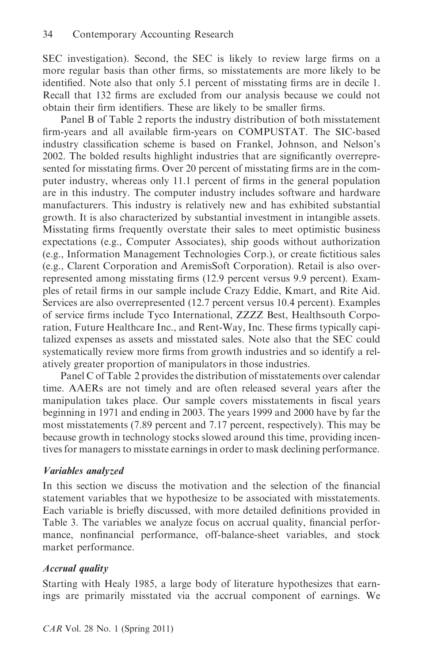SEC investigation). Second, the SEC is likely to review large firms on a more regular basis than other firms, so misstatements are more likely to be identified. Note also that only 5.1 percent of misstating firms are in decile 1. Recall that 132 firms are excluded from our analysis because we could not obtain their firm identifiers. These are likely to be smaller firms.

Panel B of Table 2 reports the industry distribution of both misstatement firm-years and all available firm-years on COMPUSTAT. The SIC-based industry classification scheme is based on Frankel, Johnson, and Nelson's 2002. The bolded results highlight industries that are significantly overrepresented for misstating firms. Over 20 percent of misstating firms are in the computer industry, whereas only 11.1 percent of firms in the general population are in this industry. The computer industry includes software and hardware manufacturers. This industry is relatively new and has exhibited substantial growth. It is also characterized by substantial investment in intangible assets. Misstating firms frequently overstate their sales to meet optimistic business expectations (e.g., Computer Associates), ship goods without authorization (e.g., Information Management Technologies Corp.), or create fictitious sales (e.g., Clarent Corporation and AremisSoft Corporation). Retail is also overrepresented among misstating firms (12.9 percent versus 9.9 percent). Examples of retail firms in our sample include Crazy Eddie, Kmart, and Rite Aid. Services are also overrepresented (12.7 percent versus 10.4 percent). Examples of service firms include Tyco International, ZZZZ Best, Healthsouth Corporation, Future Healthcare Inc., and Rent-Way, Inc. These firms typically capitalized expenses as assets and misstated sales. Note also that the SEC could systematically review more firms from growth industries and so identify a relatively greater proportion of manipulators in those industries.

Panel C of Table 2 provides the distribution of misstatements over calendar time. AAERs are not timely and are often released several years after the manipulation takes place. Our sample covers misstatements in fiscal years beginning in 1971 and ending in 2003. The years 1999 and 2000 have by far the most misstatements (7.89 percent and 7.17 percent, respectively). This may be because growth in technology stocks slowed around this time, providing incentives for managers to misstate earnings in order to mask declining performance.

# Variables analyzed

In this section we discuss the motivation and the selection of the financial statement variables that we hypothesize to be associated with misstatements. Each variable is briefly discussed, with more detailed definitions provided in Table 3. The variables we analyze focus on accrual quality, financial performance, nonfinancial performance, off-balance-sheet variables, and stock market performance.

# Accrual quality

Starting with Healy 1985, a large body of literature hypothesizes that earnings are primarily misstated via the accrual component of earnings. We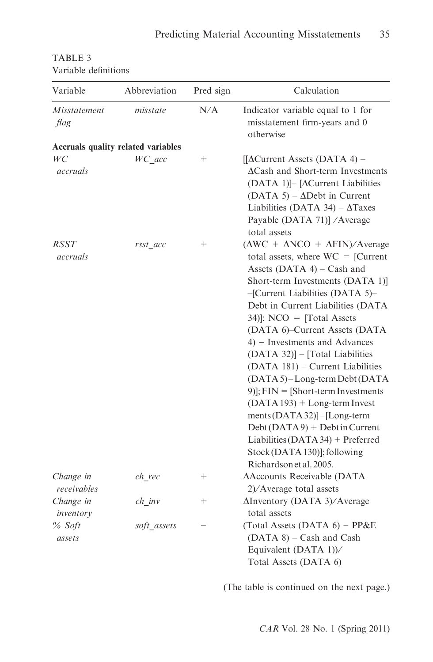| Variable                    | Abbreviation                                    | Pred sign | Calculation                                                                                                                                                                                                                                                                                                                                                                                                                                                                                                                                                                                                                                                                             |
|-----------------------------|-------------------------------------------------|-----------|-----------------------------------------------------------------------------------------------------------------------------------------------------------------------------------------------------------------------------------------------------------------------------------------------------------------------------------------------------------------------------------------------------------------------------------------------------------------------------------------------------------------------------------------------------------------------------------------------------------------------------------------------------------------------------------------|
| <b>Misstatement</b><br>flag | misstate                                        | N/A       | Indicator variable equal to 1 for<br>misstatement firm-years and 0<br>otherwise                                                                                                                                                                                                                                                                                                                                                                                                                                                                                                                                                                                                         |
| WC<br><i>accruals</i>       | Accruals quality related variables<br>$WC\_acc$ | $^{+}$    | [ $\Delta$ Current Assets (DATA 4) –<br>$\Delta$ Cash and Short-term Investments<br>(DATA 1) - [ΔCurrent Liabilities<br>$(DATA 5) - \Delta Debt$ in Current<br>Liabilities (DATA 34) - $\Delta$ Taxes<br>Payable (DATA 71)] /Average<br>total assets                                                                                                                                                                                                                                                                                                                                                                                                                                    |
| RSST<br>accruals            | rsst acc                                        | $^{+}$    | $(\Delta WC + \Delta NCO + \Delta FIN)/Average$<br>total assets, where $WC = [Current]$<br>Assets (DATA 4) – Cash and<br>Short-term Investments (DATA 1)]<br>-[Current Liabilities (DATA 5)-<br>Debt in Current Liabilities (DATA<br>34)]; $NCO =$ [Total Assets<br>(DATA 6)-Current Assets (DATA<br>4) – Investments and Advances<br>(DATA 32)] - [Total Liabilities<br>(DATA 181) - Current Liabilities<br>(DATA 5)-Long-term Debt (DATA<br>9)]; $FIN = [Short-term Investments]$<br>$(DATA 193) + Long-term Invest$<br>ments (DATA 32)]-[Long-term<br>$Debt(DATA9) + Debtin Current$<br>Liabilities (DATA 34) + Preferred<br>Stock (DATA 130)]; following<br>Richardson et al. 2005. |
| Change in<br>receivables    | $ch\_rec$                                       | $^{+}$    | <b>AAccounts Receivable (DATA</b><br>2)/Average total assets                                                                                                                                                                                                                                                                                                                                                                                                                                                                                                                                                                                                                            |
| Change in<br>inventory      | ch inv                                          | $^{+}$    | ΔInventory (DATA 3)/Average<br>total assets                                                                                                                                                                                                                                                                                                                                                                                                                                                                                                                                                                                                                                             |
| % Soft<br>assets            | soft_assets                                     |           | (Total Assets (DATA 6) - PP&E<br>(DATA 8) – Cash and Cash<br>Equivalent (DATA 1))/<br>Total Assets (DATA 6)                                                                                                                                                                                                                                                                                                                                                                                                                                                                                                                                                                             |

## TABLE 3 Variable definitions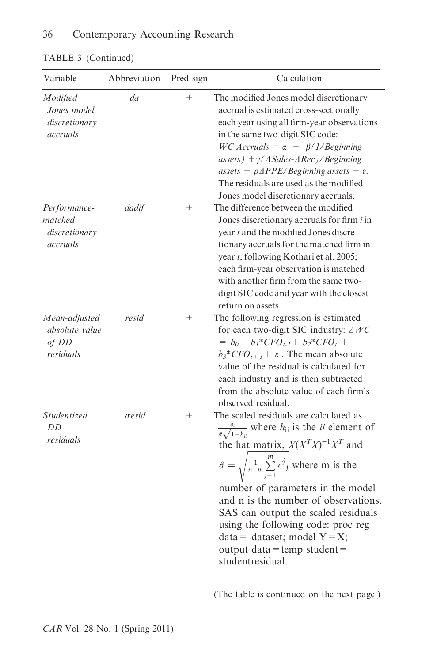| Variable                                              | Abbreviation | Pred sign | Calculation                                                                                                                                                                                                                                                                                                                                                                                                                                                                                                         |
|-------------------------------------------------------|--------------|-----------|---------------------------------------------------------------------------------------------------------------------------------------------------------------------------------------------------------------------------------------------------------------------------------------------------------------------------------------------------------------------------------------------------------------------------------------------------------------------------------------------------------------------|
| Modified<br>Jones model<br>discretionary<br>accruals  | da           | $^{+}$    | The modified Jones model discretionary<br>accrual is estimated cross-sectionally<br>each year using all firm-year observations<br>in the same two-digit SIC code:<br>$WC \text{Accruals} = \alpha + \beta \frac{1}{B}$<br>assets) + $\gamma$ ( $\triangle$ Sales- $\triangle$ Rec)/Beginning<br>assets + $\rho \Delta PPE/Beginning$ assets + $\varepsilon$ .<br>The residuals are used as the modified<br>Jones model discretionary accruals.                                                                      |
| Performance-<br>matched<br>discretionary<br>accruals  | dadif        | $^{+}$    | The difference between the modified<br>Jones discretionary accruals for firm i in<br>year t and the modified Jones discre<br>tionary accruals for the matched firm in<br>year t, following Kothari et al. 2005;<br>each firm-year observation is matched<br>with another firm from the same two-<br>digit SIC code and year with the closest<br>return on assets.                                                                                                                                                   |
| Mean-adjusted<br>absolute value<br>of DD<br>residuals | resid        | $^{+}$    | The following regression is estimated<br>for each two-digit SIC industry: $\triangle W C$<br>$= b_0 + b_1 * CFO_{t-1} + b_2 * CFO_t +$<br>$b_3$ <sup>*</sup> CFO <sub>t+1</sub> + $\varepsilon$ . The mean absolute<br>value of the residual is calculated for<br>each industry and is then subtracted<br>from the absolute value of each firm's<br>observed residual.                                                                                                                                              |
| Studentized<br>DD<br>residuals                        | sresid       | $^{+}$    | The scaled residuals are calculated as<br>$\frac{\hat{e}_i}{\hat{\sigma}\sqrt{1-h_{ii}}}$ where $h_{ii}$ is the <i>ii</i> element of<br>the hat matrix, $X(X^T X)^{-1} X^T$ and<br>$\hat{\sigma} = \sqrt{\frac{1}{n-m} \sum_{j=1}^{m} \epsilon^2} j$ where m is the<br>number of parameters in the model<br>and n is the number of observations.<br>SAS can output the scaled residuals<br>using the following code: proc reg<br>$data = dataset; model Y = X;$<br>output data = temp student =<br>studentresidual. |

|  | TABLE 3 (Continued) |
|--|---------------------|
|--|---------------------|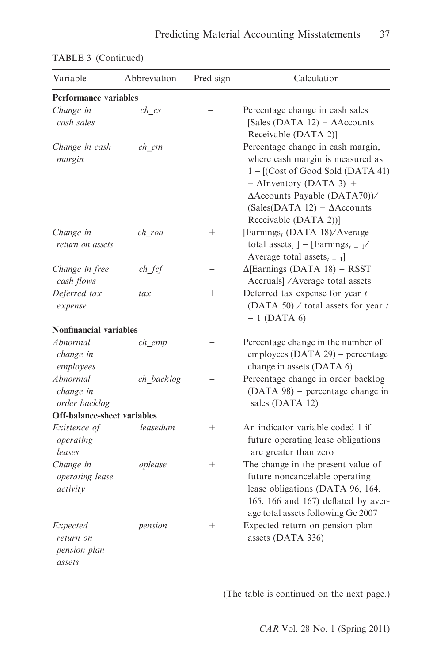| Variable                                        | Abbreviation | Pred sign | Calculation                                                                                                                                                                                                                                    |
|-------------------------------------------------|--------------|-----------|------------------------------------------------------------------------------------------------------------------------------------------------------------------------------------------------------------------------------------------------|
| <b>Performance variables</b>                    |              |           |                                                                                                                                                                                                                                                |
| Change in<br>cash sales                         | $ch\_cs$     |           | Percentage change in cash sales<br>[Sales (DATA 12) - $\Delta$ Accounts<br>Receivable (DATA 2)]                                                                                                                                                |
| Change in cash<br>margin                        | ch cm        |           | Percentage change in cash margin,<br>where cash margin is measured as<br>$1 - [(Cost of Good Sold (DATA 41)$<br>$ \Delta$ Inventory (DATA 3) +<br>ΔAccounts Payable (DATA70))/<br>(Sales(DATA 12) – $\Delta$ Accounts<br>Receivable (DATA 2))] |
| Change in<br>return on assets                   | ch_roa       | $^{+}$    | [Earnings <sub>t</sub> (DATA 18)/Average<br>total assets <sub>t</sub> ] – [Earnings <sub>t = 1</sub> /<br>Average total assets <sub>t - 1</sub> ]                                                                                              |
| Change in free<br>cash flows                    | $ch\_fcf$    |           | $\Delta$ [Earnings (DATA 18) – RSST<br>Accruals] /Average total assets                                                                                                                                                                         |
| Deferred tax<br>expense                         | tax          | $^{+}$    | Deferred tax expense for year $t$<br>(DATA 50) $\prime$ total assets for year t<br>$-1$ (DATA 6)                                                                                                                                               |
| Nonfinancial variables                          |              |           |                                                                                                                                                                                                                                                |
| Abnormal<br>change in<br>employees              | ch_emp       |           | Percentage change in the number of<br>employees (DATA 29) - percentage<br>change in assets (DATA 6)                                                                                                                                            |
| Abnormal<br>change in<br>order backlog          | ch_backlog   |           | Percentage change in order backlog<br>(DATA 98) – percentage change in<br>sales (DATA 12)                                                                                                                                                      |
| <b>Off-balance-sheet variables</b>              |              |           |                                                                                                                                                                                                                                                |
| Existence of<br>operating<br>leases             | leasedum     | $^+$      | An indicator variable coded 1 if<br>future operating lease obligations<br>are greater than zero                                                                                                                                                |
| Change in<br>operating lease<br>activity        | oplease      | $^{+}$    | The change in the present value of<br>future noncancelable operating<br>lease obligations (DATA 96, 164,<br>165, 166 and 167) deflated by aver-<br>age total assets following Ge 2007                                                          |
| Expected<br>return on<br>pension plan<br>assets | pension      | $^{+}$    | Expected return on pension plan<br>assets (DATA 336)                                                                                                                                                                                           |

| TABLE 3 (Continued) |  |
|---------------------|--|
|---------------------|--|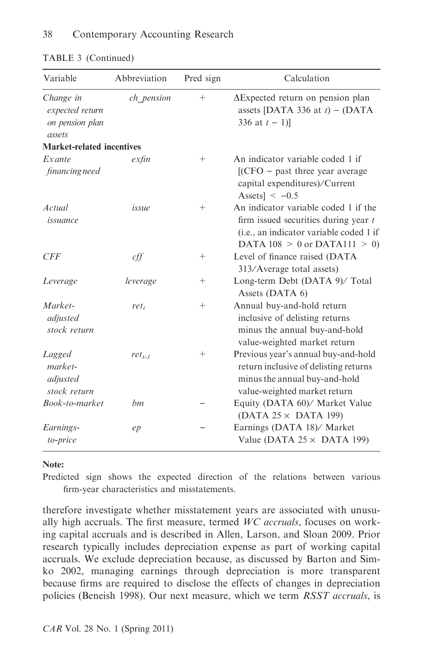| Variable                                                  | Abbreviation | Pred sign | Calculation                                                                                                                                                    |
|-----------------------------------------------------------|--------------|-----------|----------------------------------------------------------------------------------------------------------------------------------------------------------------|
| Change in<br>expected return<br>on pension plan<br>assets | ch_pension   | $+$       | ΔExpected return on pension plan<br>assets [DATA 336 at $t$ ] – (DATA<br>336 at $t-1$ ]                                                                        |
| <b>Market-related incentives</b>                          |              |           |                                                                                                                                                                |
| <b>Exante</b><br>financing need                           | exfin        | $+$       | An indicator variable coded 1 if<br>$[$ (CFO – past three year average<br>capital expenditures)/Current<br>Assets $\vert \lt -0.5$                             |
| Actual<br>issuance                                        | issue        | $^+$      | An indicator variable coded 1 if the<br>firm issued securities during year $t$<br>(i.e., an indicator variable coded 1 if<br>DATA $108 > 0$ or DATA111 $> 0$ ) |
| CFF                                                       | $c$ ff       | $^{+}$    | Level of finance raised (DATA<br>313/Average total assets)                                                                                                     |
| Leverage                                                  | leverage     | $^{+}$    | Long-term Debt (DATA 9)/ Total<br>Assets (DATA 6)                                                                                                              |
| Market-<br>adjusted<br>stock return                       | $ret_t$      | $^+$      | Annual buy-and-hold return<br>inclusive of delisting returns<br>minus the annual buy-and-hold<br>value-weighted market return                                  |
| Lagged<br>market-<br>adjusted<br>stock return             | $ret_{t-1}$  | $^+$      | Previous year's annual buy-and-hold<br>return inclusive of delisting returns<br>minus the annual buy-and-hold<br>value-weighted market return                  |
| Book-to-market                                            | hm           |           | Equity (DATA 60)/ Market Value<br>(DATA $25 \times$ DATA 199)                                                                                                  |
| Earnings-<br>to-price                                     | ep           |           | Earnings (DATA 18)/ Market<br>Value (DATA $25 \times$ DATA 199)                                                                                                |

#### Note:

Predicted sign shows the expected direction of the relations between various firm-year characteristics and misstatements.

therefore investigate whether misstatement years are associated with unusually high accruals. The first measure, termed  $WC$  accruals, focuses on working capital accruals and is described in Allen, Larson, and Sloan 2009. Prior research typically includes depreciation expense as part of working capital accruals. We exclude depreciation because, as discussed by Barton and Simko 2002, managing earnings through depreciation is more transparent because firms are required to disclose the effects of changes in depreciation policies (Beneish 1998). Our next measure, which we term RSST accruals, is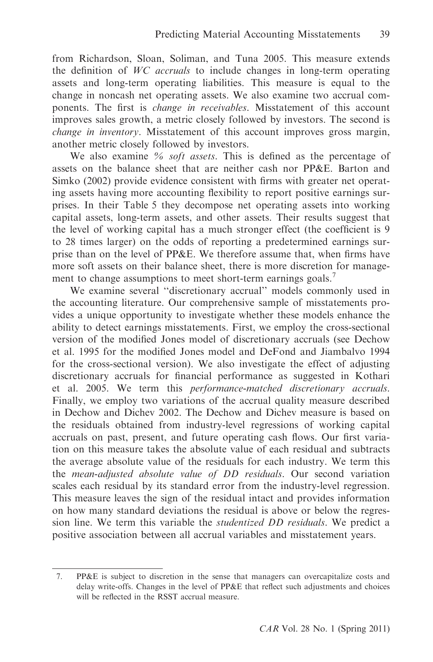from Richardson, Sloan, Soliman, and Tuna 2005. This measure extends the definition of WC accruals to include changes in long-term operating assets and long-term operating liabilities. This measure is equal to the change in noncash net operating assets. We also examine two accrual components. The first is change in receivables. Misstatement of this account improves sales growth, a metric closely followed by investors. The second is change in inventory. Misstatement of this account improves gross margin, another metric closely followed by investors.

We also examine % soft assets. This is defined as the percentage of assets on the balance sheet that are neither cash nor PP&E. Barton and Simko (2002) provide evidence consistent with firms with greater net operating assets having more accounting flexibility to report positive earnings surprises. In their Table 5 they decompose net operating assets into working capital assets, long-term assets, and other assets. Their results suggest that the level of working capital has a much stronger effect (the coefficient is 9 to 28 times larger) on the odds of reporting a predetermined earnings surprise than on the level of PP&E. We therefore assume that, when firms have more soft assets on their balance sheet, there is more discretion for management to change assumptions to meet short-term earnings goals.<sup>7</sup>

We examine several ''discretionary accrual'' models commonly used in the accounting literature. Our comprehensive sample of misstatements provides a unique opportunity to investigate whether these models enhance the ability to detect earnings misstatements. First, we employ the cross-sectional version of the modified Jones model of discretionary accruals (see Dechow et al. 1995 for the modified Jones model and DeFond and Jiambalvo 1994 for the cross-sectional version). We also investigate the effect of adjusting discretionary accruals for financial performance as suggested in Kothari et al. 2005. We term this performance-matched discretionary accruals. Finally, we employ two variations of the accrual quality measure described in Dechow and Dichev 2002. The Dechow and Dichev measure is based on the residuals obtained from industry-level regressions of working capital accruals on past, present, and future operating cash flows. Our first variation on this measure takes the absolute value of each residual and subtracts the average absolute value of the residuals for each industry. We term this the mean-adjusted absolute value of DD residuals. Our second variation scales each residual by its standard error from the industry-level regression. This measure leaves the sign of the residual intact and provides information on how many standard deviations the residual is above or below the regression line. We term this variable the studentized DD residuals. We predict a positive association between all accrual variables and misstatement years.

<sup>7.</sup> PP&E is subject to discretion in the sense that managers can overcapitalize costs and delay write-offs. Changes in the level of PP&E that reflect such adjustments and choices will be reflected in the RSST accrual measure.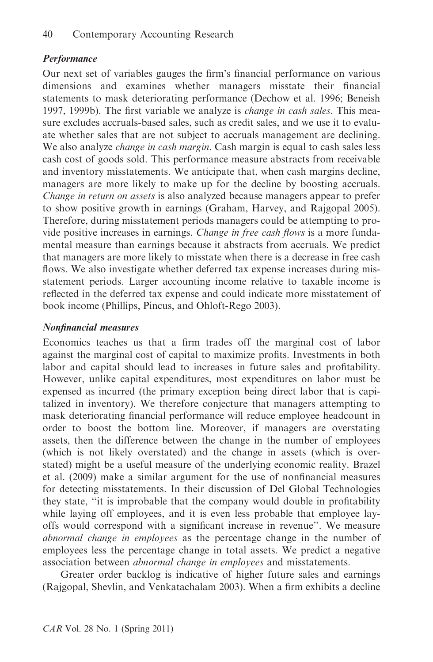# **Performance**

Our next set of variables gauges the firm's financial performance on various dimensions and examines whether managers misstate their financial statements to mask deteriorating performance (Dechow et al. 1996; Beneish 1997, 1999b). The first variable we analyze is *change in cash sales*. This measure excludes accruals-based sales, such as credit sales, and we use it to evaluate whether sales that are not subject to accruals management are declining. We also analyze *change in cash margin*. Cash margin is equal to cash sales less cash cost of goods sold. This performance measure abstracts from receivable and inventory misstatements. We anticipate that, when cash margins decline, managers are more likely to make up for the decline by boosting accruals. Change in return on assets is also analyzed because managers appear to prefer to show positive growth in earnings (Graham, Harvey, and Rajgopal 2005). Therefore, during misstatement periods managers could be attempting to provide positive increases in earnings. Change in free cash flows is a more fundamental measure than earnings because it abstracts from accruals. We predict that managers are more likely to misstate when there is a decrease in free cash flows. We also investigate whether deferred tax expense increases during misstatement periods. Larger accounting income relative to taxable income is reflected in the deferred tax expense and could indicate more misstatement of book income (Phillips, Pincus, and Ohloft-Rego 2003).

# Nonfinancial measures

Economics teaches us that a firm trades off the marginal cost of labor against the marginal cost of capital to maximize profits. Investments in both labor and capital should lead to increases in future sales and profitability. However, unlike capital expenditures, most expenditures on labor must be expensed as incurred (the primary exception being direct labor that is capitalized in inventory). We therefore conjecture that managers attempting to mask deteriorating financial performance will reduce employee headcount in order to boost the bottom line. Moreover, if managers are overstating assets, then the difference between the change in the number of employees (which is not likely overstated) and the change in assets (which is overstated) might be a useful measure of the underlying economic reality. Brazel et al. (2009) make a similar argument for the use of nonfinancial measures for detecting misstatements. In their discussion of Del Global Technologies they state, ''it is improbable that the company would double in profitability while laying off employees, and it is even less probable that employee layoffs would correspond with a significant increase in revenue''. We measure abnormal change in employees as the percentage change in the number of employees less the percentage change in total assets. We predict a negative association between abnormal change in employees and misstatements.

Greater order backlog is indicative of higher future sales and earnings (Rajgopal, Shevlin, and Venkatachalam 2003). When a firm exhibits a decline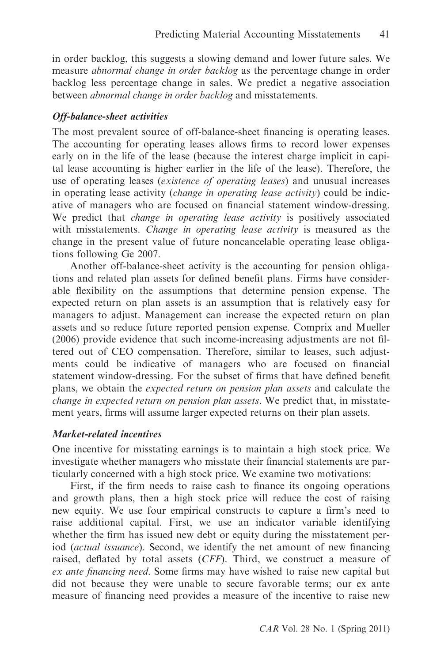in order backlog, this suggests a slowing demand and lower future sales. We measure abnormal change in order backlog as the percentage change in order backlog less percentage change in sales. We predict a negative association between abnormal change in order backlog and misstatements.

## Off-balance-sheet activities

The most prevalent source of off-balance-sheet financing is operating leases. The accounting for operating leases allows firms to record lower expenses early on in the life of the lease (because the interest charge implicit in capital lease accounting is higher earlier in the life of the lease). Therefore, the use of operating leases (existence of operating leases) and unusual increases in operating lease activity *(change in operating lease activity)* could be indicative of managers who are focused on financial statement window-dressing. We predict that *change in operating lease activity* is positively associated with misstatements. Change in operating lease activity is measured as the change in the present value of future noncancelable operating lease obligations following Ge 2007.

Another off-balance-sheet activity is the accounting for pension obligations and related plan assets for defined benefit plans. Firms have considerable flexibility on the assumptions that determine pension expense. The expected return on plan assets is an assumption that is relatively easy for managers to adjust. Management can increase the expected return on plan assets and so reduce future reported pension expense. Comprix and Mueller (2006) provide evidence that such income-increasing adjustments are not filtered out of CEO compensation. Therefore, similar to leases, such adjustments could be indicative of managers who are focused on financial statement window-dressing. For the subset of firms that have defined benefit plans, we obtain the expected return on pension plan assets and calculate the change in expected return on pension plan assets. We predict that, in misstatement years, firms will assume larger expected returns on their plan assets.

#### Market-related incentives

One incentive for misstating earnings is to maintain a high stock price. We investigate whether managers who misstate their financial statements are particularly concerned with a high stock price. We examine two motivations:

First, if the firm needs to raise cash to finance its ongoing operations and growth plans, then a high stock price will reduce the cost of raising new equity. We use four empirical constructs to capture a firm's need to raise additional capital. First, we use an indicator variable identifying whether the firm has issued new debt or equity during the misstatement period (actual issuance). Second, we identify the net amount of new financing raised, deflated by total assets (CFF). Third, we construct a measure of ex ante financing need. Some firms may have wished to raise new capital but did not because they were unable to secure favorable terms; our ex ante measure of financing need provides a measure of the incentive to raise new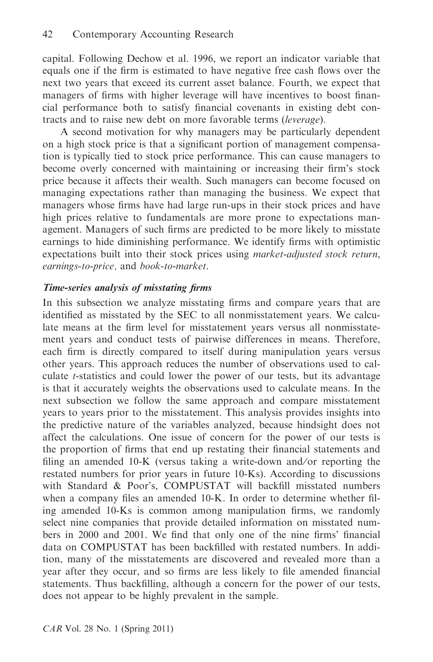capital. Following Dechow et al. 1996, we report an indicator variable that equals one if the firm is estimated to have negative free cash flows over the next two years that exceed its current asset balance. Fourth, we expect that managers of firms with higher leverage will have incentives to boost financial performance both to satisfy financial covenants in existing debt contracts and to raise new debt on more favorable terms (leverage).

A second motivation for why managers may be particularly dependent on a high stock price is that a significant portion of management compensation is typically tied to stock price performance. This can cause managers to become overly concerned with maintaining or increasing their firm's stock price because it affects their wealth. Such managers can become focused on managing expectations rather than managing the business. We expect that managers whose firms have had large run-ups in their stock prices and have high prices relative to fundamentals are more prone to expectations management. Managers of such firms are predicted to be more likely to misstate earnings to hide diminishing performance. We identify firms with optimistic expectations built into their stock prices using market-adjusted stock return, earnings-to-price, and book-to-market.

# Time-series analysis of misstating firms

In this subsection we analyze misstating firms and compare years that are identified as misstated by the SEC to all nonmisstatement years. We calculate means at the firm level for misstatement years versus all nonmisstatement years and conduct tests of pairwise differences in means. Therefore, each firm is directly compared to itself during manipulation years versus other years. This approach reduces the number of observations used to calculate t-statistics and could lower the power of our tests, but its advantage is that it accurately weights the observations used to calculate means. In the next subsection we follow the same approach and compare misstatement years to years prior to the misstatement. This analysis provides insights into the predictive nature of the variables analyzed, because hindsight does not affect the calculations. One issue of concern for the power of our tests is the proportion of firms that end up restating their financial statements and filing an amended 10-K (versus taking a write-down and/or reporting the restated numbers for prior years in future 10-Ks). According to discussions with Standard & Poor's, COMPUSTAT will backfill misstated numbers when a company files an amended 10-K. In order to determine whether filing amended 10-Ks is common among manipulation firms, we randomly select nine companies that provide detailed information on misstated numbers in 2000 and 2001. We find that only one of the nine firms' financial data on COMPUSTAT has been backfilled with restated numbers. In addition, many of the misstatements are discovered and revealed more than a year after they occur, and so firms are less likely to file amended financial statements. Thus backfilling, although a concern for the power of our tests, does not appear to be highly prevalent in the sample.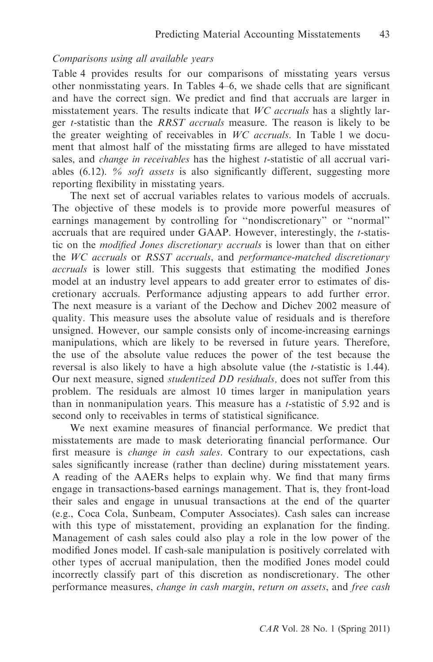## Comparisons using all available years

Table 4 provides results for our comparisons of misstating years versus other nonmisstating years. In Tables 4–6, we shade cells that are significant and have the correct sign. We predict and find that accruals are larger in misstatement years. The results indicate that WC accruals has a slightly larger t-statistic than the RRST accruals measure. The reason is likely to be the greater weighting of receivables in  $WC$  accruals. In Table 1 we document that almost half of the misstating firms are alleged to have misstated sales, and *change in receivables* has the highest *t*-statistic of all accrual variables  $(6.12)$ . % soft assets is also significantly different, suggesting more reporting flexibility in misstating years.

The next set of accrual variables relates to various models of accruals. The objective of these models is to provide more powerful measures of earnings management by controlling for ''nondiscretionary'' or ''normal'' accruals that are required under GAAP. However, interestingly, the  $t$ -statistic on the modified Jones discretionary accruals is lower than that on either the WC accruals or RSST accruals, and performance-matched discretionary accruals is lower still. This suggests that estimating the modified Jones model at an industry level appears to add greater error to estimates of discretionary accruals. Performance adjusting appears to add further error. The next measure is a variant of the Dechow and Dichev 2002 measure of quality. This measure uses the absolute value of residuals and is therefore unsigned. However, our sample consists only of income-increasing earnings manipulations, which are likely to be reversed in future years. Therefore, the use of the absolute value reduces the power of the test because the reversal is also likely to have a high absolute value (the *t*-statistic is 1.44). Our next measure, signed studentized DD residuals, does not suffer from this problem. The residuals are almost 10 times larger in manipulation years than in nonmanipulation years. This measure has a  $t$ -statistic of 5.92 and is second only to receivables in terms of statistical significance.

We next examine measures of financial performance. We predict that misstatements are made to mask deteriorating financial performance. Our first measure is *change in cash sales*. Contrary to our expectations, cash sales significantly increase (rather than decline) during misstatement years. A reading of the AAERs helps to explain why. We find that many firms engage in transactions-based earnings management. That is, they front-load their sales and engage in unusual transactions at the end of the quarter (e.g., Coca Cola, Sunbeam, Computer Associates). Cash sales can increase with this type of misstatement, providing an explanation for the finding. Management of cash sales could also play a role in the low power of the modified Jones model. If cash-sale manipulation is positively correlated with other types of accrual manipulation, then the modified Jones model could incorrectly classify part of this discretion as nondiscretionary. The other performance measures, change in cash margin, return on assets, and free cash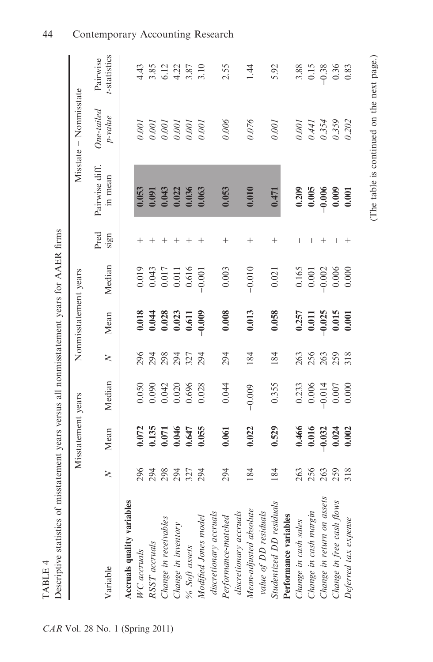| Descriptive statistics of  |                            |                                                                          | misstatement years versus all nonmisstatement years for AAER firms |                   |                                                                          |                                                                                   |              |                           |                                                                    |                                             |
|----------------------------|----------------------------|--------------------------------------------------------------------------|--------------------------------------------------------------------|-------------------|--------------------------------------------------------------------------|-----------------------------------------------------------------------------------|--------------|---------------------------|--------------------------------------------------------------------|---------------------------------------------|
|                            |                            | Misstatement years                                                       |                                                                    |                   | Nonmisstatement years                                                    |                                                                                   |              |                           | Misstate - Nonmisstate                                             |                                             |
| Variable                   | $\geq$                     | Mean                                                                     | Median                                                             | $\geq$            | Mean                                                                     | Median                                                                            | Pred<br>sign | Pairwise diff.<br>in mean | $One-tailed$<br>$p$ -value                                         | t-statistics<br>Pairwise                    |
| Accruals quality variables |                            |                                                                          |                                                                    |                   |                                                                          |                                                                                   |              |                           |                                                                    |                                             |
| WC accruals                | 296                        |                                                                          |                                                                    |                   |                                                                          |                                                                                   | $^+$         | 0.053                     | 1001                                                               | 4.43                                        |
| RSST accruals              |                            | $\begin{array}{c} 0.072 \\ 0.135 \\ 0.071 \\ 0.046 \\ 0.047 \end{array}$ | 0.050<br>0.090<br>0.042                                            | 8583533           | $\begin{array}{c} 0.018 \\ 0.044 \\ 0.028 \\ 0.023 \\ 0.611 \end{array}$ | $\begin{array}{c} 0.019 \\ 0.043 \\ 0.017 \\ 0.011 \\ 0.011 \\ 0.616 \end{array}$ | $^+$         | 0.091                     |                                                                    | 3.85                                        |
| Change in receivables      | 29<br>29<br>29<br>22<br>32 |                                                                          |                                                                    |                   |                                                                          |                                                                                   | $^+$         | 0.043<br>0.022            | $\begin{array}{c} 0.001 \\ 0.001 \\ 0.001 \\ 0.001 \\ \end{array}$ |                                             |
| Change in inventory        |                            |                                                                          | 0.020                                                              |                   |                                                                          |                                                                                   | $^+$         |                           |                                                                    |                                             |
| % Soft assets              |                            |                                                                          | 0.696                                                              |                   |                                                                          |                                                                                   | $^+$         | 0.036                     |                                                                    | $6.12$<br>$4.27$<br>$3.87$<br>$3.10$        |
| Modified Jones model       | 294                        | 0.055                                                                    | 0.028                                                              |                   | $-0.009$                                                                 | $-0.001$                                                                          | $^+$         | 0.063                     | 0.001                                                              |                                             |
| discretionary accruals     |                            |                                                                          |                                                                    |                   |                                                                          |                                                                                   |              |                           |                                                                    |                                             |
| Performance-matched        | 294                        | 0.061                                                                    | 0.044                                                              | 294               | 0.008                                                                    | 0.003                                                                             | $^+$         | 0.053                     | 0.006                                                              | 2.55                                        |
| discretionary accruals     |                            |                                                                          |                                                                    |                   |                                                                          |                                                                                   |              |                           |                                                                    |                                             |
| Mean-adjusted absolute     | 184                        | 0.022                                                                    | $-0.009$                                                           | 184               | 0.013                                                                    | $-0.010$                                                                          | $^+$         | 0.010                     | 0.076                                                              | 1.44                                        |
| value of DD residuals      |                            |                                                                          |                                                                    |                   |                                                                          |                                                                                   |              |                           |                                                                    |                                             |
| Studentized DD residuals   | 184                        | 0.529                                                                    | 0.355                                                              | 184               | 0.058                                                                    | 0.021                                                                             | $^+$         | 0.471                     | 0.001                                                              | 5.92                                        |
| Performance variables      |                            |                                                                          |                                                                    |                   |                                                                          |                                                                                   |              |                           |                                                                    |                                             |
| Change in cash sales       | 263                        |                                                                          |                                                                    | 263               |                                                                          |                                                                                   | I            | 0.209                     | 0.001                                                              | 3.88                                        |
| Change in cash margin      | 256                        | 0.466<br>0.016                                                           | 0.233<br>0.006                                                     | 256<br>263<br>259 | $0.257$<br>$0.011$                                                       | $0.165$<br>$0.001$                                                                | ı            | 0.005                     | 0.441                                                              | 0.15                                        |
| Change in return on assets | 263                        | $-0.032$                                                                 | $-0.014$                                                           |                   | $-0.025$                                                                 | $-0.002$                                                                          | $^+$         | $-0.006$                  | 0.354                                                              | $-0.38$                                     |
| Change in free cash flows  | 259                        | 0.024                                                                    | $0.007$                                                            |                   | 0.015                                                                    | 0.006                                                                             | T            | 0.009                     | 0.359                                                              | $\begin{array}{c} 0.36 \\ 0.83 \end{array}$ |
| Deferred tax expense       | 318                        | 0.002                                                                    | 0.000                                                              |                   | 0.001                                                                    | 0.000                                                                             | $^+$         | 0.001                     | 0.202                                                              |                                             |

(The table is continued on the next page.)

(The table is continued on the next page.)

# 44 Contemporary Accounting Research

TABLE 4

TABLE 4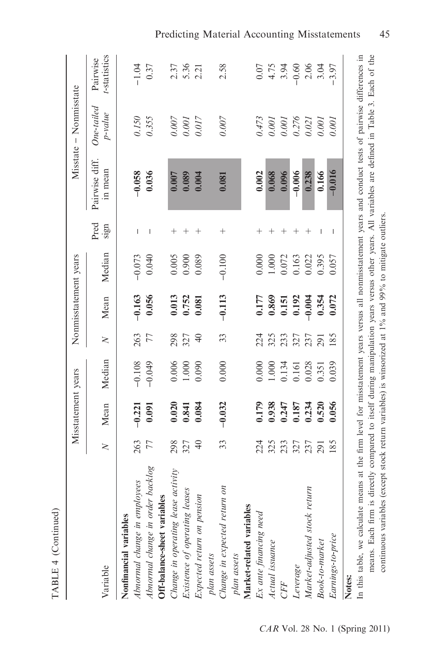|                                    |                   | Misstatement years |                  |          | Nonmisstatement years                                  |                |              |                           | Misstate - Nonmisstate   |                          |
|------------------------------------|-------------------|--------------------|------------------|----------|--------------------------------------------------------|----------------|--------------|---------------------------|--------------------------|--------------------------|
| Variable                           | $\geq$            | Mean               | Median           | $\geq$   | Mean                                                   | Median         | Pred<br>sign | Pairwise diff.<br>in mean | One-tailed<br>$p$ -value | t-statistics<br>Pairwise |
| Nonfinancial variables             |                   |                    |                  |          |                                                        |                |              |                           |                          |                          |
| Abnormal change in employees       | 263               | $-0.221$           | $-0.108$         | 263      | $-0.163$                                               | $-0.073$       | T            | $-0.058$                  | 0.150                    | $-1.04$                  |
| Abnormal change in order backlog   | 77                | 0.091              | $-0.049$         | 77       | 0.056                                                  | 0.040          | I            | 0.036                     | 0.355                    | 0.37                     |
| Off-balance-sheet variables        |                   |                    |                  |          |                                                        |                |              |                           |                          |                          |
| Change in operating lease activity | 298               |                    | 0.006            | 298      |                                                        | 0.005          | $^+$         |                           |                          | 2.37                     |
| leases<br>Existence of operating   | 327               | $0.020$<br>$0.841$ | 1.000            | 327      | $\begin{array}{c} 0.013 \\ 0.752 \\ 0.081 \end{array}$ | 0.900          | $^{+}$       | $0.007$<br>0.089          | 710°0<br>1000<br>1001    | 5.36                     |
| Expected return on pension         | $\Theta$          | 0.084              | 0.090            | $\Theta$ |                                                        | 0.089          | $^+$         | 0.004                     |                          | 2.21                     |
| plan assets                        |                   |                    |                  |          |                                                        |                |              |                           |                          |                          |
| Change in expected return on       | 33                | $-0.032$           | 0.000            | 33       | $-0.113$                                               | $-0.100$       | $^+$         | 0.081                     | 0.007                    | 2.58                     |
| plan assets                        |                   |                    |                  |          |                                                        |                |              |                           |                          |                          |
| Market-related variables           |                   |                    |                  |          |                                                        |                |              |                           |                          |                          |
| Ex ante financing need             | 224               |                    |                  | 224      |                                                        | 0.000          |              | 0.002                     | 0.473                    | 0.07                     |
| Actual issuance                    |                   | 0.179<br>0.938     | $0.000$<br>1.000 | 325      | 0.177<br>0.869                                         | 1.000          | $^+$         | 0.068                     | 0.001                    | 4.75                     |
| CFF                                | 325               | 0.247              | 0.134            | 233      | $0.151$<br>$0.192$                                     | 0.072<br>0.163 | $^{+}$       | 0.096                     | 0.001                    | 3.94                     |
| Leverage                           |                   | 0.187              | 0.161            | 327      |                                                        |                | $^+$         | $-0.006$                  | 0.276<br>0.021           | $-0.60$                  |
| return<br>Market-adjusted stock    | 327<br>237<br>291 | 0.234              | 0.028            | 237      | $-0.004$                                               | 0.022          | $^{+}$       | 0.238                     |                          | 2.06                     |
| $\label{eq:2} Book-to-market$      |                   | 0.520              |                  | 291      | 0.354                                                  | 0.395          | I            | 0.166                     | 0.001                    | 3.04                     |
| Earnings-to-price                  | 185               | 0.056              | 0.039            | 185      | 0.072                                                  | 0.057          | I            | $-0.016$                  | 0.001                    | 3.97                     |
| Notes:                             |                   |                    |                  |          |                                                        |                |              |                           |                          |                          |

TABLE 4 (Continued)

TABLE 4 (Continued)

CAR Vol. 28 No. 1 (Spring 2011)

In this table, we calculate means at the firm level for misstatement years versus all nonmisstatement years and conduct tests of pairwise differences in means. Each firm is directly compared to itself during manipulation years versus other years. All variables are defined in Table 3. Each of the In this table, we calculate means at the firm level for misstatement years versus all nonmisstatement years and conduct tests of pairwise differences in means. Each firm is directly compared to itself during manipulation years versus other years. All variables are defined in Table 3. Each of the continuous variables (except stock return variables) is winsorized at 1% and 99% to mitigate outliers. continuous variables (except stock return variables) is winsorized at 1% and 99% to mitigate outliers.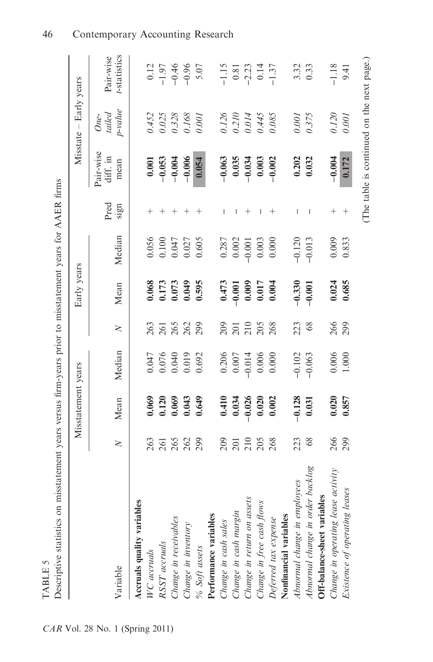| n  |  |
|----|--|
| T. |  |
|    |  |
| m  |  |
|    |  |
| ↩  |  |
|    |  |

Descriptive statistics on misstatement years versus firm-years prior to misstatement years for AAER firms Descriptive statistics on misstatement years versus firm-years prior to misstatement years for AAER firms

|                                       |                            | Misstatement years                                  |                                                                                   |                      | Early years                                                                  |                                                                  |                          |                                              | Misstate - Early years                            |                                                 |
|---------------------------------------|----------------------------|-----------------------------------------------------|-----------------------------------------------------------------------------------|----------------------|------------------------------------------------------------------------------|------------------------------------------------------------------|--------------------------|----------------------------------------------|---------------------------------------------------|-------------------------------------------------|
| Variable                              | $\geq$                     | Mean                                                | Median                                                                            | $\geq$               | Mean                                                                         | Median                                                           | Pred<br>sign             | Pair-wise<br>diff. in<br>mean                | $\begin{array}{c} One\text{-}\\tailed\end{array}$ | t-statistics<br>Pair-wise                       |
| es<br>Accruals quality variabl        |                            |                                                     |                                                                                   |                      |                                                                              |                                                                  |                          |                                              |                                                   |                                                 |
| WC accruals                           |                            |                                                     |                                                                                   |                      |                                                                              |                                                                  | $\hspace{0.1mm} +$       |                                              |                                                   |                                                 |
| RSST accruals                         |                            |                                                     |                                                                                   |                      |                                                                              |                                                                  | $^{+}$                   | $-0.001$                                     |                                                   |                                                 |
| Change in receivables                 | 353333                     | 0.069<br>0.120<br>0.069<br>0.043                    | $\begin{array}{c} 0.047 \\ 0.076 \\ 0.040 \\ 0.040 \\ 0.019 \\ 0.692 \end{array}$ | 35 36 38<br>36 36 38 | 0.068<br>0.173<br>0.049<br>0.595                                             | 0.056<br>0.100<br>0.047<br>0.027<br>0.605                        | $^{+}$                   | $-0.004$                                     | 0.452<br>0.025<br>0.328<br>0.168                  | $0.12$<br>$-1.97$<br>$-0.46$<br>$-0.96$<br>5.07 |
| Change in inventory                   |                            |                                                     |                                                                                   |                      |                                                                              |                                                                  | $^{+}$                   | $-0.006$                                     |                                                   |                                                 |
| % Soft assets                         |                            |                                                     |                                                                                   |                      |                                                                              |                                                                  | $^{+}$                   | 0.054                                        |                                                   |                                                 |
| Performance variables                 |                            |                                                     |                                                                                   |                      |                                                                              |                                                                  |                          |                                              |                                                   |                                                 |
| Change in cash sales                  |                            |                                                     |                                                                                   |                      |                                                                              |                                                                  | I                        |                                              |                                                   |                                                 |
| Change in cash margin                 | <u>និគីដូន</u><br>ខេត្តដូន | $0.410$<br>$0.034$<br>$0.026$<br>$0.020$<br>$0.020$ | $\begin{array}{c} 0.206 \\ 0.007 \\ -0.014 \\ 0.006 \\ 0.006 \end{array}$         |                      | $\begin{array}{c} 0.473 \\ -0.001 \\ 0.009 \\ 0.017 \\ 0.017 \\ \end{array}$ | $\begin{array}{c} 0.287 \\ 0.002 \\ -0.001 \\ 0.003 \end{array}$ | I                        | $-0.063$<br>$-0.035$<br>$-0.003$<br>$-0.003$ | 0.126<br>0.210<br>0.014<br>0.085<br>0.085         | $-1.15$<br>$-0.81$<br>$-2.23$<br>$-1.37$        |
| Change in return on assets            |                            |                                                     |                                                                                   |                      |                                                                              |                                                                  | $^+$                     |                                              |                                                   |                                                 |
| Change in free cash flows             |                            |                                                     |                                                                                   |                      |                                                                              |                                                                  | $\overline{1}$           |                                              |                                                   |                                                 |
| Deferred tax expense                  |                            |                                                     |                                                                                   |                      |                                                                              | 0.000                                                            | $^{+}$                   |                                              |                                                   |                                                 |
| Nonfinancial variables                |                            |                                                     |                                                                                   |                      |                                                                              |                                                                  |                          |                                              |                                                   |                                                 |
| Abnormal change in employees          | 223                        | $-0.128$<br>0.031                                   | $-0.102$<br>$-0.063$                                                              | 223                  | $-0.330$<br>$-0.001$                                                         | $-0.120$<br>$-0.013$                                             | T                        | 0.202<br>0.032                               | 9.001<br>9.375                                    | 3.32<br>0.33                                    |
| der backlog<br>Abnormal change in ora | $\infty$                   |                                                     |                                                                                   | 8 <sup>8</sup>       |                                                                              |                                                                  | $\overline{\phantom{a}}$ |                                              |                                                   |                                                 |
| Off-balance-sheet variables           |                            |                                                     |                                                                                   |                      |                                                                              |                                                                  |                          |                                              |                                                   |                                                 |
| Change in operating lease activity    | 266<br>299                 | 0.020<br>0.857                                      | $0.006$<br>1.000                                                                  | 266<br>299           | 0.024<br>0.685                                                               | 0.009<br>0.833                                                   | $^+$                     | $-0.004$                                     | 0.120<br>0.001                                    | $-1.18$<br>9.41                                 |
| leases<br>Existence of operating l    |                            |                                                     |                                                                                   |                      |                                                                              |                                                                  | $\hspace{0.1mm} +$       | 0.172                                        |                                                   |                                                 |

(The table is continued on the next page.)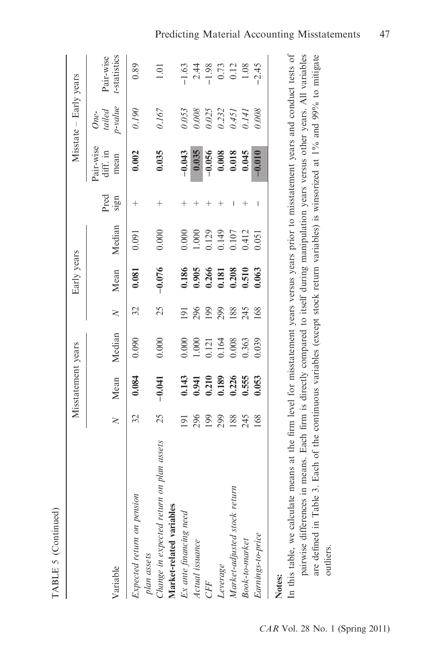|                                                                      |                  | Misstatement years                        |                                           |         | Early years                                       |                                           |                    |                                     | Misstate - Early years                    |                                                     |
|----------------------------------------------------------------------|------------------|-------------------------------------------|-------------------------------------------|---------|---------------------------------------------------|-------------------------------------------|--------------------|-------------------------------------|-------------------------------------------|-----------------------------------------------------|
| Variable                                                             | $\geq$           | Mean                                      | Median                                    | $\geq$  | Mean                                              | Median                                    | Pred<br>sign       | Pair-wise<br>diff. in<br>mean       | <b>One-</b><br>tailed<br>p-value          | t-statistics<br>Pair-wise                           |
| Expected return on pension<br>plan assets                            | 32               | 0.084                                     | 0.090                                     | 32      | 0.081                                             | 0.091                                     | $\hspace{0.1mm} +$ | 0.002                               | 0.190                                     | 0.89                                                |
| Change in expected return on plan assets<br>Market-related variables | 25               | $-0.041$                                  | 0.000                                     | 25      | $-0.076$                                          | 0.000                                     | $^{+}$             | 0.035                               | $0.167$                                   | 1.01                                                |
| Ex ante financing need                                               | $\overline{191}$ |                                           |                                           |         |                                                   | 0.000                                     |                    | $-0.043$                            |                                           |                                                     |
| Actual issuance                                                      | 296              | 0.143<br>0.941<br>0.210<br>0.326<br>0.555 | 0.000<br>1.000<br>0.121<br>0.008<br>0.363 | 5888888 | 0.186<br>0.905<br>0.266<br>0.208<br>0.510<br>0.63 |                                           |                    | 0.035                               | 9.053<br>9.008<br>9.025<br>9.451<br>9.141 | $-1.48$<br>$-1.98$<br>$-1.98$<br>$-1.08$<br>$-1.08$ |
| CFF                                                                  |                  |                                           |                                           |         |                                                   | 1.000<br>0.129<br>0.149<br>0.412<br>0.051 |                    |                                     |                                           |                                                     |
| Levrage                                                              | 2222             |                                           |                                           |         |                                                   |                                           |                    | $-0.056$<br>0.008<br>0.018<br>0.045 |                                           |                                                     |
| Market-adjusted stock return                                         |                  |                                           |                                           |         |                                                   |                                           | I                  |                                     |                                           |                                                     |
| $\label{eq:2} Book-to-marker$                                        |                  |                                           |                                           |         |                                                   |                                           | $^+$               |                                     |                                           |                                                     |
| Earnings-to-price                                                    |                  | 0.053                                     | 0.039                                     |         |                                                   |                                           | I                  | $-0.010$                            | 9.008                                     | 2.45                                                |
| Notes:                                                               |                  |                                           |                                           |         |                                                   |                                           |                    |                                     |                                           |                                                     |

In this table, we calculate means at the firm level for misstatement years versus years prior to misstatement years and conduct tests of pairwise differences in means. Each firm is directly compared to itself during manipulation years versus other years. All variables In this table, we calculate means at the firm level for misstatement years versus years prior to misstatement years and conduct tests of are defined in Table 3. Each of the continuous variables (except stock return variables) is winsorized at 1% and 99% to mitigate pairwise differences in means. Each firm is directly compared to itself during manipulation years versus other years. All variables are defined in Table 3. Each of the continuous variables (except stock return variables) is winsorized at 1% and 99% to mitigate outliers.

# Predicting Material Accounting Misstatements 47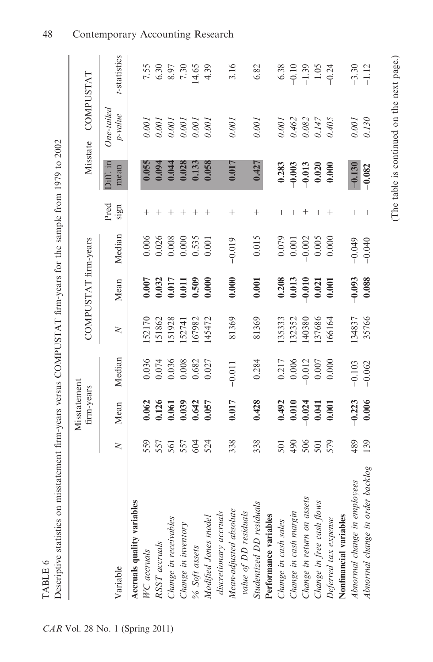| ı<br>J  |  |
|---------|--|
| r.<br>г |  |
|         |  |
| ┑<br>., |  |
|         |  |
|         |  |
|         |  |

Descriptive statistics on misstatement firm-years versus COMPUSTAT firm-years for the sample from 1979 to 2002 Descriptive statistics on misstatement firm-years versus COMPUSTAT firm-years for the sample from 1979 to 2002

|                                  |                   | Misstatement<br>firm-years                              |                                                                          |                            | COMPUSTAT firm-years             |                                                                          |                                  |                                                          | Misstate – COMPUSTAT                                |                               |
|----------------------------------|-------------------|---------------------------------------------------------|--------------------------------------------------------------------------|----------------------------|----------------------------------|--------------------------------------------------------------------------|----------------------------------|----------------------------------------------------------|-----------------------------------------------------|-------------------------------|
| Variable                         | $\geq$            | Mean                                                    | Median                                                                   | $\geq$                     | Mean                             | Median                                                                   | Pred<br>sign                     | mean                                                     | $One-tailed$<br>$p$ -value                          | t-statistics                  |
| Accruals quality variables       |                   |                                                         |                                                                          |                            |                                  |                                                                          |                                  |                                                          |                                                     |                               |
| WC accruals                      | 559               |                                                         |                                                                          | 152170                     |                                  |                                                                          |                                  |                                                          |                                                     |                               |
| RSST accruals                    |                   |                                                         |                                                                          |                            |                                  |                                                                          |                                  | 0.094                                                    |                                                     |                               |
| Change in receivables            | 557<br>561<br>564 | 0.062<br>0.126<br>0.061<br>0.039                        | $\begin{array}{c} 0.036 \\ 0.074 \\ 0.036 \\ 0.008 \\ 0.008 \end{array}$ | 151862<br>151928<br>152741 | 0.007<br>0.032<br>0.017<br>0.509 | $\begin{array}{c} 0.006 \\ 0.026 \\ 0.008 \\ 0.000 \\ 0.535 \end{array}$ |                                  | $0.044$<br>$0.028$                                       | $0.001$<br>$0.001$<br>$0.001$<br>$0.001$<br>$0.001$ | 7.55<br>6.30<br>7.30<br>7.30  |
| Change in inventory              |                   |                                                         |                                                                          |                            |                                  |                                                                          |                                  |                                                          |                                                     |                               |
| % Soft assets                    |                   |                                                         |                                                                          | 167982                     |                                  |                                                                          | $^+$                             | 0.133                                                    |                                                     | 14.65                         |
| Modified Jones model             | 524               | 0.057                                                   | 0.027                                                                    | 145472                     | 0.000                            | 0.001                                                                    |                                  | 0.058                                                    | 0.001                                               | 4.39                          |
| discretionary accruals           |                   |                                                         |                                                                          |                            |                                  |                                                                          |                                  |                                                          |                                                     |                               |
| Mean-adjusted absolute           | 338               | 0.017                                                   | $-0.011$                                                                 | 81369                      | 0.000                            | $-0.019$                                                                 | $\hspace{0.1mm} +\hspace{0.1mm}$ | 0.017                                                    | 0.001                                               | 3.16                          |
| value of DD residuals            |                   |                                                         |                                                                          |                            |                                  |                                                                          |                                  |                                                          |                                                     |                               |
| Studentized DD residuals         | 338               | 0.428                                                   | 0.284                                                                    | 81369                      | 0.001                            | 0.015                                                                    | $^+$                             | 0.427                                                    | 0.001                                               | 6.82                          |
| Performance variables            |                   |                                                         |                                                                          |                            |                                  |                                                                          |                                  |                                                          |                                                     |                               |
| Change in cash sales             | 501               |                                                         |                                                                          |                            |                                  |                                                                          | I                                |                                                          |                                                     |                               |
| Change in cash margin            | $^{490}$          | $\begin{array}{c} 0.492 \\ 0.010 \\ -0.024 \end{array}$ | $\begin{array}{c} 0.217 \\ 0.006 \\ -0.012 \end{array}$                  | 135333<br>132352           | $\frac{0.208}{0.013}$            | $\begin{array}{c} 0.079 \\ 0.001 \\ -0.002 \end{array}$                  | ı                                | $\begin{array}{c} 0.283 \\ -0.003 \\ -0.013 \end{array}$ |                                                     | 6.38                          |
| Change in return on assets       |                   |                                                         |                                                                          | 140380                     | $-0.010$                         |                                                                          | $^+$                             |                                                          |                                                     |                               |
| Change in free cash flows        | 50<br>501<br>579  | 0.041                                                   | $0.007$<br>0.000                                                         | 137686                     | $0.021$<br>$0.001$               | $0.005$<br>$0.000$                                                       | I                                | $0.020$<br>$0.000$                                       | $0.001$<br>$0.462$<br>$0.082$<br>$0.147$<br>$0.147$ | $-1.39$<br>$-1.05$<br>$-0.24$ |
| Deferred tax expense             |                   | 0.001                                                   |                                                                          | 166164                     |                                  |                                                                          | $^+$                             |                                                          |                                                     |                               |
| Nonfinancial variables           |                   |                                                         |                                                                          |                            |                                  |                                                                          |                                  |                                                          |                                                     |                               |
| Abnormal change in employees     | 489               |                                                         |                                                                          | 134837                     |                                  |                                                                          | I                                | $-0.130$                                                 |                                                     |                               |
| Abnormal change in order backlog | 139               | $\frac{-0.223}{0.006}$                                  | $-0.103$<br>$-0.062$                                                     | 35766                      | $-0.093$<br>0.088                | $-0.049$                                                                 | I                                | $-0.082$                                                 | 0.001<br>0.130                                      | $-3.30$<br>$-1.12$            |

(The table is continued on the next page.) (The table is continued on the next page.)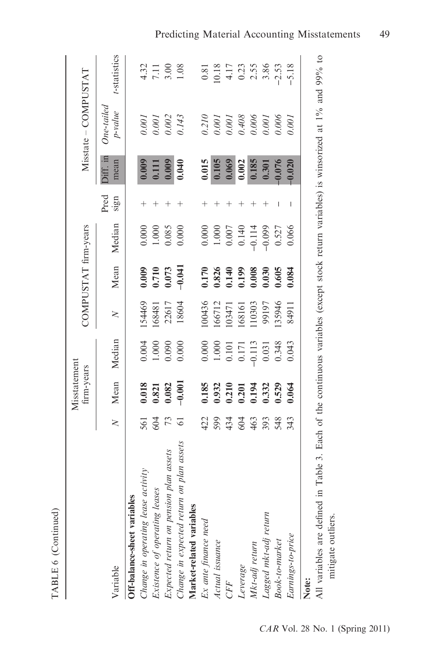|                                          |                         | Misstatemen<br>firm-years        |                                                                                            |                                      | COMPUSTAT firm-years                       |                                                                                      |                    |                                                                                   | Misstate - COMPUSTAT             |                                                                    |
|------------------------------------------|-------------------------|----------------------------------|--------------------------------------------------------------------------------------------|--------------------------------------|--------------------------------------------|--------------------------------------------------------------------------------------|--------------------|-----------------------------------------------------------------------------------|----------------------------------|--------------------------------------------------------------------|
| /ariable                                 | $\geq$                  |                                  | Mean Median                                                                                | $\geq$                               | Mean                                       | Median                                                                               | Pred<br>sign       | Diff. in<br>mean                                                                  | $One-tailea$<br>$p$ -value       | t-statistics                                                       |
| Off-balance-sheet variables              |                         |                                  |                                                                                            |                                      |                                            |                                                                                      |                    |                                                                                   |                                  |                                                                    |
| Change in operating lease activity       |                         |                                  |                                                                                            | 154469                               |                                            |                                                                                      |                    |                                                                                   |                                  |                                                                    |
| Existence of operating leases            | 56<br>604               | 0.018<br>0.821<br>0.082          | $0.004$<br>$0.000$<br>$0.000$                                                              | 168481                               | $0.009$<br>0.710<br>0.073<br>0.041         | $0.000$<br>$0.000$<br>$0.000$<br>$0.000$                                             | $\hspace{0.1mm} +$ | $\begin{array}{c} 0.009 \\ 0.111 \\ 0.009 \end{array}$                            |                                  | $4.32$<br>$7.11$<br>$3.00$<br>$1.08$                               |
| Expected return on pension plan assets   | 73                      |                                  |                                                                                            | 22617<br>18604                       |                                            |                                                                                      | $^+$               |                                                                                   |                                  |                                                                    |
| Change in expected return on plan assets | $\overline{6}$          | $-0.001$                         |                                                                                            |                                      |                                            |                                                                                      | ┿                  | 0.040                                                                             | 0.001<br>0.001<br>0.002<br>0.143 |                                                                    |
| les<br>Market-related variab             |                         |                                  |                                                                                            |                                      |                                            |                                                                                      |                    |                                                                                   |                                  |                                                                    |
| Ex ante finance need                     |                         | 0.185                            |                                                                                            | 100436                               |                                            |                                                                                      | $^+$               |                                                                                   |                                  |                                                                    |
| Actual issuance                          | 422<br>599              | 0.932<br>0.210<br>0.201<br>0.194 | $\begin{array}{c} 0.000 \\ 1.000 \\ 0.101 \\ 0.171 \\ 0.113 \\ 0.031 \\ 0.348 \end{array}$ |                                      | 0.170<br>0.826<br>0.140<br>0.008<br>0.0000 | $\begin{array}{c} 0.000 \\ 1.000 \\ 0.007 \\ 0.140 \\ 0.144 \\ 0.114 \\ \end{array}$ |                    | $\begin{array}{c} 0.015 \\ 0.105 \\ 0.069 \\ 0.002 \\ 0.185 \\ 0.301 \end{array}$ |                                  | $0.81$<br>$0.18$<br>$4.17$<br>$0.23$<br>$0.38$<br>$0.33$<br>$0.53$ |
| CFF                                      |                         |                                  |                                                                                            |                                      |                                            |                                                                                      | $^+$               |                                                                                   |                                  |                                                                    |
| Leverage                                 | $434$<br>$463$<br>$393$ |                                  |                                                                                            | 166712<br>103471<br>168161<br>110303 |                                            |                                                                                      | $^+$               |                                                                                   |                                  |                                                                    |
| Mkt-adj return                           |                         |                                  |                                                                                            |                                      |                                            |                                                                                      | $^+$               |                                                                                   |                                  |                                                                    |
| Lagged mkt-adj return                    |                         |                                  |                                                                                            | 99197                                |                                            |                                                                                      | $^+$               |                                                                                   |                                  |                                                                    |
| Book-to-market                           | 548                     | 0.529                            |                                                                                            | 135946                               |                                            | 0.527                                                                                | I                  | $-0.076$                                                                          |                                  |                                                                    |
| Earnings-to-price                        | 343                     | 0.064                            | 0.043                                                                                      | 84911                                | 0.084                                      | 0.066                                                                                | I                  | $-0.020$                                                                          | 1001                             | $-5.18$                                                            |
| Note:                                    |                         |                                  |                                                                                            |                                      |                                            |                                                                                      |                    |                                                                                   |                                  |                                                                    |

TABLE 6 (Continued) TABLE 6 (Continued)

CAR Vol. 28 No. 1 (Spring 2011)

All variables are defined in Table 3. Each of the continuous variables (except stock return variables) is winsorized at 1% and 99% to All variables are defined in Table 3. Each of the continuous variables (except stock return variables) is winsorized at 1% and 99% to mitigate outliers. mitigate outliers.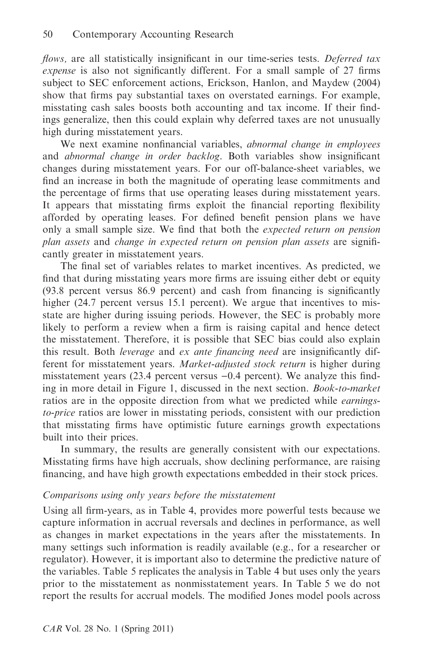flows, are all statistically insignificant in our time-series tests. Deferred tax expense is also not significantly different. For a small sample of 27 firms subject to SEC enforcement actions, Erickson, Hanlon, and Maydew (2004) show that firms pay substantial taxes on overstated earnings. For example, misstating cash sales boosts both accounting and tax income. If their findings generalize, then this could explain why deferred taxes are not unusually high during misstatement years.

We next examine nonfinancial variables, *abnormal change in employees* and abnormal change in order backlog. Both variables show insignificant changes during misstatement years. For our off-balance-sheet variables, we find an increase in both the magnitude of operating lease commitments and the percentage of firms that use operating leases during misstatement years. It appears that misstating firms exploit the financial reporting flexibility afforded by operating leases. For defined benefit pension plans we have only a small sample size. We find that both the expected return on pension plan assets and change in expected return on pension plan assets are significantly greater in misstatement years.

The final set of variables relates to market incentives. As predicted, we find that during misstating years more firms are issuing either debt or equity (93.8 percent versus 86.9 percent) and cash from financing is significantly higher (24.7 percent versus 15.1 percent). We argue that incentives to misstate are higher during issuing periods. However, the SEC is probably more likely to perform a review when a firm is raising capital and hence detect the misstatement. Therefore, it is possible that SEC bias could also explain this result. Both leverage and ex ante financing need are insignificantly different for misstatement years. Market-adjusted stock return is higher during misstatement years  $(23.4 \text{ percent} \text{ versus } -0.4 \text{ percent})$ . We analyze this finding in more detail in Figure 1, discussed in the next section. Book-to-market ratios are in the opposite direction from what we predicted while earningsto-price ratios are lower in misstating periods, consistent with our prediction that misstating firms have optimistic future earnings growth expectations built into their prices.

In summary, the results are generally consistent with our expectations. Misstating firms have high accruals, show declining performance, are raising financing, and have high growth expectations embedded in their stock prices.

#### Comparisons using only years before the misstatement

Using all firm-years, as in Table 4, provides more powerful tests because we capture information in accrual reversals and declines in performance, as well as changes in market expectations in the years after the misstatements. In many settings such information is readily available (e.g., for a researcher or regulator). However, it is important also to determine the predictive nature of the variables. Table 5 replicates the analysis in Table 4 but uses only the years prior to the misstatement as nonmisstatement years. In Table 5 we do not report the results for accrual models. The modified Jones model pools across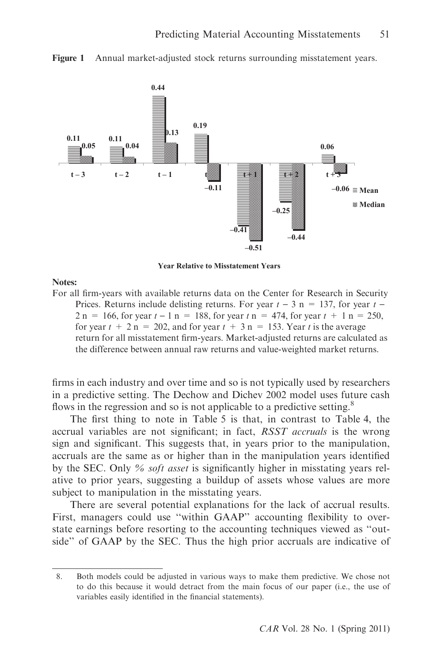

Figure 1 Annual market-adjusted stock returns surrounding misstatement years.

**Year Relative to Misstatement Years**

#### Notes:

For all firm-years with available returns data on the Center for Research in Security Prices. Returns include delisting returns. For year  $t - 3$  n = 137, for year  $t 2 n = 166$ , for year  $t - 1$  n = 188, for year  $t n = 474$ , for year  $t + 1$  n = 250, for year  $t + 2$  n = 202, and for year  $t + 3$  n = 153. Year t is the average return for all misstatement firm-years. Market-adjusted returns are calculated as the difference between annual raw returns and value-weighted market returns.

firms in each industry and over time and so is not typically used by researchers in a predictive setting. The Dechow and Dichev 2002 model uses future cash flows in the regression and so is not applicable to a predictive setting.<sup>8</sup>

The first thing to note in Table 5 is that, in contrast to Table 4, the accrual variables are not significant; in fact, RSST accruals is the wrong sign and significant. This suggests that, in years prior to the manipulation, accruals are the same as or higher than in the manipulation years identified by the SEC. Only % soft asset is significantly higher in misstating years relative to prior years, suggesting a buildup of assets whose values are more subject to manipulation in the misstating years.

There are several potential explanations for the lack of accrual results. First, managers could use "within GAAP" accounting flexibility to overstate earnings before resorting to the accounting techniques viewed as ''outside'' of GAAP by the SEC. Thus the high prior accruals are indicative of

<sup>8.</sup> Both models could be adjusted in various ways to make them predictive. We chose not to do this because it would detract from the main focus of our paper (i.e., the use of variables easily identified in the financial statements).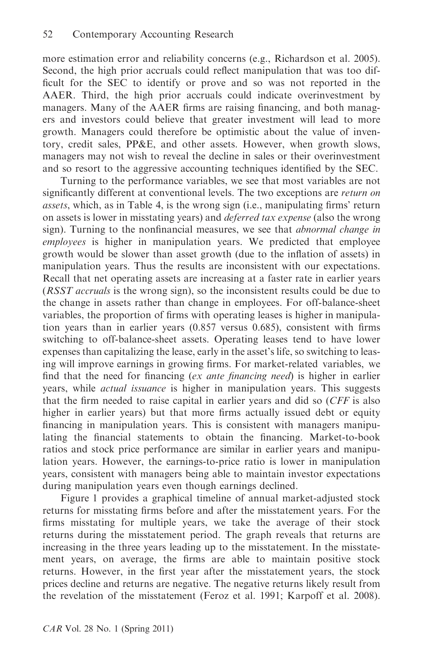more estimation error and reliability concerns (e.g., Richardson et al. 2005). Second, the high prior accruals could reflect manipulation that was too difficult for the SEC to identify or prove and so was not reported in the AAER. Third, the high prior accruals could indicate overinvestment by managers. Many of the AAER firms are raising financing, and both managers and investors could believe that greater investment will lead to more growth. Managers could therefore be optimistic about the value of inventory, credit sales, PP&E, and other assets. However, when growth slows, managers may not wish to reveal the decline in sales or their overinvestment and so resort to the aggressive accounting techniques identified by the SEC.

Turning to the performance variables, we see that most variables are not significantly different at conventional levels. The two exceptions are return on assets, which, as in Table 4, is the wrong sign (i.e., manipulating firms' return on assets is lower in misstating years) and deferred tax expense (also the wrong sign). Turning to the nonfinancial measures, we see that *abnormal change in* employees is higher in manipulation years. We predicted that employee growth would be slower than asset growth (due to the inflation of assets) in manipulation years. Thus the results are inconsistent with our expectations. Recall that net operating assets are increasing at a faster rate in earlier years (RSST accruals is the wrong sign), so the inconsistent results could be due to the change in assets rather than change in employees. For off-balance-sheet variables, the proportion of firms with operating leases is higher in manipulation years than in earlier years (0.857 versus 0.685), consistent with firms switching to off-balance-sheet assets. Operating leases tend to have lower expenses than capitalizing the lease, early in the asset's life, so switching to leasing will improve earnings in growing firms. For market-related variables, we find that the need for financing (ex ante financing need) is higher in earlier years, while actual issuance is higher in manipulation years. This suggests that the firm needed to raise capital in earlier years and did so (CFF is also higher in earlier years) but that more firms actually issued debt or equity financing in manipulation years. This is consistent with managers manipulating the financial statements to obtain the financing. Market-to-book ratios and stock price performance are similar in earlier years and manipulation years. However, the earnings-to-price ratio is lower in manipulation years, consistent with managers being able to maintain investor expectations during manipulation years even though earnings declined.

Figure 1 provides a graphical timeline of annual market-adjusted stock returns for misstating firms before and after the misstatement years. For the firms misstating for multiple years, we take the average of their stock returns during the misstatement period. The graph reveals that returns are increasing in the three years leading up to the misstatement. In the misstatement years, on average, the firms are able to maintain positive stock returns. However, in the first year after the misstatement years, the stock prices decline and returns are negative. The negative returns likely result from the revelation of the misstatement (Feroz et al. 1991; Karpoff et al. 2008).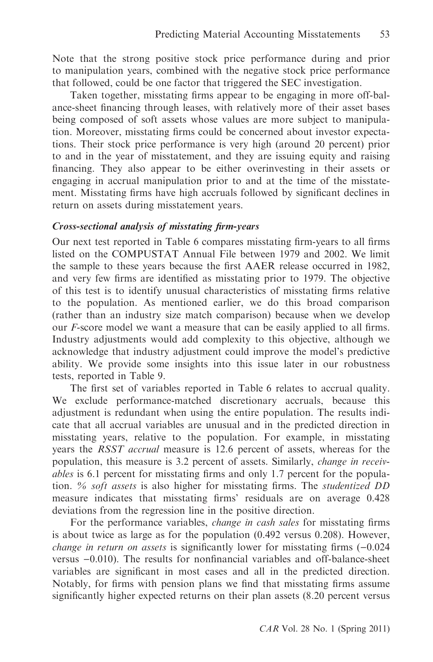Note that the strong positive stock price performance during and prior to manipulation years, combined with the negative stock price performance that followed, could be one factor that triggered the SEC investigation.

Taken together, misstating firms appear to be engaging in more off-balance-sheet financing through leases, with relatively more of their asset bases being composed of soft assets whose values are more subject to manipulation. Moreover, misstating firms could be concerned about investor expectations. Their stock price performance is very high (around 20 percent) prior to and in the year of misstatement, and they are issuing equity and raising financing. They also appear to be either overinvesting in their assets or engaging in accrual manipulation prior to and at the time of the misstatement. Misstating firms have high accruals followed by significant declines in return on assets during misstatement years.

#### Cross-sectional analysis of misstating firm-years

Our next test reported in Table 6 compares misstating firm-years to all firms listed on the COMPUSTAT Annual File between 1979 and 2002. We limit the sample to these years because the first AAER release occurred in 1982, and very few firms are identified as misstating prior to 1979. The objective of this test is to identify unusual characteristics of misstating firms relative to the population. As mentioned earlier, we do this broad comparison (rather than an industry size match comparison) because when we develop our F-score model we want a measure that can be easily applied to all firms. Industry adjustments would add complexity to this objective, although we acknowledge that industry adjustment could improve the model's predictive ability. We provide some insights into this issue later in our robustness tests, reported in Table 9.

The first set of variables reported in Table 6 relates to accrual quality. We exclude performance-matched discretionary accruals, because this adjustment is redundant when using the entire population. The results indicate that all accrual variables are unusual and in the predicted direction in misstating years, relative to the population. For example, in misstating years the RSST accrual measure is 12.6 percent of assets, whereas for the population, this measure is 3.2 percent of assets. Similarly, change in receivables is 6.1 percent for misstating firms and only 1.7 percent for the population. % soft assets is also higher for misstating firms. The studentized DD measure indicates that misstating firms' residuals are on average 0.428 deviations from the regression line in the positive direction.

For the performance variables, *change in cash sales* for misstating firms is about twice as large as for the population (0.492 versus 0.208). However, change in return on assets is significantly lower for misstating firms  $(-0.024)$ versus  $-0.010$ ). The results for nonfinancial variables and off-balance-sheet variables are significant in most cases and all in the predicted direction. Notably, for firms with pension plans we find that misstating firms assume significantly higher expected returns on their plan assets (8.20 percent versus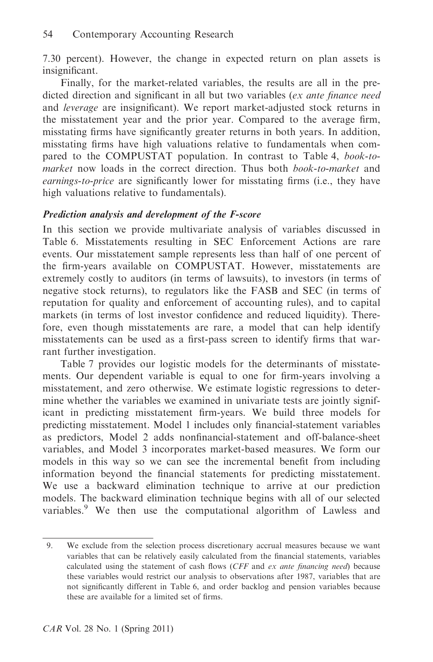7.30 percent). However, the change in expected return on plan assets is insignificant.

Finally, for the market-related variables, the results are all in the predicted direction and significant in all but two variables (ex ante finance need and leverage are insignificant). We report market-adjusted stock returns in the misstatement year and the prior year. Compared to the average firm, misstating firms have significantly greater returns in both years. In addition, misstating firms have high valuations relative to fundamentals when compared to the COMPUSTAT population. In contrast to Table 4, book-tomarket now loads in the correct direction. Thus both book-to-market and earnings-to-price are significantly lower for misstating firms (i.e., they have high valuations relative to fundamentals).

# Prediction analysis and development of the F-score

In this section we provide multivariate analysis of variables discussed in Table 6. Misstatements resulting in SEC Enforcement Actions are rare events. Our misstatement sample represents less than half of one percent of the firm-years available on COMPUSTAT. However, misstatements are extremely costly to auditors (in terms of lawsuits), to investors (in terms of negative stock returns), to regulators like the FASB and SEC (in terms of reputation for quality and enforcement of accounting rules), and to capital markets (in terms of lost investor confidence and reduced liquidity). Therefore, even though misstatements are rare, a model that can help identify misstatements can be used as a first-pass screen to identify firms that warrant further investigation.

Table 7 provides our logistic models for the determinants of misstatements. Our dependent variable is equal to one for firm-years involving a misstatement, and zero otherwise. We estimate logistic regressions to determine whether the variables we examined in univariate tests are jointly significant in predicting misstatement firm-years. We build three models for predicting misstatement. Model 1 includes only financial-statement variables as predictors, Model 2 adds nonfinancial-statement and off-balance-sheet variables, and Model 3 incorporates market-based measures. We form our models in this way so we can see the incremental benefit from including information beyond the financial statements for predicting misstatement. We use a backward elimination technique to arrive at our prediction models. The backward elimination technique begins with all of our selected variables.<sup>9</sup> We then use the computational algorithm of Lawless and

<sup>9.</sup> We exclude from the selection process discretionary accrual measures because we want variables that can be relatively easily calculated from the financial statements, variables calculated using the statement of cash flows (CFF and ex ante financing need) because these variables would restrict our analysis to observations after 1987, variables that are not significantly different in Table 6, and order backlog and pension variables because these are available for a limited set of firms.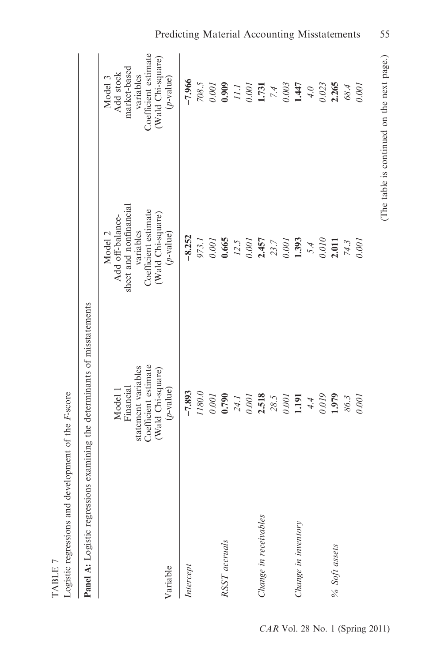|                | $\int$ the $F$ -s                                    |
|----------------|------------------------------------------------------|
|                | repressions and development of<br>1<br>$\frac{1}{2}$ |
| ľ              |                                                      |
| ţ<br>i<br>FARI |                                                      |

|   | j<br>$1 + 20$                                                                          |
|---|----------------------------------------------------------------------------------------|
|   |                                                                                        |
|   | l<br>I                                                                                 |
|   | $\frac{1}{2}$                                                                          |
|   |                                                                                        |
|   | í<br><b>HAMP OVONTO</b><br>ׇׇ֚֚֬֓                                                      |
|   | I<br>J<br>ı                                                                            |
|   | l                                                                                      |
|   |                                                                                        |
|   | ֧֖֧ׅ֧֧֧֧֧֧֧֧֧֧֪֧֧֧֪֪֪֧֧֚֚֚֚֚֚֚֚֚֚֚֚֚֚֚֚֚֚֚֚֚֚֚֚֚֚֚֚֚֝֬֝֬֝֬֝֬֝֓֝֬֝֬֝֬֝֬֝֬֝֬֝֬֝֬֝֬֝֬֝֬֝֬ |
| ſ | ł                                                                                      |

| Variable              | Coefficient estimate<br>statement variables<br>(Wald Chi-square)<br>Financial<br>$(p$ -value $)$<br>Model 1 | sheet and nonfinancial<br>Coefficient estimate<br>(Wald Chi-square)<br>Add off-balance-<br>variables<br>Model 2<br>$(p$ -value) | Coefficient estimate<br>(Wald Chi-square)<br>market-based<br>Add stock<br>variables<br>Model 3<br>$(p$ -value) |
|-----------------------|-------------------------------------------------------------------------------------------------------------|---------------------------------------------------------------------------------------------------------------------------------|----------------------------------------------------------------------------------------------------------------|
| Intercept             | $-7.893$<br>1180.0                                                                                          | $-8.252$<br>973.1                                                                                                               | $-7.966$<br>708.5                                                                                              |
|                       | 0.001                                                                                                       | 1001                                                                                                                            | 1.001                                                                                                          |
| RSST accruals         | 0.790                                                                                                       | 0.665                                                                                                                           |                                                                                                                |
|                       | $24.1$<br>0.001                                                                                             | 0.001<br>12.5                                                                                                                   | 11.1<br>TIT<br>1001                                                                                            |
| Change in receivables | $2.518$<br>$28.5$                                                                                           | $2.457$<br>23.7                                                                                                                 | 1.731                                                                                                          |
|                       | 1001                                                                                                        | 0.001                                                                                                                           | 0.003<br>74                                                                                                    |
| Change in inventory   | 1.191                                                                                                       | 1.393                                                                                                                           | 1.447                                                                                                          |
|                       | 4.4                                                                                                         | 5.4                                                                                                                             | $\dot{\sigma}$                                                                                                 |
|                       | 9.019                                                                                                       | 010.0                                                                                                                           | 0.23                                                                                                           |
| % Soft assets         | 1.979                                                                                                       | 2.011                                                                                                                           | 2.265                                                                                                          |
|                       | 86.3                                                                                                        | 74.3                                                                                                                            | 68.4                                                                                                           |
|                       | 0.001                                                                                                       | 0.001                                                                                                                           | 0.001                                                                                                          |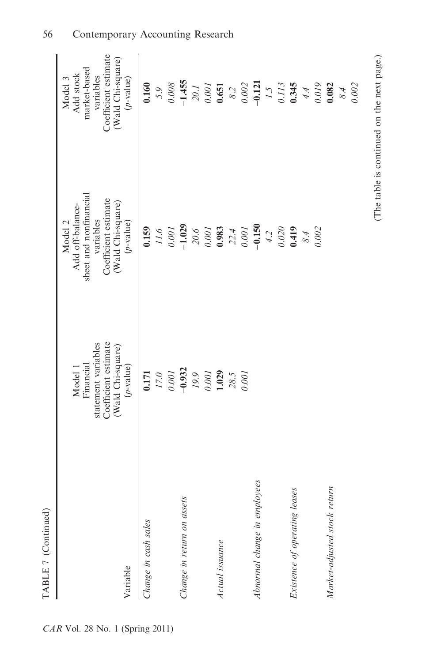| Variable                         | Coefficient estimate<br>statement variables<br>(Wald Chi-square)<br>Financial<br>$(p$ -value)<br>Model 1 | sheet and nonfinancial<br>Coefficient estimate<br>(Wald Chi-square)<br>Add off-balance-<br>variables<br>Model 2<br>$(p$ -value) | Coefficient estimate<br>(Wald Chi-square)<br>market-based<br>Add stock<br>variables<br>Model 3<br>$(p$ -value) |
|----------------------------------|----------------------------------------------------------------------------------------------------------|---------------------------------------------------------------------------------------------------------------------------------|----------------------------------------------------------------------------------------------------------------|
| Change in cash sales             | 0.001<br>$17.0\,$<br>0.171                                                                               | 0.159<br>0.001<br>$\eta$                                                                                                        | 0.160<br>$0.008$<br>5.9                                                                                        |
| Change in return on assets       | $-0.932$<br>$\delta\delta I$<br>0.001                                                                    | $-1.029$<br>$20.6\,$<br>0.001                                                                                                   | $-1.455$<br>$20. I$                                                                                            |
| Actual issuance                  | 1.029<br>$28.5\,$<br>1.001                                                                               | $0.983$<br>22.4<br>0.001                                                                                                        | $\begin{array}{c} 0.001 \\ 0.651 \\ 8.2 \\ 0.002 \end{array}$                                                  |
| Abnormal change in employees     |                                                                                                          | $-0.150$<br>4.2                                                                                                                 | $-0.121$<br>0.113<br>$\overline{I}$ .5                                                                         |
| leases<br>Existence of operating |                                                                                                          | $0.020$<br>0.419<br>002<br>8.4                                                                                                  | 0.345<br>0.019<br>$\phi^+$                                                                                     |
| Market-adjusted stock return     |                                                                                                          |                                                                                                                                 | 0.002<br>0.082<br>$8.4\,$                                                                                      |

(The table is continued on the next page.)

(The table is continued on the next page.)

CAR Vol. 28 No. 1 (Spring 2011)

TABLE 7 (Continued)

TABLE 7 (Continued)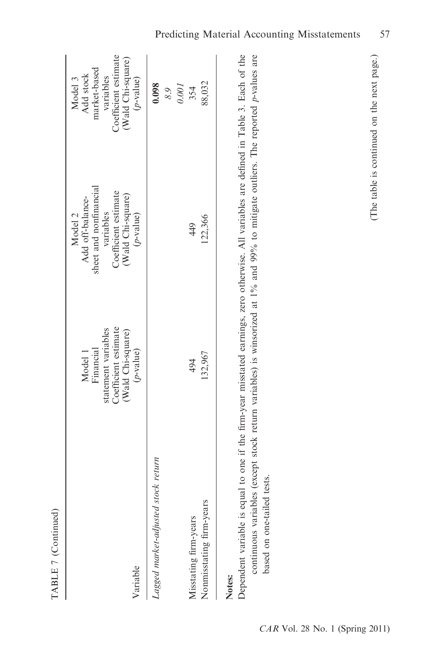| maniman i manimi                                                                                                                                                                                  |                                                                                                          |                                                                                                                                    |                                                                                                                |
|---------------------------------------------------------------------------------------------------------------------------------------------------------------------------------------------------|----------------------------------------------------------------------------------------------------------|------------------------------------------------------------------------------------------------------------------------------------|----------------------------------------------------------------------------------------------------------------|
| Variable                                                                                                                                                                                          | Coefficient estimate<br>statement variables<br>(Wald Chi-square)<br>Financial<br>$(p$ -value)<br>Model 1 | sheet and nonfinancial<br>Coefficient estimate<br>(Wald Chi-square)<br>Add off-balance-<br>variables<br>$(p$ -value $)$<br>Model 2 | Coefficient estimate<br>(Wald Chi-square)<br>market-based<br>Add stock<br>variables<br>Model 3<br>$(p$ -value) |
| Lagged market-adjusted stock return                                                                                                                                                               |                                                                                                          |                                                                                                                                    | 0.098                                                                                                          |
|                                                                                                                                                                                                   |                                                                                                          |                                                                                                                                    | 0.001<br>$\delta.9$                                                                                            |
| Misstating firm-years                                                                                                                                                                             | 494                                                                                                      | 449                                                                                                                                | 354                                                                                                            |
| Nonmisstating firm-years                                                                                                                                                                          | 132,967                                                                                                  | 122,366                                                                                                                            | 88,032                                                                                                         |
| continuous variables (except stock return variables) is winsorized at 1% and 99% to mitigate outliers. The reported p-values are<br>based on one-tailed tests.<br>Oependent variable is<br>Notes: |                                                                                                          | equal to one if the firm-year misstated earnings, zero otherwise. All variables are defined in Table 3. Each of the                |                                                                                                                |

(The table is continued on the next page.) (The table is continued on the next page.)

TABLE 7 (Continued) TABLE 7 (Continued)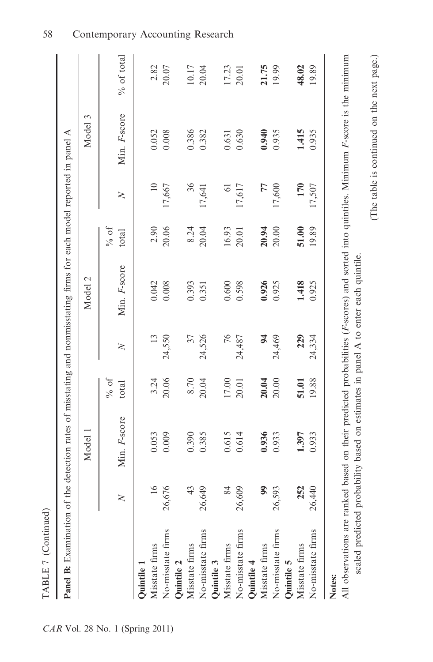|                                                                 |               | Model        |               |                | Model 2      |               |                 | Model 3      |            |
|-----------------------------------------------------------------|---------------|--------------|---------------|----------------|--------------|---------------|-----------------|--------------|------------|
|                                                                 | $\geq$        | Min. F-score | % of<br>total | $\geq$         | Min. F-score | % of<br>total | $\geq$          | Min. F-score | % of total |
| Quintile 1                                                      |               |              |               |                |              |               |                 |              |            |
| Misstate firms                                                  | $\frac{6}{1}$ | 0.053        | 3.24          | 13             | 0.042        | 2.90          | $\overline{10}$ | 0.052        | 2.82       |
| No-misstate firms<br><b>Quintile 2</b><br>Misstate firms        | 26,676        | 0.009        | 20.06         | 24,550         | 0.008        | 20.06         | 17,667          | 0.008        | 20.07      |
|                                                                 |               |              |               |                |              |               |                 |              |            |
|                                                                 | 43            | 0.390        | 8.70          | 37             | 0.393        | 8.24          | 36              | 0.386        | $10.17\,$  |
| No-misstate firms                                               | 26,649        | 0.385        | 20.04         | 24,526         | 0.351        | 20.04         | 17,641          | 0.382        | 20.04      |
|                                                                 |               |              |               |                |              |               |                 |              |            |
|                                                                 | 84            | 0.615        | 17.00         | 76             | 0.600        | 16.93         | $\overline{6}$  | 0.631        | 17.23      |
| <b>Quintile 3</b><br>Misstate firms<br>No-misstate firms        | 26,609        | 0.614        | 20.01         | 24,487         | 0.598        | 20.01         | 17,617          | 0.630        | 20.01      |
|                                                                 |               |              |               |                |              |               |                 |              |            |
|                                                                 | $\mathbf{9}$  | 0.936        | 20.04         | $\overline{5}$ | 0.926        | 20.94         | 77              | 0.940        | 21.75      |
| Quintile 4<br>Misstate firms<br>No-misstate firms<br>Quintile 5 | 26,593        | 0.933        | 20.00         | 24,469         | 0.925        | 20.00         | 17,600          | 0.935        | 19.99      |
|                                                                 |               |              |               |                |              |               |                 |              |            |
| Misstate firms                                                  | 252           | 1.397        | 51.01         | 229            | 1.418        | 51.00         | 170             | 1.415        | 48.02      |
| No-misstate firms                                               | 26,440        | 0.933        | 19.88         | 24,334         | 0.925        | 19.89         | 17,507          | 0.935        | 19.89      |

All observations are ranked based on their predicted probabilities (F-scores) and sorted into quintiles. Minimum F-score is the minimum F-score is the minimum F-scores) and sorted into quintiles. Minimum scaled predicted probability based on estimates in panel A to enter each quintile. scaled predicted probability based on estimates in panel A to enter each quintile. All observations are ranked based on their predicted probabilities (

(The table is continued on the next page.)

(The table is continued on the next page.)

58 Contemporary Accounting Research

TABLE 7 (Continued)

TABLE 7 (Continued)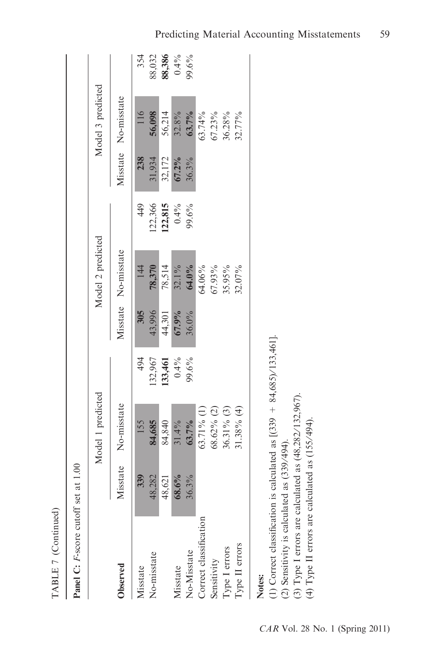TABLE 7 (Continued) TABLE 7 (Continued)

| ì               |
|-----------------|
|                 |
|                 |
| ದ               |
|                 |
|                 |
| šē              |
|                 |
| Ş               |
|                 |
|                 |
|                 |
| i               |
|                 |
| ć<br>ׇ֧֧ׅ֧ׅ֕֜֜֜ |
|                 |
| )<br>)<br>S     |
|                 |
|                 |
|                 |
|                 |
| i               |
|                 |
|                 |
| ì<br>Î          |
|                 |
|                 |
|                 |
|                 |

|                        |        | Model 1 predicted    |                  |        | Model 2 predicted    |         |                 | Model 3 predicted    |         |
|------------------------|--------|----------------------|------------------|--------|----------------------|---------|-----------------|----------------------|---------|
| <b>bserved</b>         |        | Misstate No-misstate |                  |        | Misstate No-misstate |         |                 | Misstate No-misstate |         |
| fisstate               | 339    | 155                  | 494              | 305    | 144                  | 449     | 238             | 116                  | 354     |
| lo-misstate            | 48,282 | 84,685               | 132,967          | 43,996 | 78,370               | 122,366 | 31,934          | 56,098               | 88,032  |
|                        | 48,621 | 84,840               | 133,461          | 44,301 | 78,514               | 122,815 |                 | 56,214               | 88,386  |
| fisstate               | 68.6%  | 31.4%                |                  | 67.9%  |                      | $0.4\%$ | 32,172<br>67.2% |                      | $0.4\%$ |
| vo-Misstate            | 36.3%  | $63.7\%$             | $0.4\%$<br>99.6% | 36.0%  | 32.1%<br>64.0%       | 99.6%   | 36.3%           | $32.8%$<br>63.7%     | 99.6%   |
| Correct classification |        | 63.71% (1)           |                  |        | 64.06%               |         |                 | 63.74%               |         |
| sensitivity            |        | 68.62% (2)           |                  |        | 67.93%               |         |                 | 67.23%               |         |
| ype I errors           |        | 36.31% (3)           |                  |        | 35.95%               |         |                 | 36.28%               |         |
| Type II errors         |        | $1.38\%$ (4)         |                  |        | 32.07%               |         |                 | 32.77%               |         |
|                        |        |                      |                  |        |                      |         |                 |                      |         |

Notes:

(1) Correct classification is calculated as  $[(339 + 84,685)]$  $/133,461$ ].

(2) Sensitivity is calculated as (339 ⁄ 494).

(3) Type I errors are calculated as (48,282 ⁄ 132,967). ⁄ 494).

(4) Type II errors are calculated as (155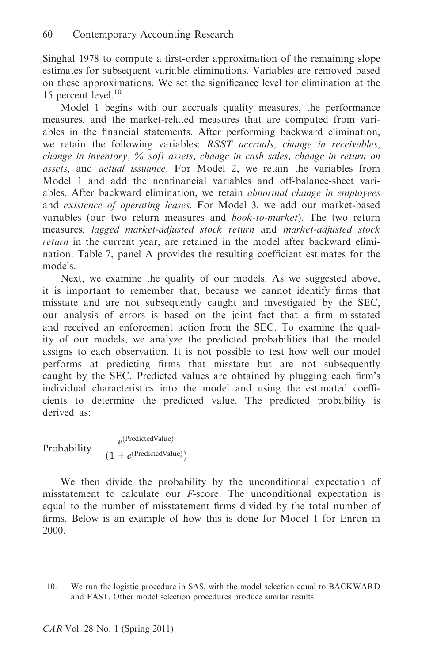Singhal 1978 to compute a first-order approximation of the remaining slope estimates for subsequent variable eliminations. Variables are removed based on these approximations. We set the significance level for elimination at the 15 percent level. $10$ 

Model 1 begins with our accruals quality measures, the performance measures, and the market-related measures that are computed from variables in the financial statements. After performing backward elimination, we retain the following variables: RSST accruals, change in receivables, change in inventory, % soft assets, change in cash sales, change in return on assets, and actual issuance. For Model 2, we retain the variables from Model 1 and add the nonfinancial variables and off-balance-sheet variables. After backward elimination, we retain abnormal change in employees and existence of operating leases. For Model 3, we add our market-based variables (our two return measures and book-to-market). The two return measures, lagged market-adjusted stock return and market-adjusted stock return in the current year, are retained in the model after backward elimination. Table 7, panel A provides the resulting coefficient estimates for the models.

Next, we examine the quality of our models. As we suggested above, it is important to remember that, because we cannot identify firms that misstate and are not subsequently caught and investigated by the SEC, our analysis of errors is based on the joint fact that a firm misstated and received an enforcement action from the SEC. To examine the quality of our models, we analyze the predicted probabilities that the model assigns to each observation. It is not possible to test how well our model performs at predicting firms that misstate but are not subsequently caught by the SEC. Predicted values are obtained by plugging each firm's individual characteristics into the model and using the estimated coefficients to determine the predicted value. The predicted probability is derived as:

Probability  $=$   $\frac{e^{(\text{PredictedValue})}}{(1 + e^{(\text{PredictedValue})})}$ 

We then divide the probability by the unconditional expectation of misstatement to calculate our F-score. The unconditional expectation is equal to the number of misstatement firms divided by the total number of firms. Below is an example of how this is done for Model 1 for Enron in 2000.

<sup>10.</sup> We run the logistic procedure in SAS, with the model selection equal to BACKWARD and FAST. Other model selection procedures produce similar results.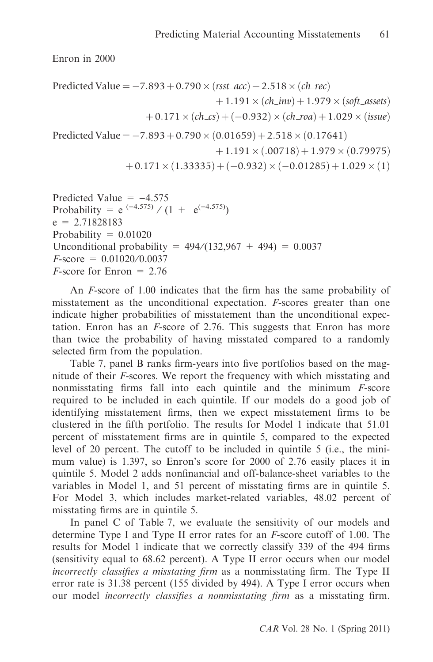Enron in 2000

Predicted Value =  $-7.893 + 0.790 \times (rsst \text{arc}) + 2.518 \times (ch \text{arc})$  $+1.191 \times (ch\_inv) + 1.979 \times (soft\_assets)$  $+0.171 \times (ch\_{cs}) + (-0.932) \times (ch\_{ro}) + 1.029 \times (issue)$ 

Predicted Value =  $-7.893 + 0.790 \times (0.01659) + 2.518 \times (0.17641)$  $+1.191 \times (.00718) + 1.979 \times (0.79975)$  $(1.171 \times (1.33335) + (-0.932) \times (-0.01285) + 1.029 \times (1)$ 

Predicted Value  $= -4.575$ Probability = e<sup>(-4.575)</sup> / (1 + e<sup>(-4.575)</sup>)  $e = 2.71828183$ Probability  $= 0.01020$ Unconditional probability =  $494/(132,967 + 494) = 0.0037$  $F\text{-score} = 0.01020/0.0037$  $F\text{-score}$  for Enron = 2.76

An F-score of 1.00 indicates that the firm has the same probability of misstatement as the unconditional expectation. F-scores greater than one indicate higher probabilities of misstatement than the unconditional expectation. Enron has an F-score of 2.76. This suggests that Enron has more than twice the probability of having misstated compared to a randomly selected firm from the population.

Table 7, panel B ranks firm-years into five portfolios based on the magnitude of their F-scores. We report the frequency with which misstating and nonmisstating firms fall into each quintile and the minimum F-score required to be included in each quintile. If our models do a good job of identifying misstatement firms, then we expect misstatement firms to be clustered in the fifth portfolio. The results for Model 1 indicate that 51.01 percent of misstatement firms are in quintile 5, compared to the expected level of 20 percent. The cutoff to be included in quintile 5 (i.e., the minimum value) is 1.397, so Enron's score for 2000 of 2.76 easily places it in quintile 5. Model 2 adds nonfinancial and off-balance-sheet variables to the variables in Model 1, and 51 percent of misstating firms are in quintile 5. For Model 3, which includes market-related variables, 48.02 percent of misstating firms are in quintile 5.

In panel C of Table 7, we evaluate the sensitivity of our models and determine Type I and Type II error rates for an F-score cutoff of 1.00. The results for Model 1 indicate that we correctly classify 339 of the 494 firms (sensitivity equal to 68.62 percent). A Type II error occurs when our model incorrectly classifies a misstating firm as a nonmisstating firm. The Type II error rate is 31.38 percent (155 divided by 494). A Type I error occurs when our model incorrectly classifies a nonmisstating firm as a misstating firm.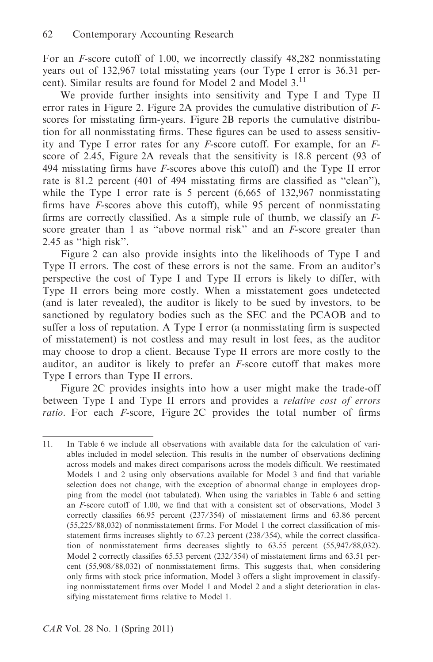For an F-score cutoff of 1.00, we incorrectly classify 48,282 nonmisstating years out of 132,967 total misstating years (our Type I error is 36.31 percent). Similar results are found for Model 2 and Model 3.<sup>11</sup>

We provide further insights into sensitivity and Type I and Type II error rates in Figure 2. Figure 2A provides the cumulative distribution of Fscores for misstating firm-years. Figure 2B reports the cumulative distribution for all nonmisstating firms. These figures can be used to assess sensitivity and Type I error rates for any  $F$ -score cutoff. For example, for an  $F$ score of 2.45, Figure 2A reveals that the sensitivity is 18.8 percent (93 of 494 misstating firms have  $F$ -scores above this cutoff) and the Type II error rate is 81.2 percent (401 of 494 misstating firms are classified as ''clean''), while the Type I error rate is 5 percent  $(6,665 \text{ of } 132,967 \text{ nonmissating})$ firms have F-scores above this cutoff), while 95 percent of nonmisstating firms are correctly classified. As a simple rule of thumb, we classify an Fscore greater than 1 as "above normal risk" and an *F*-score greater than 2.45 as ''high risk''.

Figure 2 can also provide insights into the likelihoods of Type I and Type II errors. The cost of these errors is not the same. From an auditor's perspective the cost of Type I and Type II errors is likely to differ, with Type II errors being more costly. When a misstatement goes undetected (and is later revealed), the auditor is likely to be sued by investors, to be sanctioned by regulatory bodies such as the SEC and the PCAOB and to suffer a loss of reputation. A Type I error (a nonmisstating firm is suspected of misstatement) is not costless and may result in lost fees, as the auditor may choose to drop a client. Because Type II errors are more costly to the auditor, an auditor is likely to prefer an F-score cutoff that makes more Type I errors than Type II errors.

Figure 2C provides insights into how a user might make the trade-off between Type I and Type II errors and provides a relative cost of errors ratio. For each F-score, Figure 2C provides the total number of firms

<sup>11.</sup> In Table 6 we include all observations with available data for the calculation of variables included in model selection. This results in the number of observations declining across models and makes direct comparisons across the models difficult. We reestimated Models 1 and 2 using only observations available for Model 3 and find that variable selection does not change, with the exception of abnormal change in employees dropping from the model (not tabulated). When using the variables in Table 6 and setting an F-score cutoff of 1.00, we find that with a consistent set of observations, Model 3 correctly classifies 66.95 percent (237/354) of misstatement firms and 63.86 percent  $(55,225/88,032)$  of nonmisstatement firms. For Model 1 the correct classification of misstatement firms increases slightly to 67.23 percent (238/354), while the correct classification of nonmisstatement firms decreases slightly to  $63.55$  percent  $(55,947/88,032)$ . Model 2 correctly classifies 65.53 percent (232/354) of misstatement firms and 63.51 percent (55,908/88,032) of nonmisstatement firms. This suggests that, when considering only firms with stock price information, Model 3 offers a slight improvement in classifying nonmisstatement firms over Model 1 and Model 2 and a slight deterioration in classifying misstatement firms relative to Model 1.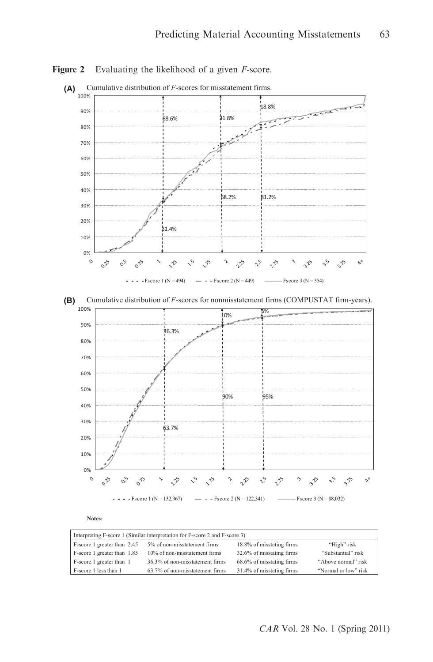

Figure 2 Evaluating the likelihood of a given *F*-score.



**Notes:** 

|                             | Interpreting F-score 1 (Similar interpretation for F-score 2 and F-score 3) |                           |                      |
|-----------------------------|-----------------------------------------------------------------------------|---------------------------|----------------------|
| F-score 1 greater than 2.45 | 5% of non-misstatement firms                                                | 18.8% of misstating firms | "High" risk          |
| F-score 1 greater than 1.85 | 10% of non-misstatement firms                                               | 32.6% of misstating firms | "Substantial" risk   |
| F-score 1 greater than 1    | 36.3% of non-misstatement firms                                             | 68.6% of misstating firms | "Above normal" risk  |
| F-score 1 less than 1       | 63.7% of non-misstatement firms                                             | 31.4% of misstating firms | "Normal or low" risk |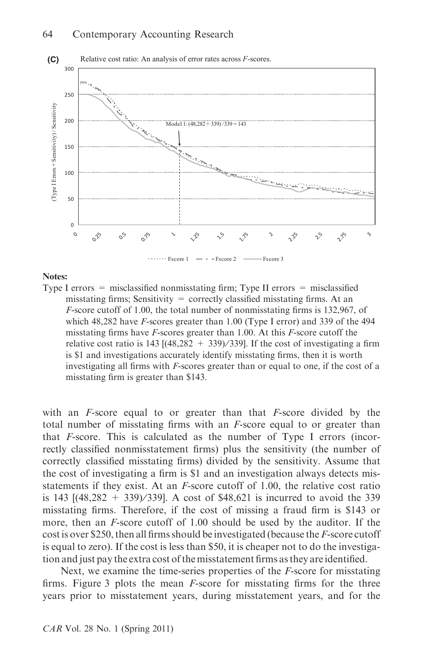

#### Notes:

Type I errors  $=$  misclassified nonmisstating firm; Type II errors  $=$  misclassified misstating firms; Sensitivity = correctly classified misstating firms. At an F-score cutoff of 1.00, the total number of nonmisstating firms is 132,967, of which 48,282 have *F*-scores greater than 1.00 (Type I error) and 339 of the 494 misstating firms have  $F$ -scores greater than 1.00. At this  $F$ -score cutoff the relative cost ratio is  $143$  [ $(48,282 + 339)/339$ ]. If the cost of investigating a firm is \$1 and investigations accurately identify misstating firms, then it is worth investigating all firms with F-scores greater than or equal to one, if the cost of a misstating firm is greater than \$143.

with an F-score equal to or greater than that F-score divided by the total number of misstating firms with an F-score equal to or greater than that F-score. This is calculated as the number of Type I errors (incorrectly classified nonmisstatement firms) plus the sensitivity (the number of correctly classified misstating firms) divided by the sensitivity. Assume that the cost of investigating a firm is \$1 and an investigation always detects misstatements if they exist. At an F-score cutoff of 1.00, the relative cost ratio is 143  $[(48,282 + 339)/339]$ . A cost of \$48,621 is incurred to avoid the 339 misstating firms. Therefore, if the cost of missing a fraud firm is \$143 or more, then an F-score cutoff of 1.00 should be used by the auditor. If the cost is over \$250, then all firms should be investigated (because the F-score cutoff is equal to zero). If the cost is less than \$50, it is cheaper not to do the investigation and just pay the extra cost of the misstatement firms as they are identified.

Next, we examine the time-series properties of the F-score for misstating firms. Figure 3 plots the mean F-score for misstating firms for the three years prior to misstatement years, during misstatement years, and for the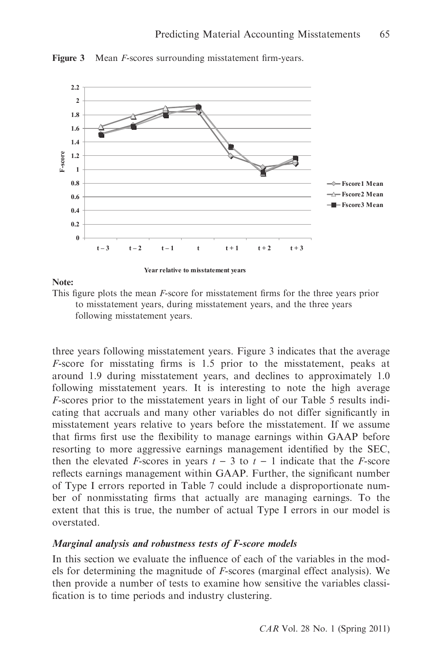

Figure 3 Mean *F*-scores surrounding misstatement firm-years.

#### Note:

This figure plots the mean F-score for misstatement firms for the three years prior to misstatement years, during misstatement years, and the three years following misstatement years.

three years following misstatement years. Figure 3 indicates that the average F-score for misstating firms is 1.5 prior to the misstatement, peaks at around 1.9 during misstatement years, and declines to approximately 1.0 following misstatement years. It is interesting to note the high average F-scores prior to the misstatement years in light of our Table 5 results indicating that accruals and many other variables do not differ significantly in misstatement years relative to years before the misstatement. If we assume that firms first use the flexibility to manage earnings within GAAP before resorting to more aggressive earnings management identified by the SEC, then the elevated *F*-scores in years  $t - 3$  to  $t - 1$  indicate that the *F*-score reflects earnings management within GAAP. Further, the significant number of Type I errors reported in Table 7 could include a disproportionate number of nonmisstating firms that actually are managing earnings. To the extent that this is true, the number of actual Type I errors in our model is overstated.

#### Marginal analysis and robustness tests of F-score models

In this section we evaluate the influence of each of the variables in the models for determining the magnitude of  $F$ -scores (marginal effect analysis). We then provide a number of tests to examine how sensitive the variables classification is to time periods and industry clustering.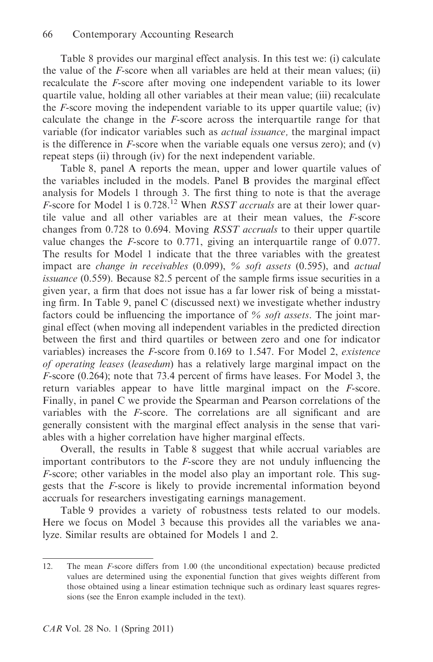Table 8 provides our marginal effect analysis. In this test we: (i) calculate the value of the  $F$ -score when all variables are held at their mean values; (ii) recalculate the F-score after moving one independent variable to its lower quartile value, holding all other variables at their mean value; (iii) recalculate the F-score moving the independent variable to its upper quartile value; (iv) calculate the change in the  $F$ -score across the interquartile range for that variable (for indicator variables such as actual issuance, the marginal impact is the difference in  $F$ -score when the variable equals one versus zero); and (v) repeat steps (ii) through (iv) for the next independent variable.

Table 8, panel A reports the mean, upper and lower quartile values of the variables included in the models. Panel B provides the marginal effect analysis for Models 1 through 3. The first thing to note is that the average *F*-score for Model 1 is  $0.728$ <sup>12</sup> When *RSST accruals* are at their lower quartile value and all other variables are at their mean values, the F-score changes from 0.728 to 0.694. Moving RSST accruals to their upper quartile value changes the F-score to 0.771, giving an interquartile range of 0.077. The results for Model 1 indicate that the three variables with the greatest impact are *change in receivables*  $(0.099)$ , % *soft assets*  $(0.595)$ , and *actual* issuance (0.559). Because 82.5 percent of the sample firms issue securities in a given year, a firm that does not issue has a far lower risk of being a misstating firm. In Table 9, panel C (discussed next) we investigate whether industry factors could be influencing the importance of  $\%$  soft assets. The joint marginal effect (when moving all independent variables in the predicted direction between the first and third quartiles or between zero and one for indicator variables) increases the F-score from 0.169 to 1.547. For Model 2, existence of operating leases (leasedum) has a relatively large marginal impact on the F-score (0.264); note that 73.4 percent of firms have leases. For Model 3, the return variables appear to have little marginal impact on the F-score. Finally, in panel C we provide the Spearman and Pearson correlations of the variables with the F-score. The correlations are all significant and are generally consistent with the marginal effect analysis in the sense that variables with a higher correlation have higher marginal effects.

Overall, the results in Table 8 suggest that while accrual variables are important contributors to the F-score they are not unduly influencing the F-score; other variables in the model also play an important role. This suggests that the F-score is likely to provide incremental information beyond accruals for researchers investigating earnings management.

Table 9 provides a variety of robustness tests related to our models. Here we focus on Model 3 because this provides all the variables we analyze. Similar results are obtained for Models 1 and 2.

<sup>12.</sup> The mean F-score differs from 1.00 (the unconditional expectation) because predicted values are determined using the exponential function that gives weights different from those obtained using a linear estimation technique such as ordinary least squares regressions (see the Enron example included in the text).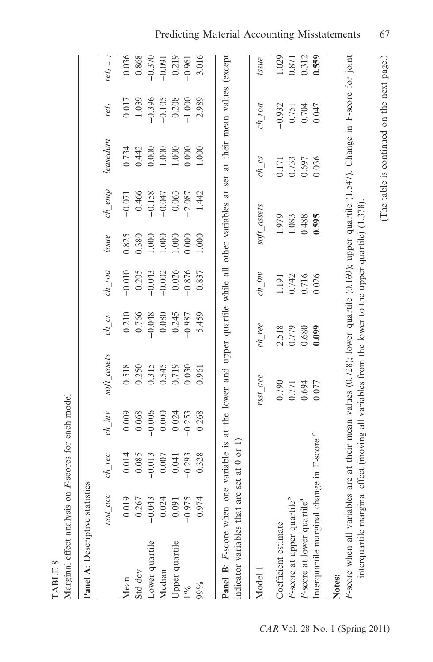| Panel A: Descriptive statistics                                                                                                          |               |                                                         |           |                                                                                                   |           |                              |       |                                  |                                          |                      |                               |
|------------------------------------------------------------------------------------------------------------------------------------------|---------------|---------------------------------------------------------|-----------|---------------------------------------------------------------------------------------------------|-----------|------------------------------|-------|----------------------------------|------------------------------------------|----------------------|-------------------------------|
|                                                                                                                                          | $rsst\_\!acc$ | $ch\_rec$                                               | $ch\_inv$ | soft_assets                                                                                       | $ch_{cs}$ | $ch\_roa$                    | issue | $ch\_emp$                        | leasedum                                 | rel <sub>t</sub>     | $rel_t =$                     |
| Mean                                                                                                                                     | 0.019         | 0.014                                                   | 0.009     | 0.518                                                                                             | 0.210     | $-0.010$                     | 0.825 | $-0.071$                         | 0.734                                    | 0.017                | 0.036                         |
| Std dev                                                                                                                                  | 0.267         | 0.085                                                   | 0.068     | 0.250                                                                                             | 0.766     |                              | 0.380 |                                  |                                          | 1.039                | 0.868                         |
| Lower quartile                                                                                                                           | $-0.043$      |                                                         | $-0.006$  | 0.315                                                                                             | $-0.048$  |                              | 1.000 |                                  |                                          |                      |                               |
| Median                                                                                                                                   | 0.024         | $\begin{array}{c} -0.013 \\ 0.007 \\ 0.041 \end{array}$ | $0.000\,$ | 0.545                                                                                             | 0.080     | $-0.205$<br>-0.043<br>-0.002 | 0.000 | $-0.158$<br>$-0.158$<br>$-0.047$ | $0.442$<br>$0.000$<br>$1.000$<br>$1.000$ | $-0.396$<br>$-0.105$ | $-0.370$<br>$-0.091$<br>0.219 |
| Upper quartile                                                                                                                           | 0.091         |                                                         | 0.024     | 0.719                                                                                             | 0.245     | 0.026                        | 1.000 | 0.063                            |                                          | 0.208                |                               |
| $\frac{5}{6}$                                                                                                                            | $-0.975$      | $-0.293$                                                | $-0.253$  | 0.030                                                                                             | $-0.987$  | $-0.876$                     | 0.000 | $-2.087$                         | 0.000                                    | $-1.000$             | $-0.961$                      |
| 99%                                                                                                                                      | 0.974         | 0.328                                                   | 0.268     | 0.961                                                                                             | 5.459     | 0.837                        | 000.1 | 1.442                            | 1.000                                    | 2.989                | 3.016                         |
| Model 1                                                                                                                                  |               |                                                         |           | $rsst\_acc$                                                                                       | $ch\_rec$ | $ch\_inv$                    |       | soft_assets                      | $ch\_{cs}$                               | $ch\_roa$            | issue                         |
| Coefficient estimate                                                                                                                     |               |                                                         |           | 0.790                                                                                             | 2.518     | 1.191                        |       | 1.979                            | 0.171                                    | $-0.932$             | 1.029                         |
| F-score at upper quartile <sup>b</sup>                                                                                                   |               |                                                         |           | 0.771                                                                                             | 0.779     | 0.742                        |       | 1.083                            | 0.733                                    |                      | 0.871                         |
| F-score at lower quartile <sup>a</sup>                                                                                                   |               |                                                         |           | 0.694                                                                                             | 0.680     | 0.716                        |       | 0.488                            | 0.697                                    | 0.751<br>0.704       | 0.312                         |
| Interquartile marginal change in F-score °                                                                                               |               |                                                         |           | 0.077                                                                                             | 0.099     | 0.026                        |       | 0.595                            | 0.036                                    | 0.047                | 0.559                         |
| Notes:                                                                                                                                   |               |                                                         |           |                                                                                                   |           |                              |       |                                  |                                          |                      |                               |
| F-score when all variables are at their mean values (0.728); lower quartile (0.169); upper quartile (1.547). Change in F-score for joint |               |                                                         |           | interquartile marginal effect (moving all variables from the lower to the upper quartile) (1.378) |           |                              |       |                                  |                                          |                      |                               |
|                                                                                                                                          |               |                                                         |           |                                                                                                   |           |                              |       |                                  |                                          |                      |                               |

Marginal effect analysis on F-scores for each model F-scores for each model Marginal effect analysis on TABLE 8 TABLE 8

CAR Vol. 28 No. 1 (Spring 2011)

(The table is continued on the next page.) (The table is continued on the next page.)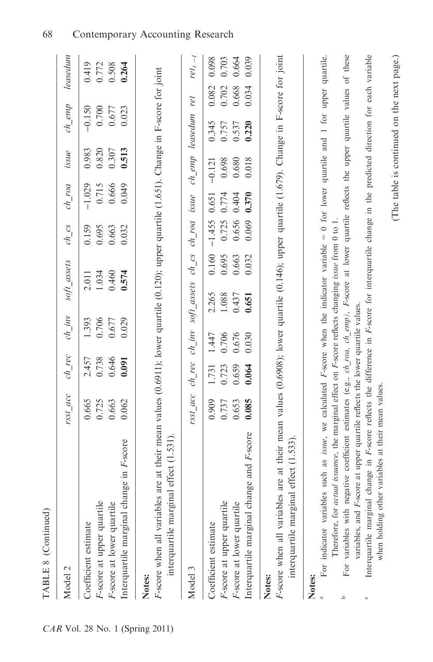| TABLE 8 (Continued                                                                                                                                                                                                                                                                                    |          |           |           |                                                                                                                                                     |       |                 |           |          |                     |       |          |
|-------------------------------------------------------------------------------------------------------------------------------------------------------------------------------------------------------------------------------------------------------------------------------------------------------|----------|-----------|-----------|-----------------------------------------------------------------------------------------------------------------------------------------------------|-------|-----------------|-----------|----------|---------------------|-------|----------|
| Model 2                                                                                                                                                                                                                                                                                               | rsst_acc | $ch\_rec$ | $ch\_inv$ | soft_assets                                                                                                                                         |       | $ch_{cs}$       | $ch\_rod$ | issue    | $ch\_emp$           |       | leasedum |
| Coefficient estimate                                                                                                                                                                                                                                                                                  | 0.665    | 2.457     | 1.393     | 2.011                                                                                                                                               |       | 0.159           | $-1.029$  | 0.983    | $-0.150$            |       | 0.419    |
| F-score at upper quartile                                                                                                                                                                                                                                                                             | 0.725    | 0.738     | 0.706     | 1.034                                                                                                                                               |       | 0.695           | 0.715     | 0.820    | 0.700               |       | 0.772    |
| F-score at lower quartile                                                                                                                                                                                                                                                                             | 0.663    | 0.646     | 0.677     | 0.460                                                                                                                                               |       | 0.663           | 0.666     | 0.307    | 0.677               |       | 0.508    |
| Interquartile marginal change in F-score                                                                                                                                                                                                                                                              | 0.062    | 0.091     | 0.029     | 0.574                                                                                                                                               |       | 0.032           | 0.049     | 0.513    | 0.023               |       | 0.264    |
| F-score when all variables are at their mean values (0.6911); lower quartile (0.120); upper quartile (1.651). Change in F-score for joint<br>rginal effect (1.531).<br>interquartile mai<br>Notes:                                                                                                    |          |           |           |                                                                                                                                                     |       |                 |           |          |                     |       |          |
| Model 3                                                                                                                                                                                                                                                                                               |          |           |           | $\frac{1}{100}$ and $\frac{1}{200}$ $\frac{1}{200}$ $\frac{1}{200}$ $\frac{1}{200}$ $\frac{1}{200}$ $\frac{1}{200}$ $\frac{1}{200}$ $\frac{1}{200}$ |       |                 | issue     |          | ch_emp leasedum ret |       | $relt-1$ |
| Coefficient estimate                                                                                                                                                                                                                                                                                  | 0.909    | 1.731     | 1.447     | 2.265                                                                                                                                               | 0.160 | $-1.455$        | 0.651     | $-0.121$ | 0.345               | 0.082 | 0.098    |
| F-score at upper quartile                                                                                                                                                                                                                                                                             | 0.737    | 0.723     | 0.706     | 1.088                                                                                                                                               | 0.695 | $0.725$ $0.774$ |           | 0.698    | 0.757               | 0.702 | 0.703    |
| F-score at lower quartile                                                                                                                                                                                                                                                                             | 0.653    | 0.659     | 0.676     | 0.437                                                                                                                                               | 0.663 | 0.656           | 0.404     | 0.680    | 0.537               | 0.668 | 0.664    |
| change and F-score<br>Interquartile marginal                                                                                                                                                                                                                                                          | 0.085    | 0.064     | 0.030     | 0.651                                                                                                                                               | 0.032 | $0.069$ 0.370   |           | 0.018    | 0.220               | 0.034 | 0.039    |
| F-score when all variables are at their mean values (0.6908); lower quartile (0.146); upper quartile (1.679). Change in F-score for joint<br>interquartile marginal effect (1.533).<br>Notes:                                                                                                         |          |           |           |                                                                                                                                                     |       |                 |           |          |                     |       |          |
| Notes:                                                                                                                                                                                                                                                                                                |          |           |           |                                                                                                                                                     |       |                 |           |          |                     |       |          |
| For indicator variables such as issue, we calculated F-score when the indicator variable = 0 for lower quartile and 1 for upper quartile.<br>Therefore, for <i>actual</i> issuance, the marginal effect on F-score reflects changing issue from 0 to 1.                                               |          |           |           |                                                                                                                                                     |       |                 |           |          |                     |       |          |
| For variables with negative coefficient estimates (e.g., $ch_1 \circ a$ , $ch_2 \circ m$ ), <i>F</i> -score at lower quartile reflects the upper quartile values of these<br>م                                                                                                                        |          |           |           |                                                                                                                                                     |       |                 |           |          |                     |       |          |
| Interquartile marginal change in F-score reflects the difference in F-score for interquartile change in the predicted direction for each variable<br>F-score at upper quartile reflects the lower quartile values.<br>when holding other variables at their mean values.<br>variables, and<br>$\circ$ |          |           |           |                                                                                                                                                     |       |                 |           |          |                     |       |          |
|                                                                                                                                                                                                                                                                                                       |          |           |           |                                                                                                                                                     |       |                 |           |          |                     |       |          |

(The table is continued on the next page.)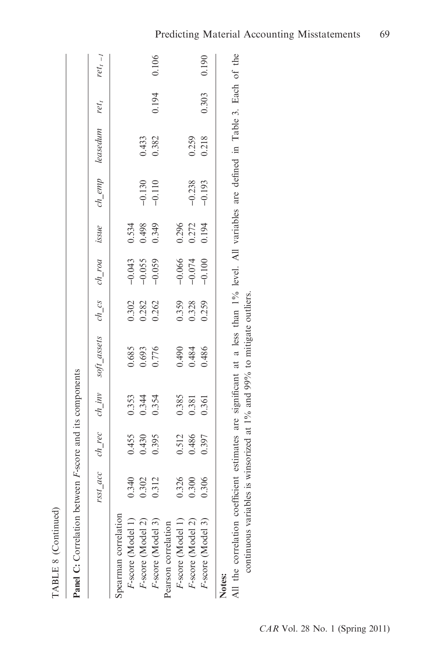| <b>Panel C:</b> Correlation between <i>F</i> -score and its components |       |                       |                                                                                                                |                                      |       |                      |       |                      |          |         |          |
|------------------------------------------------------------------------|-------|-----------------------|----------------------------------------------------------------------------------------------------------------|--------------------------------------|-------|----------------------|-------|----------------------|----------|---------|----------|
|                                                                        |       | $rsst\_acc$ $ch\_rec$ | $ch\_inv$                                                                                                      | soft_assets $ch_{\_}cs$ $ch_{\_}rod$ |       |                      | issue | $ch\_emp$            | leasedum | $ret_t$ | $relt-1$ |
| Spearman correlation                                                   |       |                       |                                                                                                                |                                      |       |                      |       |                      |          |         |          |
| F-score (Model 1)                                                      | 0.340 |                       |                                                                                                                | 0.685                                | 0.302 |                      | 0.534 |                      |          |         |          |
| $F\text{-score}$ (Model 2)                                             | 0.302 | 0.455<br>0.430        | 0.353<br>0.344<br>0.354                                                                                        | 0.693                                | 0.282 | $-0.043$<br>$-0.055$ | 0.498 |                      | 0.433    |         |          |
| F-score (Model 3)                                                      | 0.312 | 0.395                 |                                                                                                                | 0.776                                | 0.262 | $-0.059$             | 0.349 | $-0.130$<br>$-0.110$ | 0.382    | 0.194   | 0.106    |
| Pearson correlation                                                    |       |                       |                                                                                                                |                                      |       |                      |       |                      |          |         |          |
| $F\text{-score}$ (Model 1)                                             | 0.326 | 0.512                 | 0.385                                                                                                          | 0.490                                | 0.359 | $-0.066$             | 0.296 |                      |          |         |          |
| $F$ -score (Model 2)                                                   | 0.300 | 0.486                 | 0.381                                                                                                          | 0.484                                | 0.328 | $-0.074$<br>$-0.100$ | 0.272 | $-0.238$             | 0.259    |         |          |
| F-score (Model 3)                                                      | 0.306 | 0.397                 | 0.361                                                                                                          | 0.486                                | 0.259 |                      | 0.194 | $-0.193$             | 0.218    | 0.303   | 0.190    |
| Notes:                                                                 |       |                       |                                                                                                                |                                      |       |                      |       |                      |          |         |          |
| All the correlation co                                                 |       |                       | officient estimates are significant at a less than 1% level. All variables are defined in Table 3. Each of the |                                      |       |                      |       |                      |          |         |          |

continuous variables is winsorized at  $1\%$  and  $99\%$  to mitigate outliers.

continuous variables is winsorized at 1% and 99% to mitigate outliers.

TABLE 8 (Continued)

TABLE 8 (Continued)

Predicting Material Accounting Misstatements 69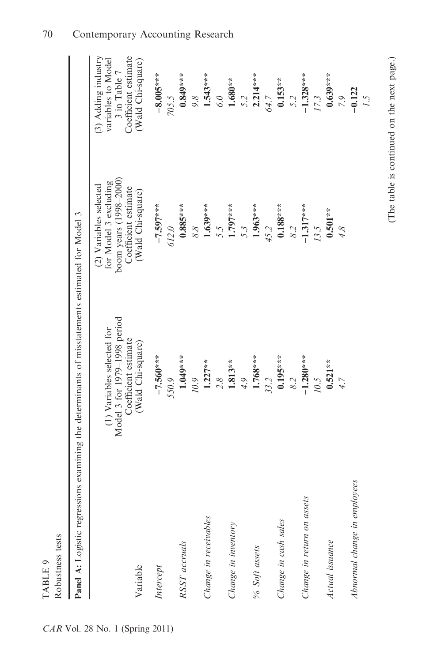| Robustness tests             |                                                                                                         |                                                                                                                        |                                                                                                        |
|------------------------------|---------------------------------------------------------------------------------------------------------|------------------------------------------------------------------------------------------------------------------------|--------------------------------------------------------------------------------------------------------|
|                              | Panel A: Logistic regressions examining the determinants of misstatements estimated for Model 3         |                                                                                                                        |                                                                                                        |
| Variable                     | Model 3 for 1979-1998 period<br>(1) Variables selected for<br>Coefficient estimate<br>(Wald Chi-square) | boom years (1998–2000)<br>for Model 3 excluding<br>(2) Variables selected<br>Coefficient estimate<br>(Wald Chi-square) | (3) Adding industry<br>Coefficient estimate<br>variables to Model<br>(Wald Chi-square)<br>3 in Table 7 |
| Intercept                    | $-7.560***$                                                                                             | $-7.597***$                                                                                                            | $-8.005***$                                                                                            |
|                              | 550.9                                                                                                   | 612.0                                                                                                                  | 705.5                                                                                                  |
| RSST accruals                | $1.049***$                                                                                              | $0.885***$                                                                                                             | $0.849***$                                                                                             |
|                              | 10.9                                                                                                    | 8.8                                                                                                                    | $\delta' \delta$                                                                                       |
| Change in receivables        | $1.227**$                                                                                               | $1.639***$                                                                                                             | $1.543***$                                                                                             |
|                              | 2.8                                                                                                     | 5.5                                                                                                                    | $\ddot{o}$                                                                                             |
| Change in inventory          | $1.813**$                                                                                               | $1.797***$                                                                                                             | $1.680**$                                                                                              |
|                              | 4.9                                                                                                     | 5.3                                                                                                                    | 5.2                                                                                                    |
| % Soft assets                | $1.768***$                                                                                              | $1.963***$                                                                                                             | $2.214***$                                                                                             |
|                              | 33.2                                                                                                    | 45.2                                                                                                                   | 64.7                                                                                                   |
| Change in cash sales         | $0.195***$                                                                                              | $0.188***$                                                                                                             | $0.153**$                                                                                              |
|                              | 8.2                                                                                                     | 8.2                                                                                                                    | 5.2                                                                                                    |
| Change in return on assets   | $-1.280**$                                                                                              | $-1.317***$                                                                                                            | $-1.328***$                                                                                            |
|                              | 10.5                                                                                                    | 13.5                                                                                                                   | 17.3                                                                                                   |
| Actual issuance              | $0.521**$                                                                                               | $0.501**$                                                                                                              | $0.639***$                                                                                             |
|                              | 4.7                                                                                                     | 4.8                                                                                                                    | 7.9                                                                                                    |
| Abnormal change in employees |                                                                                                         |                                                                                                                        | $-0.122$<br>1.5                                                                                        |

(The table is continued on the next page.)

(The table is continued on the next page.)

# 70 Contemporary Accounting Research

CAR Vol. 28 No. 1 (Spring 2011)

TABLE 9

TABLE 9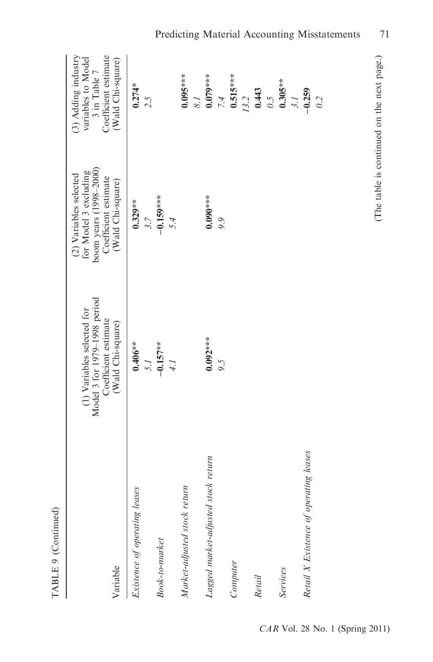| Variable                               | Model 3 for 1979-1998 period<br>Coefficient estimate<br>(1) Variables selected for<br>(Wald Chi-square) | boom years (1998–2000)<br>Coefficient estimate<br>(2) Variables selected<br>for Model 3 excluding<br>(Wald Chi-square) | (3) Adding industry<br>3 in Table 7<br>Coefficient estimate<br>variables to Model<br>(Wald Chi-square) |
|----------------------------------------|---------------------------------------------------------------------------------------------------------|------------------------------------------------------------------------------------------------------------------------|--------------------------------------------------------------------------------------------------------|
| Existence of operating leases          | $0.406**$<br>5.1                                                                                        | $0.329**$<br>3.7                                                                                                       | $0.274*$<br>2.5                                                                                        |
| Book-to-market                         | $-0.157**$<br>$\ddot{t}$                                                                                | $-0.159***$<br>5.4                                                                                                     |                                                                                                        |
| Market-adjusted stock return           |                                                                                                         |                                                                                                                        | $0.095***$<br>8.1                                                                                      |
| Lagged market-adjusted stock return    | $0.092***$<br>9.5                                                                                       | $0.090***$<br>$\delta$                                                                                                 | $0.079***$<br>7.4                                                                                      |
| Computer                               |                                                                                                         |                                                                                                                        | $0.515***$                                                                                             |
| Retail                                 |                                                                                                         |                                                                                                                        | $0.443$<br>$0.5$<br>13.2                                                                               |
| Services                               |                                                                                                         |                                                                                                                        | $0.305**$                                                                                              |
| Retail X Existence of operating leases |                                                                                                         |                                                                                                                        | $-0.259$<br>3.1                                                                                        |
|                                        |                                                                                                         |                                                                                                                        | 0.2                                                                                                    |
|                                        |                                                                                                         |                                                                                                                        |                                                                                                        |

TABLE 9 (Continued) TABLE 9 (Continued)

 $\overline{a}$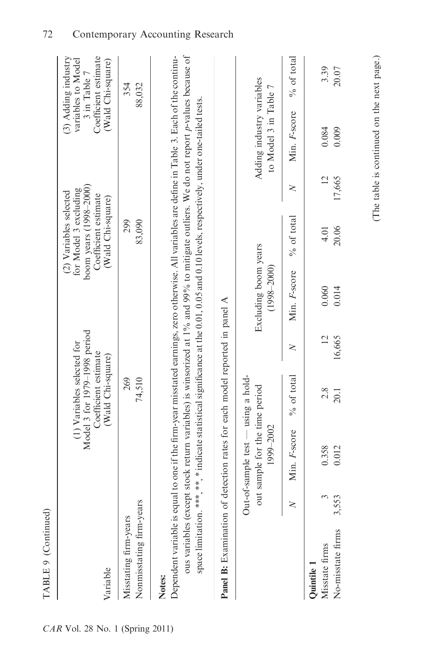| TABLE 9 (Continued)                                                                                                                                                              |        |                                                                                                                                                                                                                                                               |                                                                                                         |                          |                                         |                                                                                                                        |                          |                                                    |                                                                                                        |
|----------------------------------------------------------------------------------------------------------------------------------------------------------------------------------|--------|---------------------------------------------------------------------------------------------------------------------------------------------------------------------------------------------------------------------------------------------------------------|---------------------------------------------------------------------------------------------------------|--------------------------|-----------------------------------------|------------------------------------------------------------------------------------------------------------------------|--------------------------|----------------------------------------------------|--------------------------------------------------------------------------------------------------------|
| Variable                                                                                                                                                                         |        |                                                                                                                                                                                                                                                               | Model 3 for 1979-1998 period<br>(1) Variables selected for<br>Coefficient estimate<br>(Wald Chi-square) |                          |                                         | boom years (1998-2000)<br>for Model 3 excluding<br>(2) Variables selected<br>Coefficient estimate<br>(Wald Chi-square) |                          |                                                    | (3) Adding industry<br>Coefficient estimate<br>variables to Model<br>(Wald Chi-square)<br>3 in Table 7 |
| Nonmisstating firm-years<br>Misstating firm-years                                                                                                                                |        |                                                                                                                                                                                                                                                               | 269<br>74,510                                                                                           |                          |                                         | 299<br>83,090                                                                                                          |                          |                                                    | 354<br>88,032                                                                                          |
| Dependent variable is equal to one if the firm-year misstated earnings, zero otherwise. All variables are define in Table 3. Each of the continu-<br>space limitation.<br>Notes: |        | ous variables (except stock return variables) is winsorized at 1% and 99% to mitigate outliers. We do not report p-values because of<br>***, **, * indicate statistical significance at the 0.01, 0.05 and 0.10 levels, respectively, under one-tailed tests. |                                                                                                         |                          |                                         |                                                                                                                        |                          |                                                    |                                                                                                        |
| Panel B: Examination                                                                                                                                                             |        | of detection rates for each model reported in panel A                                                                                                                                                                                                         |                                                                                                         |                          |                                         |                                                                                                                        |                          |                                                    |                                                                                                        |
|                                                                                                                                                                                  |        | $Out-of-sample$ test $-$ using a hold-<br>out sample for the time period<br>1999-2002                                                                                                                                                                         |                                                                                                         |                          | Excluding boom years<br>$(1998 - 2000)$ |                                                                                                                        |                          | Adding industry variables<br>to Model 3 in Table 7 |                                                                                                        |
|                                                                                                                                                                                  | $\geq$ | Min. F-score                                                                                                                                                                                                                                                  | $\%$ of total                                                                                           | ≳                        | Min. F-score                            | $%$ of total                                                                                                           | ≳                        | Min. F-score                                       | $%$ of total                                                                                           |
| No-misstate firms<br>Misstate firms<br>Quintile 1                                                                                                                                | 3,553  | 0.358<br>0.012                                                                                                                                                                                                                                                | 2.8<br>20.1                                                                                             | 16,665<br>$\overline{c}$ | 0.060<br>0.014                          | 20.06<br>4.01                                                                                                          | 17,665<br>$\overline{c}$ | 0.084<br>0.009                                     | 3.39<br>20.07                                                                                          |

(The table is continued on the next page.)

(The table is continued on the next page.)

72 Contemporary Accounting Research

CAR Vol. 28 No. 1 (Spring 2011)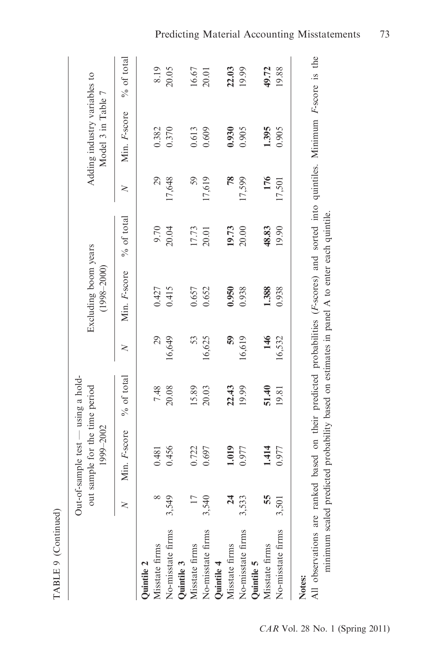|                                                                                                                                           |                 | Out-of-sample test — using a hold-<br>out sample for the time period<br>1999-2002 |              |        | Excluding boom years<br>$(1998 - 2000)$ |              |        | Adding industry variables to<br>Model 3 in Table 7 |              |
|-------------------------------------------------------------------------------------------------------------------------------------------|-----------------|-----------------------------------------------------------------------------------|--------------|--------|-----------------------------------------|--------------|--------|----------------------------------------------------|--------------|
|                                                                                                                                           | $\geq$          | Min. F-score                                                                      | $%$ of total | $\geq$ | Min. F-score                            | $%$ of total | $\geq$ | Min. F-score                                       | $%$ of total |
| Quintile 2                                                                                                                                |                 |                                                                                   |              |        |                                         |              |        |                                                    |              |
| Misstate firms                                                                                                                            | $\infty$        | 0.481                                                                             | 7.48         | 29     | 0.427                                   | 9.70         | 29     | 0.382                                              | 8.19         |
| No-misstate firms                                                                                                                         | 3,549           | 0.456                                                                             | 20.08        | 16,649 | 0.415                                   | 20.04        | 17,648 | 0.370                                              | 20.05        |
| Quintile 3                                                                                                                                |                 |                                                                                   |              |        |                                         |              |        |                                                    |              |
| Misstate firms                                                                                                                            | 17              | 0.722                                                                             | 15.89        | 53     | 0.657                                   | 17.73        | 59     | 0.613                                              | 16.67        |
| No-misstate firms                                                                                                                         | 1,540           | 0.697                                                                             | 20.03        | 16,625 | 0.652                                   | 20.01        | 17,619 | 0.609                                              | 20.01        |
| Quintile 4                                                                                                                                |                 |                                                                                   |              |        |                                         |              |        |                                                    |              |
| Misstate firms                                                                                                                            | $\overline{24}$ | 1.019                                                                             | 22.43        | 59     | 0.950                                   | 19.73        | 78     | 0.930                                              | 22.03        |
| No-misstate firms                                                                                                                         | 533             | 0.977                                                                             | 19.99        | 16,619 | 0.938                                   | 20.00        | 17,599 | 0.905                                              | 19.99        |
| Quintile 5                                                                                                                                |                 |                                                                                   |              |        |                                         |              |        |                                                    |              |
| Misstate firms                                                                                                                            | 55              | 1.414                                                                             | 51.40        | 146    | 1.388                                   | 48.83        | 176    | 1.395                                              | 49.72        |
| No-misstate firms                                                                                                                         | 50 <sub>5</sub> | 0.977                                                                             | 19.81        | 16,532 | 0.938                                   | 19.90        | 17,501 | 0.905                                              | 19.88        |
| All observations are ranked based on their predicted probabilities (F-scores) and sorted into quintiles. Minimum F-score is the<br>Notes: |                 |                                                                                   |              |        |                                         |              |        |                                                    |              |

TABLE 9 (Continued)

TABLE 9 (Continued)

F-score is the observations are ranked based on their predicted probabilities (F-scores) and sorted into quintiles. Minimum F-score is F-scores) and sorted into quintiles. Minimum minimum scaled predicted probability based on estimates in panel A to enter each quintile. minimum scaled predicted probability based on estimates in panel A to enter each quintile. All observations are ranked based on their predicted probabilities (  $\overline{\mathsf{A}\mathsf{II}}$ 

CAR Vol. 28 No. 1 (Spring 2011)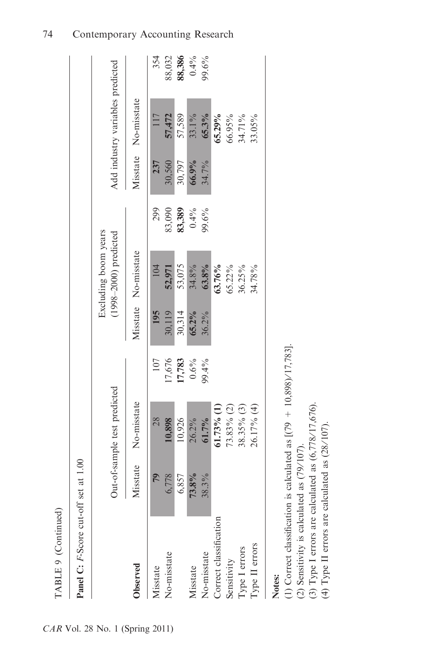| Panel C: F-Score cut-off set at 1.00 |          |                              |         |          |                                                 |         |                |                                  |         |
|--------------------------------------|----------|------------------------------|---------|----------|-------------------------------------------------|---------|----------------|----------------------------------|---------|
|                                      |          | Out-of-sample test predicted |         |          | Excluding boom years<br>$(1998-2000)$ predicted |         |                | Add industry variables predicted |         |
| <b>Diserved</b>                      | Misstate | No-misstate                  |         |          | Misstate No-misstate                            |         |                | Misstate No-misstate             |         |
| disstate                             | 79       | 28                           | 107     | 195      | 104                                             | 299     | 237            | 117                              | 354     |
| Vo-misstate                          | 6,778    | 10,898                       | 17,676  | 30,119   | 52,971                                          | 83,090  | 30,560         | 57,472                           | 88,032  |
|                                      | 6,857    | 10,926                       | 17,783  | 30,314   | 53,075                                          | 83,389  | 30,797         | 57,589                           | 88,386  |
| <i>disstate</i>                      | 73.8%    | 26.2%                        | $0.6\%$ | $65.2\%$ | 34.8%                                           | $0.4\%$ |                | 33.1%                            | $0.4\%$ |
| Vo-misstate                          | 38.3%    | $61.7\%$                     | 99.4%   | 36.2%    | 63.8%                                           | 99.6%   | 66.9%<br>34.7% | 65.3%                            | 99.6%   |
| Correct classification               |          | $61.73%$ (1)                 |         |          | 63.76%                                          |         |                | $65.29\%$                        |         |
| Sensitivity                          |          | 73.83%(2)                    |         |          | 65.22%                                          |         |                | 66.95%                           |         |
| Type I errors                        |          | 38.35% (3)                   |         |          | 36.25%                                          |         |                | 34.71%                           |         |
| Type II errors                       |          | 26.17% (4)                   |         |          | 34.78%                                          |         |                | 33.05%                           |         |
|                                      |          |                              |         |          |                                                 |         |                |                                  |         |

Notes:

(1) Correct classification is calculated as  $[(79 + 10,898)]$ (1) Correct classification is calculated as  $[(79 + 10,898)/17,783]$ .

(2) Sensitivity is calculated as (79 (2) Sensitivity is calculated as (79/107).

(3) Type I errors are calculated as (6,778 (3) Type I errors are calculated as  $(6,778/17,676)$ .

(4) Type II errors are calculated as (28 (4) Type II errors are calculated as  $(28/107)$ .

CAR Vol. 28 No. 1 (Spring 2011)

TABLE 9 (Continued)

TABLE 9 (Continued)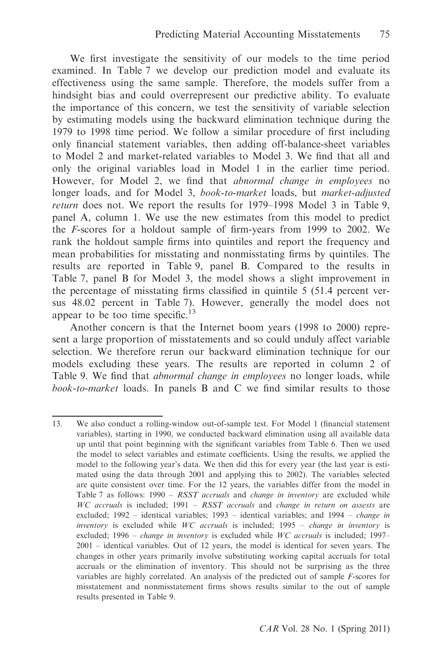We first investigate the sensitivity of our models to the time period examined. In Table 7 we develop our prediction model and evaluate its effectiveness using the same sample. Therefore, the models suffer from a hindsight bias and could overrepresent our predictive ability. To evaluate the importance of this concern, we test the sensitivity of variable selection by estimating models using the backward elimination technique during the 1979 to 1998 time period. We follow a similar procedure of first including only financial statement variables, then adding off-balance-sheet variables to Model 2 and market-related variables to Model 3. We find that all and only the original variables load in Model 1 in the earlier time period. However, for Model 2, we find that abnormal change in employees no longer loads, and for Model 3, book-to-market loads, but market-adjusted return does not. We report the results for 1979–1998 Model 3 in Table 9, panel A, column 1. We use the new estimates from this model to predict the F-scores for a holdout sample of firm-years from 1999 to 2002. We rank the holdout sample firms into quintiles and report the frequency and mean probabilities for misstating and nonmisstating firms by quintiles. The results are reported in Table 9, panel B. Compared to the results in Table 7, panel B for Model 3, the model shows a slight improvement in the percentage of misstating firms classified in quintile 5 (51.4 percent versus 48.02 percent in Table 7). However, generally the model does not appear to be too time specific. $^{13}$ 

Another concern is that the Internet boom years (1998 to 2000) represent a large proportion of misstatements and so could unduly affect variable selection. We therefore rerun our backward elimination technique for our models excluding these years. The results are reported in column 2 of Table 9. We find that *abnormal change in employees* no longer loads, while book-to-market loads. In panels B and C we find similar results to those

<sup>13.</sup> We also conduct a rolling-window out-of-sample test. For Model 1 (financial statement variables), starting in 1990, we conducted backward elimination using all available data up until that point beginning with the significant variables from Table 6. Then we used the model to select variables and estimate coefficients. Using the results, we applied the model to the following year's data. We then did this for every year (the last year is estimated using the data through 2001 and applying this to 2002). The variables selected are quite consistent over time. For the 12 years, the variables differ from the model in Table 7 as follows:  $1990 - RSST$  *accruals* and *change in inventory* are excluded while  $WC$  accruals is included;  $1991 - RSST$  accruals and change in return on assests are excluded;  $1992$  – identical variables;  $1993$  – identical variables; and  $1994$  – *change in* inventory is excluded while  $WC$  accruals is included; 1995 – change in inventory is excluded; 1996 – *change in inventory* is excluded while WC accruals is included; 1997– 2001 – identical variables. Out of 12 years, the model is identical for seven years. The changes in other years primarily involve substituting working capital accruals for total accruals or the elimination of inventory. This should not be surprising as the three variables are highly correlated. An analysis of the predicted out of sample F-scores for misstatement and nonmisstatement firms shows results similar to the out of sample results presented in Table 9.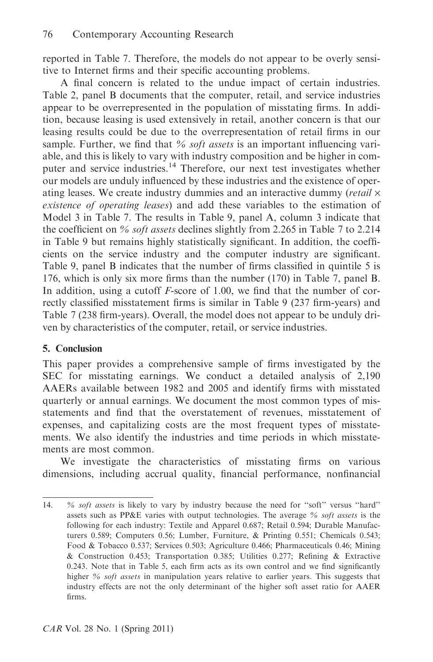reported in Table 7. Therefore, the models do not appear to be overly sensitive to Internet firms and their specific accounting problems.

A final concern is related to the undue impact of certain industries. Table 2, panel B documents that the computer, retail, and service industries appear to be overrepresented in the population of misstating firms. In addition, because leasing is used extensively in retail, another concern is that our leasing results could be due to the overrepresentation of retail firms in our sample. Further, we find that  $\%$  soft assets is an important influencing variable, and this is likely to vary with industry composition and be higher in computer and service industries.<sup>14</sup> Therefore, our next test investigates whether our models are unduly influenced by these industries and the existence of operating leases. We create industry dummies and an interactive dummy (*retail*  $\times$ existence of operating leases) and add these variables to the estimation of Model 3 in Table 7. The results in Table 9, panel A, column 3 indicate that the coefficient on % soft assets declines slightly from 2.265 in Table 7 to 2.214 in Table 9 but remains highly statistically significant. In addition, the coefficients on the service industry and the computer industry are significant. Table 9, panel B indicates that the number of firms classified in quintile 5 is 176, which is only six more firms than the number (170) in Table 7, panel B. In addition, using a cutoff *F*-score of 1.00, we find that the number of correctly classified misstatement firms is similar in Table 9 (237 firm-years) and Table 7 (238 firm-years). Overall, the model does not appear to be unduly driven by characteristics of the computer, retail, or service industries.

# 5. Conclusion

This paper provides a comprehensive sample of firms investigated by the SEC for misstating earnings. We conduct a detailed analysis of 2,190 AAERs available between 1982 and 2005 and identify firms with misstated quarterly or annual earnings. We document the most common types of misstatements and find that the overstatement of revenues, misstatement of expenses, and capitalizing costs are the most frequent types of misstatements. We also identify the industries and time periods in which misstatements are most common.

We investigate the characteristics of misstating firms on various dimensions, including accrual quality, financial performance, nonfinancial

<sup>14. %</sup> soft assets is likely to vary by industry because the need for "soft" versus "hard" assets such as PP&E varies with output technologies. The average  $\%$  soft assets is the following for each industry: Textile and Apparel 0.687; Retail 0.594; Durable Manufacturers 0.589; Computers 0.56; Lumber, Furniture, & Printing 0.551; Chemicals 0.543; Food & Tobacco 0.537; Services 0.503; Agriculture 0.466; Pharmaceuticals 0.46; Mining & Construction 0.453; Transportation 0.385; Utilities 0.277; Refining & Extractive 0.243. Note that in Table 5, each firm acts as its own control and we find significantly higher % soft assets in manipulation years relative to earlier years. This suggests that industry effects are not the only determinant of the higher soft asset ratio for AAER firms.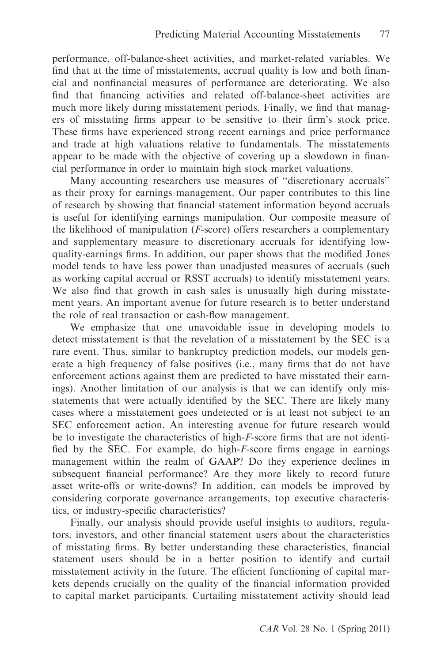performance, off-balance-sheet activities, and market-related variables. We find that at the time of misstatements, accrual quality is low and both financial and nonfinancial measures of performance are deteriorating. We also find that financing activities and related off-balance-sheet activities are much more likely during misstatement periods. Finally, we find that managers of misstating firms appear to be sensitive to their firm's stock price. These firms have experienced strong recent earnings and price performance and trade at high valuations relative to fundamentals. The misstatements appear to be made with the objective of covering up a slowdown in financial performance in order to maintain high stock market valuations.

Many accounting researchers use measures of ''discretionary accruals'' as their proxy for earnings management. Our paper contributes to this line of research by showing that financial statement information beyond accruals is useful for identifying earnings manipulation. Our composite measure of the likelihood of manipulation (F-score) offers researchers a complementary and supplementary measure to discretionary accruals for identifying lowquality-earnings firms. In addition, our paper shows that the modified Jones model tends to have less power than unadjusted measures of accruals (such as working capital accrual or RSST accruals) to identify misstatement years. We also find that growth in cash sales is unusually high during misstatement years. An important avenue for future research is to better understand the role of real transaction or cash-flow management.

We emphasize that one unavoidable issue in developing models to detect misstatement is that the revelation of a misstatement by the SEC is a rare event. Thus, similar to bankruptcy prediction models, our models generate a high frequency of false positives (i.e., many firms that do not have enforcement actions against them are predicted to have misstated their earnings). Another limitation of our analysis is that we can identify only misstatements that were actually identified by the SEC. There are likely many cases where a misstatement goes undetected or is at least not subject to an SEC enforcement action. An interesting avenue for future research would be to investigate the characteristics of high-F-score firms that are not identified by the SEC. For example, do high-F-score firms engage in earnings management within the realm of GAAP? Do they experience declines in subsequent financial performance? Are they more likely to record future asset write-offs or write-downs? In addition, can models be improved by considering corporate governance arrangements, top executive characteristics, or industry-specific characteristics?

Finally, our analysis should provide useful insights to auditors, regulators, investors, and other financial statement users about the characteristics of misstating firms. By better understanding these characteristics, financial statement users should be in a better position to identify and curtail misstatement activity in the future. The efficient functioning of capital markets depends crucially on the quality of the financial information provided to capital market participants. Curtailing misstatement activity should lead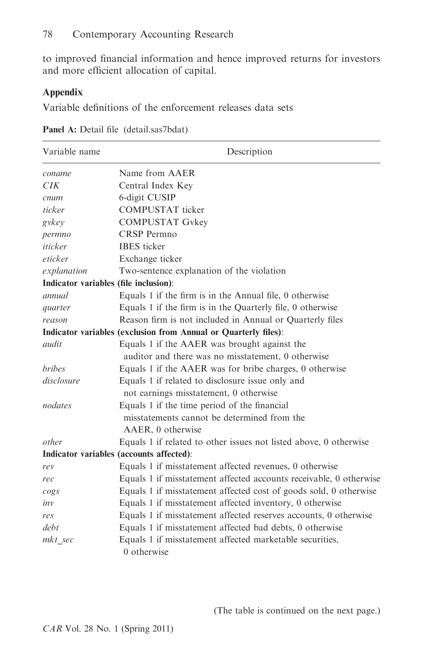to improved financial information and hence improved returns for investors and more efficient allocation of capital.

# Appendix

Variable definitions of the enforcement releases data sets

| Variable name                         | Description                                                        |
|---------------------------------------|--------------------------------------------------------------------|
| coname                                | Name from AAER                                                     |
| CIK <sup></sup>                       | Central Index Key                                                  |
| cnum                                  | 6-digit CUSIP                                                      |
| ticker                                | <b>COMPUSTAT</b> ticker                                            |
| gvkey                                 | <b>COMPUSTAT Gvkey</b>                                             |
| permno                                | <b>CRSP</b> Permno                                                 |
| iticker                               | <b>IBES</b> ticker                                                 |
| eticker                               | Exchange ticker                                                    |
| explanation                           | Two-sentence explanation of the violation                          |
| Indicator variables (file inclusion): |                                                                    |
| annual                                | Equals 1 if the firm is in the Annual file, 0 otherwise            |
| quarter                               | Equals 1 if the firm is in the Quarterly file, 0 otherwise         |
| reason                                | Reason firm is not included in Annual or Quarterly files           |
|                                       | Indicator variables (exclusion from Annual or Quarterly files):    |
| audit                                 | Equals 1 if the AAER was brought against the                       |
|                                       | auditor and there was no misstatement, 0 otherwise                 |
| <i>bribes</i>                         | Equals 1 if the AAER was for bribe charges, 0 otherwise            |
| disclosure                            | Equals 1 if related to disclosure issue only and                   |
|                                       | not earnings misstatement, 0 otherwise                             |
| nodates                               | Equals 1 if the time period of the financial                       |
|                                       | misstatements cannot be determined from the                        |
|                                       | AAER, 0 otherwise                                                  |
| other                                 | Equals 1 if related to other issues not listed above, 0 otherwise  |
|                                       | Indicator variables (accounts affected):                           |
| rev                                   | Equals 1 if misstatement affected revenues, 0 otherwise            |
| rec                                   | Equals 1 if misstatement affected accounts receivable, 0 otherwise |
| cogs                                  | Equals 1 if misstatement affected cost of goods sold, 0 otherwise  |
| inv                                   | Equals 1 if misstatement affected inventory, 0 otherwise           |
| res                                   | Equals 1 if misstatement affected reserves accounts, 0 otherwise   |
| debt                                  | Equals 1 if misstatement affected bad debts, 0 otherwise           |
| mkt sec                               | Equals 1 if misstatement affected marketable securities,           |
|                                       | 0 otherwise                                                        |

Panel A: Detail file (detail.sas7bdat)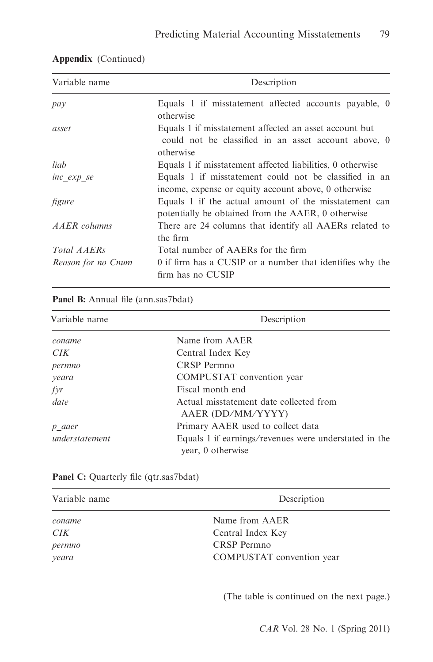| Variable name       | Description                                                                                                                 |
|---------------------|-----------------------------------------------------------------------------------------------------------------------------|
| pay                 | Equals 1 if misstatement affected accounts payable, 0<br>otherwise                                                          |
| asset               | Equals 1 if misstatement affected an asset account but<br>could not be classified in an asset account above, 0<br>otherwise |
| liab                | Equals 1 if misstatement affected liabilities, 0 otherwise                                                                  |
| $inc\_exp\_se$      | Equals 1 if misstatement could not be classified in an<br>income, expense or equity account above, 0 otherwise              |
| figure              | Equals 1 if the actual amount of the misstatement can<br>potentially be obtained from the AAER, 0 otherwise                 |
| <b>AAER</b> columns | There are 24 columns that identify all AAERs related to<br>the firm                                                         |
| Total AAERs         | Total number of AAERs for the firm                                                                                          |
| Reason for no Cnum  | 0 if firm has a CUSIP or a number that identifies why the<br>firm has no CUSIP                                              |

# Appendix (Continued)

# Panel B: Annual file (ann.sas7bdat)

| Variable name    | Description                                                                |
|------------------|----------------------------------------------------------------------------|
| coname           | Name from AAER                                                             |
| CIK <sup>-</sup> | Central Index Key                                                          |
| permno           | CRSP Permno                                                                |
| yeara            | COMPUSTAT convention year                                                  |
| fyr              | Fiscal month end                                                           |
| date             | Actual misstatement date collected from<br>AAER (DD/MM/YYYY)               |
| p aaer           | Primary AAER used to collect data                                          |
| understatement   | Equals 1 if earnings/revenues were understated in the<br>year, 0 otherwise |

## Panel C: Quarterly file (qtr.sas7bdat)

| Variable name    | Description               |
|------------------|---------------------------|
| coname           | Name from AAER            |
| CIK <sup>-</sup> | Central Index Key         |
| permno           | CRSP Permno               |
| veara            | COMPUSTAT convention year |
|                  |                           |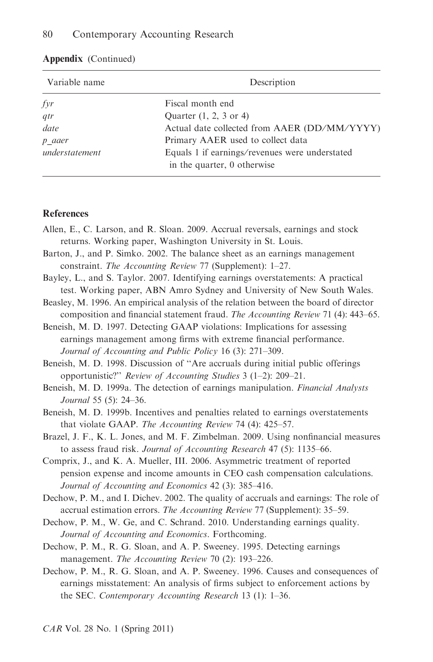| Variable name  | Description                                                                   |
|----------------|-------------------------------------------------------------------------------|
| fyr            | Fiscal month end                                                              |
| qtr            | Quarter $(1, 2, 3 \text{ or } 4)$                                             |
| date           | Actual date collected from AAER (DD/MM/YYYY)                                  |
| p aaer         | Primary AAER used to collect data                                             |
| understatement | Equals 1 if earnings/revenues were understated<br>in the quarter, 0 otherwise |

#### Appendix (Continued)

#### References

| Allen, E., C. Larson, and R. Sloan. 2009. Accrual reversals, earnings and stock       |
|---------------------------------------------------------------------------------------|
| returns. Working paper, Washington University in St. Louis.                           |
| Barton, J., and P. Simko. 2002. The balance sheet as an earnings management           |
| constraint. <i>The Accounting Review 77</i> (Supplement): 1–27.                       |
| Bayley, L., and S. Taylor. 2007. Identifying earnings overstatements: A practical     |
| test. Working paper, ABN Amro Sydney and University of New South Wales.               |
| Beasley, M. 1996. An empirical analysis of the relation between the board of director |
| composition and financial statement fraud. The Accounting Review 71 (4): 443–65.      |
| Beneish, M. D. 1997. Detecting GAAP violations: Implications for assessing            |
| earnings management among firms with extreme financial performance.                   |
| Journal of Accounting and Public Policy 16 (3): 271–309.                              |

Beneish, M. D. 1998. Discussion of ''Are accruals during initial public offerings opportunistic?'' Review of Accounting Studies 3 (1–2): 209–21.

Beneish, M. D. 1999a. The detection of earnings manipulation. *Financial Analysts* Journal 55 (5): 24–36.

Beneish, M. D. 1999b. Incentives and penalties related to earnings overstatements that violate GAAP. The Accounting Review 74 (4): 425–57.

Brazel, J. F., K. L. Jones, and M. F. Zimbelman. 2009. Using nonfinancial measures to assess fraud risk. Journal of Accounting Research 47 (5): 1135–66.

Comprix, J., and K. A. Mueller, III. 2006. Asymmetric treatment of reported pension expense and income amounts in CEO cash compensation calculations. Journal of Accounting and Economics 42 (3): 385–416.

Dechow, P. M., and I. Dichev. 2002. The quality of accruals and earnings: The role of accrual estimation errors. The Accounting Review 77 (Supplement): 35–59.

Dechow, P. M., W. Ge, and C. Schrand. 2010. Understanding earnings quality. Journal of Accounting and Economics. Forthcoming.

- Dechow, P. M., R. G. Sloan, and A. P. Sweeney. 1995. Detecting earnings management. The Accounting Review 70 (2): 193-226.
- Dechow, P. M., R. G. Sloan, and A. P. Sweeney. 1996. Causes and consequences of earnings misstatement: An analysis of firms subject to enforcement actions by the SEC. Contemporary Accounting Research 13 (1): 1–36.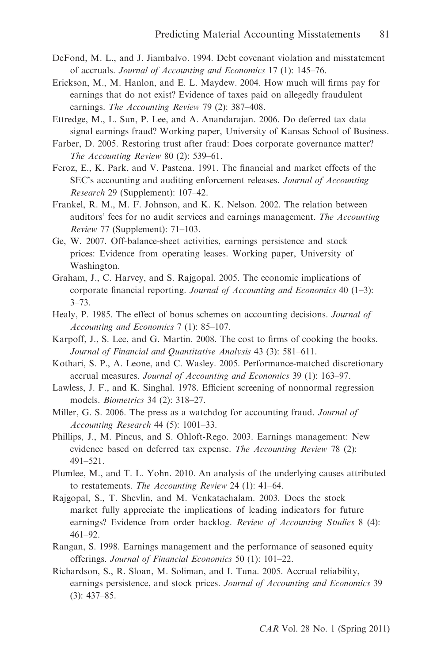- DeFond, M. L., and J. Jiambalvo. 1994. Debt covenant violation and misstatement of accruals. Journal of Accounting and Economics 17 (1): 145–76.
- Erickson, M., M. Hanlon, and E. L. Maydew. 2004. How much will firms pay for earnings that do not exist? Evidence of taxes paid on allegedly fraudulent earnings. The Accounting Review 79 (2): 387–408.
- Ettredge, M., L. Sun, P. Lee, and A. Anandarajan. 2006. Do deferred tax data signal earnings fraud? Working paper, University of Kansas School of Business.
- Farber, D. 2005. Restoring trust after fraud: Does corporate governance matter? The Accounting Review 80 (2): 539–61.
- Feroz, E., K. Park, and V. Pastena. 1991. The financial and market effects of the SEC's accounting and auditing enforcement releases. Journal of Accounting Research 29 (Supplement): 107–42.
- Frankel, R. M., M. F. Johnson, and K. K. Nelson. 2002. The relation between auditors' fees for no audit services and earnings management. The Accounting Review 77 (Supplement): 71–103.
- Ge, W. 2007. Off-balance-sheet activities, earnings persistence and stock prices: Evidence from operating leases. Working paper, University of Washington.
- Graham, J., C. Harvey, and S. Rajgopal. 2005. The economic implications of corporate financial reporting. Journal of Accounting and Economics 40 (1–3): 3–73.
- Healy, P. 1985. The effect of bonus schemes on accounting decisions. Journal of Accounting and Economics 7 (1): 85–107.
- Karpoff, J., S. Lee, and G. Martin. 2008. The cost to firms of cooking the books. Journal of Financial and Quantitative Analysis 43 (3): 581–611.
- Kothari, S. P., A. Leone, and C. Wasley. 2005. Performance-matched discretionary accrual measures. Journal of Accounting and Economics 39 (1): 163–97.
- Lawless, J. F., and K. Singhal. 1978. Efficient screening of nonnormal regression models. Biometrics 34 (2): 318–27.
- Miller, G. S. 2006. The press as a watchdog for accounting fraud. Journal of Accounting Research 44 (5): 1001–33.
- Phillips, J., M. Pincus, and S. Ohloft-Rego. 2003. Earnings management: New evidence based on deferred tax expense. The Accounting Review 78 (2): 491–521.
- Plumlee, M., and T. L. Yohn. 2010. An analysis of the underlying causes attributed to restatements. The Accounting Review 24 (1): 41–64.
- Rajgopal, S., T. Shevlin, and M. Venkatachalam. 2003. Does the stock market fully appreciate the implications of leading indicators for future earnings? Evidence from order backlog. Review of Accounting Studies 8 (4): 461–92.
- Rangan, S. 1998. Earnings management and the performance of seasoned equity offerings. Journal of Financial Economics 50 (1): 101–22.
- Richardson, S., R. Sloan, M. Soliman, and I. Tuna. 2005. Accrual reliability, earnings persistence, and stock prices. Journal of Accounting and Economics 39 (3): 437–85.